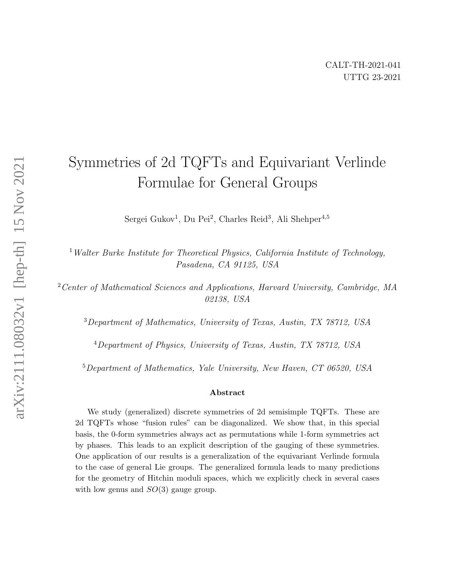# Symmetries of 2d TQFTs and Equivariant Verlinde Formulae for General Groups

Sergei Gukov<sup>1</sup>, Du Pei<sup>2</sup>, Charles Reid<sup>3</sup>, Ali Shehper<sup>4,5</sup>

 $1$  Walter Burke Institute for Theoretical Physics, California Institute of Technology, Pasadena, CA 91125, USA

<sup>2</sup> Center of Mathematical Sciences and Applications, Harvard University, Cambridge, MA 02138, USA

<sup>3</sup>Department of Mathematics, University of Texas, Austin, TX 78712, USA

<sup>4</sup>Department of Physics, University of Texas, Austin, TX 78712, USA

<sup>5</sup>Department of Mathematics, Yale University, New Haven, CT 06520, USA

#### Abstract

We study (generalized) discrete symmetries of 2d semisimple TQFTs. These are 2d TQFTs whose "fusion rules" can be diagonalized. We show that, in this special basis, the 0-form symmetries always act as permutations while 1-form symmetries act by phases. This leads to an explicit description of the gauging of these symmetries. One application of our results is a generalization of the equivariant Verlinde formula to the case of general Lie groups. The generalized formula leads to many predictions for the geometry of Hitchin moduli spaces, which we explicitly check in several cases with low genus and  $SO(3)$  gauge group.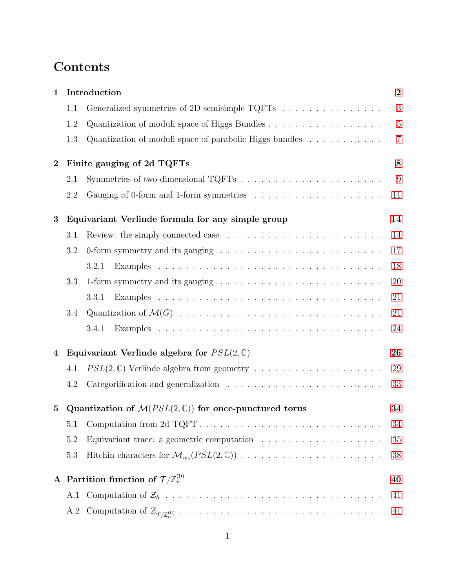# Contents

| $\mathbf{1}$ |                                                                                 | Introduction                                                                           |                |  |  |  |
|--------------|---------------------------------------------------------------------------------|----------------------------------------------------------------------------------------|----------------|--|--|--|
|              | 1.1                                                                             | Generalized symmetries of 2D semisimple TQFTs $\ldots \ldots \ldots \ldots \ldots$     | 3              |  |  |  |
|              | 1.2                                                                             | Quantization of moduli space of Higgs Bundles                                          | $\overline{5}$ |  |  |  |
|              | 1.3                                                                             | Quantization of moduli space of parabolic Higgs bundles $\dots \dots \dots$            | $\overline{7}$ |  |  |  |
| $\bf{2}$     | Finite gauging of 2d TQFTs                                                      |                                                                                        |                |  |  |  |
|              | 2.1                                                                             |                                                                                        | 9              |  |  |  |
|              | 2.2                                                                             |                                                                                        | 11             |  |  |  |
| 3            | Equivariant Verlinde formula for any simple group                               |                                                                                        |                |  |  |  |
|              | 3.1                                                                             |                                                                                        | 14             |  |  |  |
|              | 3.2                                                                             |                                                                                        | 17             |  |  |  |
|              |                                                                                 | 3.2.1                                                                                  | 18             |  |  |  |
|              | 3.3                                                                             |                                                                                        | 20             |  |  |  |
|              |                                                                                 | 3.3.1                                                                                  | 21             |  |  |  |
|              | 3.4                                                                             |                                                                                        | 21             |  |  |  |
|              |                                                                                 | 3.4.1                                                                                  | 24             |  |  |  |
| 4            | Equivariant Verlinde algebra for $PSL(2,\mathbb{C})$                            |                                                                                        |                |  |  |  |
|              | 4.1                                                                             | $PSL(2,\mathbb{C})$ Verlinde algebra from geometry                                     | 29             |  |  |  |
|              | 4.2                                                                             |                                                                                        | 33             |  |  |  |
| $\bf{5}$     | Quantization of $\mathcal{M}(PSL(2,\mathbb{C}))$ for once-punctured torus<br>34 |                                                                                        |                |  |  |  |
|              | 5.1                                                                             | Computation from 2d TQFT                                                               | 34             |  |  |  |
|              | 5.2                                                                             | Equivariant trace: a geometric computation $\ldots \ldots \ldots \ldots \ldots \ldots$ | 35             |  |  |  |
|              | 5.3                                                                             |                                                                                        | 38             |  |  |  |
|              | A Partition function of $\mathcal{T}/\mathbb{Z}_n^{(0)}$<br>40                  |                                                                                        |                |  |  |  |
|              |                                                                                 |                                                                                        | 41             |  |  |  |
|              | A.2                                                                             |                                                                                        | 41             |  |  |  |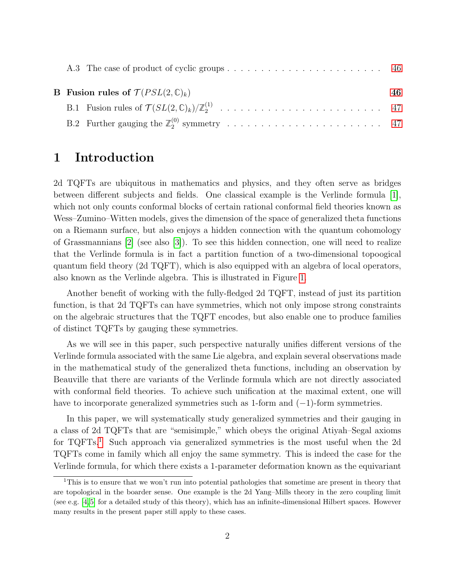| <b>B</b> Fusion rules of $\mathcal{T}(PSL(2,\mathbb{C})_k)$ |  |  |  |
|-------------------------------------------------------------|--|--|--|
|                                                             |  |  |  |
|                                                             |  |  |  |

# <span id="page-2-0"></span>1 Introduction

2d TQFTs are ubiquitous in mathematics and physics, and they often serve as bridges between different subjects and fields. One classical example is the Verlinde formula [\[1\]](#page-49-0), which not only counts conformal blocks of certain rational conformal field theories known as Wess–Zumino–Witten models, gives the dimension of the space of generalized theta functions on a Riemann surface, but also enjoys a hidden connection with the quantum cohomology of Grassmannians [\[2\]](#page-49-1) (see also [\[3\]](#page-49-2)). To see this hidden connection, one will need to realize that the Verlinde formula is in fact a partition function of a two-dimensional topoogical quantum field theory (2d TQFT), which is also equipped with an algebra of local operators, also known as the Verlinde algebra. This is illustrated in Figure [1.](#page-3-1)

Another benefit of working with the fully-fledged 2d TQFT, instead of just its partition function, is that 2d TQFTs can have symmetries, which not only impose strong constraints on the algebraic structures that the TQFT encodes, but also enable one to produce families of distinct TQFTs by gauging these symmetries.

As we will see in this paper, such perspective naturally unifies different versions of the Verlinde formula associated with the same Lie algebra, and explain several observations made in the mathematical study of the generalized theta functions, including an observation by Beauville that there are variants of the Verlinde formula which are not directly associated with conformal field theories. To achieve such unification at the maximal extent, one will have to incorporate generalized symmetries such as 1-form and  $(-1)$ -form symmetries.

In this paper, we will systematically study generalized symmetries and their gauging in a class of 2d TQFTs that are "semisimple," which obeys the original Atiyah–Segal axioms for TQFTs.[1](#page-2-1) Such approach via generalized symmetries is the most useful when the 2d TQFTs come in family which all enjoy the same symmetry. This is indeed the case for the Verlinde formula, for which there exists a 1-parameter deformation known as the equivariant

<span id="page-2-1"></span><sup>1</sup>This is to ensure that we won't run into potential pathologies that sometime are present in theory that are topological in the boarder sense. One example is the 2d Yang–Mills theory in the zero coupling limit (see e.g. [\[4,](#page-49-3) [5\]](#page-49-4) for a detailed study of this theory), which has an infinite-dimensional Hilbert spaces. However many results in the present paper still apply to these cases.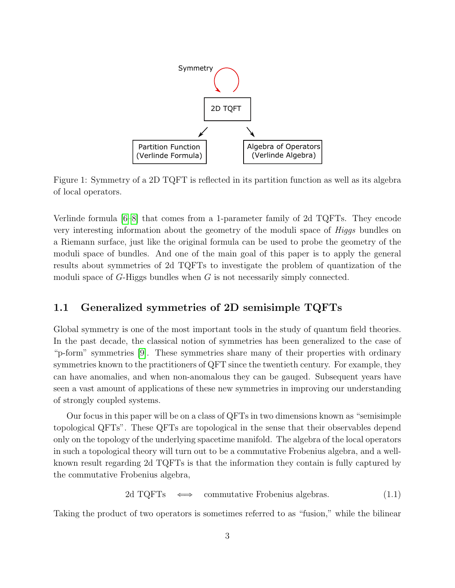<span id="page-3-1"></span>

Figure 1: Symmetry of a 2D TQFT is reflected in its partition function as well as its algebra of local operators.

Verlinde formula [\[6](#page-50-0)[–8\]](#page-50-1) that comes from a 1-parameter family of 2d TQFTs. They encode very interesting information about the geometry of the moduli space of *Higgs* bundles on a Riemann surface, just like the original formula can be used to probe the geometry of the moduli space of bundles. And one of the main goal of this paper is to apply the general results about symmetries of 2d TQFTs to investigate the problem of quantization of the moduli space of  $G$ -Higgs bundles when  $G$  is not necessarily simply connected.

# <span id="page-3-0"></span>1.1 Generalized symmetries of 2D semisimple TQFTs

Global symmetry is one of the most important tools in the study of quantum field theories. In the past decade, the classical notion of symmetries has been generalized to the case of "p-form" symmetries [\[9\]](#page-50-2). These symmetries share many of their properties with ordinary symmetries known to the practitioners of QFT since the twentieth century. For example, they can have anomalies, and when non-anomalous they can be gauged. Subsequent years have seen a vast amount of applications of these new symmetries in improving our understanding of strongly coupled systems.

Our focus in this paper will be on a class of QFTs in two dimensions known as "semisimple topological QFTs". These QFTs are topological in the sense that their observables depend only on the topology of the underlying spacetime manifold. The algebra of the local operators in such a topological theory will turn out to be a commutative Frobenius algebra, and a wellknown result regarding 2d TQFTs is that the information they contain is fully captured by the commutative Frobenius algebra,

$$
2d TQFTs \iff commutative Frobenius algebras. \tag{1.1}
$$

Taking the product of two operators is sometimes referred to as "fusion," while the bilinear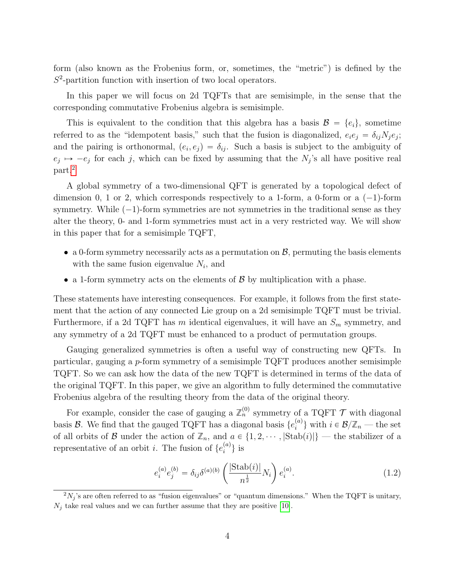form (also known as the Frobenius form, or, sometimes, the "metric") is defined by the  $S<sup>2</sup>$ -partition function with insertion of two local operators.

In this paper we will focus on 2d TQFTs that are semisimple, in the sense that the corresponding commutative Frobenius algebra is semisimple.

This is equivalent to the condition that this algebra has a basis  $\mathcal{B} = \{e_i\}$ , sometime referred to as the "idempotent basis," such that the fusion is diagonalized,  $e_i e_j = \delta_{ij} N_j e_j$ ; and the pairing is orthonormal,  $(e_i, e_j) = \delta_{ij}$ . Such a basis is subject to the ambiguity of  $e_j \mapsto -e_j$  for each j, which can be fixed by assuming that the  $N_j$ 's all have positive real part.[2](#page-4-0)

A global symmetry of a two-dimensional QFT is generated by a topological defect of dimension 0, 1 or 2, which corresponds respectively to a 1-form, a 0-form or a  $(-1)$ -form symmetry. While  $(-1)$ -form symmetries are not symmetries in the traditional sense as they alter the theory, 0- and 1-form symmetries must act in a very restricted way. We will show in this paper that for a semisimple TQFT,

- a 0-form symmetry necessarily acts as a permutation on  $\mathcal{B}$ , permuting the basis elements with the same fusion eigenvalue  $N_i$ , and
- a 1-form symmetry acts on the elements of  $\beta$  by multiplication with a phase.

These statements have interesting consequences. For example, it follows from the first statement that the action of any connected Lie group on a 2d semisimple TQFT must be trivial. Furthermore, if a 2d TQFT has m identical eigenvalues, it will have an  $S_m$  symmetry, and any symmetry of a 2d TQFT must be enhanced to a product of permutation groups.

Gauging generalized symmetries is often a useful way of constructing new QFTs. In particular, gauging a p-form symmetry of a semisimple TQFT produces another semisimple TQFT. So we can ask how the data of the new TQFT is determined in terms of the data of the original TQFT. In this paper, we give an algorithm to fully determined the commutative Frobenius algebra of the resulting theory from the data of the original theory.

For example, consider the case of gauging a  $\mathbb{Z}_n^{(0)}$  symmetry of a TQFT  $\mathcal T$  with diagonal basis  $\mathcal{B}$ . We find that the gauged TQFT has a diagonal basis  $\{e_i^{(a)}\}$  $\{a^{(a)}\}\$  with  $i \in \mathcal{B}/\mathbb{Z}_n$  — the set of all orbits of B under the action of  $\mathbb{Z}_n$ , and  $a \in \{1, 2, \dots, |\text{Stab}(i)|\}$  — the stabilizer of a representative of an orbit *i*. The fusion of  $\{e_i^{(a)}\}$  $\binom{a}{i}$  is

$$
e_i^{(a)} e_j^{(b)} = \delta_{ij} \delta^{(a)(b)} \left( \frac{|\text{Stab}(i)|}{n^{\frac{1}{2}}} N_i \right) e_i^{(a)}.
$$
 (1.2)

<span id="page-4-0"></span> $2N_j$ 's are often referred to as "fusion eigenvalues" or "quantum dimensions." When the TQFT is unitary,  $N_j$  take real values and we can further assume that they are positive [\[10\]](#page-50-3).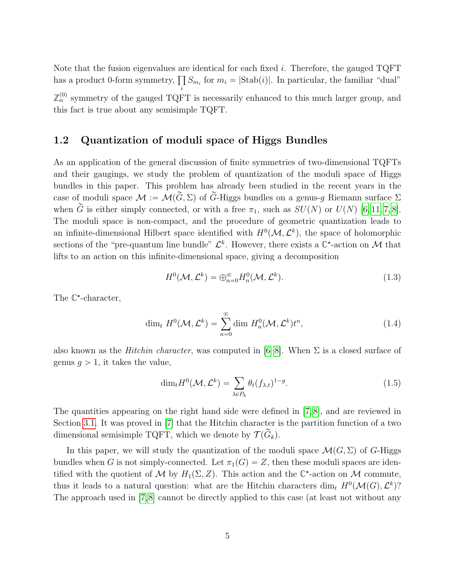Note that the fusion eigenvalues are identical for each fixed i. Therefore, the gauged  $TQFT$ Note tnat the rusion eigenvalues ar<br>has a product 0-form symmetry,  $\prod$  $\prod_i S_{m_i}$  for  $m_i = |\text{Stab}(i)|$ . In particular, the familiar "dual"  $\mathbb{Z}_n^{(0)}$  symmetry of the gauged TQFT is necessarily enhanced to this much larger group, and this fact is true about any semisimple TQFT.

## <span id="page-5-0"></span>1.2 Quantization of moduli space of Higgs Bundles

As an application of the general discussion of finite symmetries of two-dimensional TQFTs and their gaugings, we study the problem of quantization of the moduli space of Higgs bundles in this paper. This problem has already been studied in the recent years in the case of moduli space  $\mathcal{M} := \mathcal{M}(\widetilde{G}, \Sigma)$  of  $\widetilde{G}$ -Higgs bundles on a genus-g Riemann surface  $\Sigma$ when  $\tilde{G}$  is either simply connected, or with a free  $\pi_1$ , such as  $SU(N)$  or  $U(N)$  [\[6,](#page-50-0) [11,](#page-50-4) [7,](#page-50-5) [8\]](#page-50-1). The moduli space is non-compact, and the procedure of geometric quantization leads to an infinite-dimensional Hilbert space identified with  $H^0(\mathcal{M}, \mathcal{L}^k)$ , the space of holomorphic sections of the "pre-quantum line bundle"  $\mathcal{L}^k$ . However, there exists a  $\mathbb{C}^*$ -action on M that lifts to an action on this infinite-dimensional space, giving a decomposition

<span id="page-5-1"></span>
$$
H^{0}(\mathcal{M}, \mathcal{L}^{k}) = \bigoplus_{n=0}^{\infty} H_{n}^{0}(\mathcal{M}, \mathcal{L}^{k}).
$$
\n(1.3)

The  $\mathbb{C}^*$ -character,

$$
\dim_t H^0(\mathcal{M}, \mathcal{L}^k) = \sum_{n=0}^{\infty} \dim H_n^0(\mathcal{M}, \mathcal{L}^k) t^n,
$$
\n(1.4)

also known as the *Hitchin character*, was computed in  $[6-8]$  $[6-8]$ . When  $\Sigma$  is a closed surface of genus  $g > 1$ , it takes the value,

$$
\dim_t H^0(\mathcal{M}, \mathcal{L}^k) = \sum_{\lambda \in P_k} \theta_t (f_{\lambda, t})^{1 - g}.
$$
\n(1.5)

The quantities appearing on the right hand side were defined in [\[7,](#page-50-5) [8\]](#page-50-1), and are reviewed in Section [3.1.](#page-14-1) It was proved in [\[7\]](#page-50-5) that the Hitchin character is the partition function of a two dimensional semisimple TQFT, which we denote by  $\mathcal{T}(\widetilde{G}_k)$ .

In this paper, we will study the quantization of the moduli space  $\mathcal{M}(G,\Sigma)$  of G-Higgs bundles when G is not simply-connected. Let  $\pi_1(G) = Z$ , then these moduli spaces are identified with the quotient of M by  $H_1(\Sigma, Z)$ . This action and the  $\mathbb{C}^*$ -action on M commute, thus it leads to a natural question: what are the Hitchin characters dim<sub>t</sub>  $H^0(\mathcal{M}(G), \mathcal{L}^k)$ ? The approach used in [\[7,](#page-50-5)[8\]](#page-50-1) cannot be directly applied to this case (at least not without any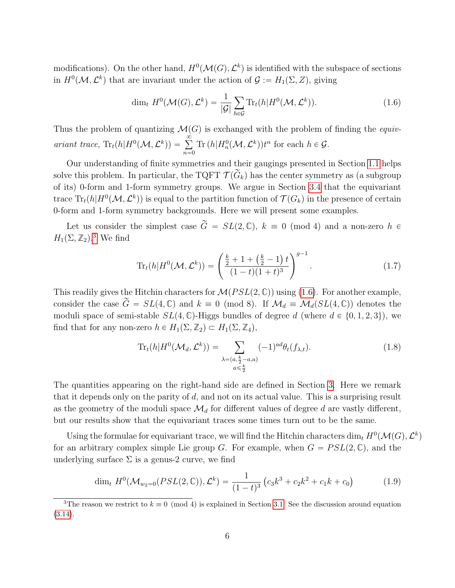modifications). On the other hand,  $H^0(\mathcal{M}(G), \mathcal{L}^k)$  is identified with the subspace of sections in  $H^0(\mathcal{M}, \mathcal{L}^k)$  that are invariant under the action of  $\mathcal{G} := H_1(\Sigma, Z)$ , giving

<span id="page-6-1"></span>
$$
\dim_t H^0(\mathcal{M}(G), \mathcal{L}^k) = \frac{1}{|\mathcal{G}|} \sum_{h \in \mathcal{G}} \text{Tr}_t(h | H^0(\mathcal{M}, \mathcal{L}^k)). \tag{1.6}
$$

Thus the problem of quantizing  $\mathcal{M}(G)$  is exchanged with the problem of finding the equivariant trace,  $\text{Tr}_t(h|H^0(\mathcal{M}, \mathcal{L}^k)) = \sum_{k=0}^{\infty}$  $n=0$ Tr  $(h|H_n^0(\mathcal{M}, \mathcal{L}^k))t^n$  for each  $h \in \mathcal{G}$ .

Our understanding of finite symmetries and their gaugings presented in Section [1.1](#page-3-0) helps solve this problem. In particular, the TQFT  $\mathcal{T}(\widetilde{G}_k)$  has the center symmetry as (a subgroup of its) 0-form and 1-form symmetry groups. We argue in Section [3.4](#page-21-1) that the equivariant trace  $\text{Tr}_t(h|H^0(\mathcal{M},\mathcal{L}^k))$  is equal to the partition function of  $\mathcal{T}(G_k)$  in the presence of certain 0-form and 1-form symmetry backgrounds. Here we will present some examples.

Let us consider the simplest case  $\tilde{G} = SL(2, \mathbb{C}), k \equiv 0 \pmod{4}$  and a non-zero  $h \in$  $H_1(\Sigma, \mathbb{Z}_2)$ .<sup>[3](#page-6-0)</sup> We find

$$
\operatorname{Tr}_{t}(h|H^{0}(\mathcal{M},\mathcal{L}^{k})) = \left(\frac{\frac{k}{2} + 1 + (\frac{k}{2} - 1)t}{(1-t)(1+t)^{3}}\right)^{g-1}.
$$
\n(1.7)

This readily gives the Hitchin characters for  $\mathcal{M}(PSL(2,\mathbb{C}))$  using [\(1.6\)](#page-6-1). For another example, consider the case  $\widetilde{G} = SL(4,\mathbb{C})$  and  $k \equiv 0 \pmod{8}$ . If  $\mathcal{M}_d \equiv \mathcal{M}_d(SL(4,\mathbb{C}))$  denotes the moduli space of semi-stable  $SL(4,\mathbb{C})$ -Higgs bundles of degree d (where  $d \in \{0, 1, 2, 3\}$ ), we find that for any non-zero  $h \in H_1(\Sigma, \mathbb{Z}_2) \subset H_1(\Sigma, \mathbb{Z}_4)$ ,

$$
\operatorname{Tr}_{t}(h|H^{0}(\mathcal{M}_{d},\mathcal{L}^{k})) = \sum_{\substack{\lambda=(a,\frac{k}{2}-a,a) \\ a \leq \frac{k}{2}}} (-1)^{ad} \theta_{t}(f_{\lambda,t}). \tag{1.8}
$$

The quantities appearing on the right-hand side are defined in Section [3.](#page-14-0) Here we remark that it depends only on the parity of  $d$ , and not on its actual value. This is a surprising result as the geometry of the moduli space  $\mathcal{M}_d$  for different values of degree d are vastly different, but our results show that the equivariant traces some times turn out to be the same.

Using the formulae for equivariant trace, we will find the Hitchin characters dim<sub>t</sub>  $H^0(\mathcal{M}(G), \mathcal{L}^k)$ for an arbitrary complex simple Lie group G. For example, when  $G = PSL(2, \mathbb{C})$ , and the underlying surface  $\Sigma$  is a genus-2 curve, we find

$$
\dim_t H^0(\mathcal{M}_{w_2=0}(PSL(2,\mathbb{C})),\mathcal{L}^k) = \frac{1}{(1-t)^3} \left(c_3 k^3 + c_2 k^2 + c_1 k + c_0\right) \tag{1.9}
$$

<span id="page-6-0"></span><sup>&</sup>lt;sup>3</sup>The reason we restrict to  $k \equiv 0 \pmod{4}$  is explained in Section [3.1.](#page-14-1) See the discussion around equation  $(3.14).$  $(3.14).$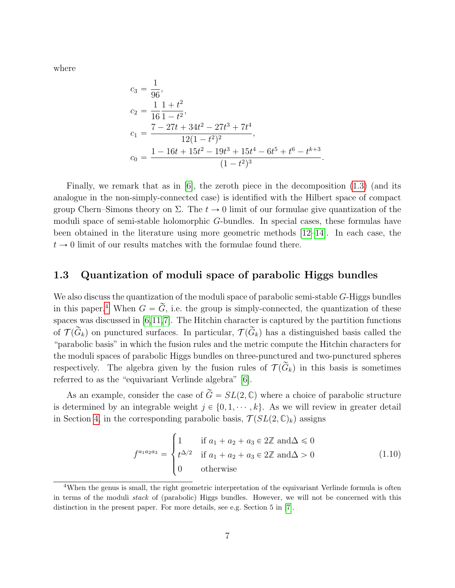where

$$
c_3 = \frac{1}{96},
$$
  
\n
$$
c_2 = \frac{1}{16} \frac{1+t^2}{1-t^2},
$$
  
\n
$$
c_1 = \frac{7 - 27t + 34t^2 - 27t^3 + 7t^4}{12(1-t^2)^2},
$$
  
\n
$$
c_0 = \frac{1 - 16t + 15t^2 - 19t^3 + 15t^4 - 6t^5 + t^6 - t^{k+3}}{(1-t^2)^3}
$$

.

Finally, we remark that as in [\[6\]](#page-50-0), the zeroth piece in the decomposition [\(1.3\)](#page-5-1) (and its analogue in the non-simply-connected case) is identified with the Hilbert space of compact group Chern–Simons theory on  $\Sigma$ . The  $t \to 0$  limit of our formulae give quantization of the moduli space of semi-stable holomorphic G-bundles. In special cases, these formulas have been obtained in the literature using more geometric methods [\[12](#page-50-6)[–14\]](#page-50-7). In each case, the  $t \rightarrow 0$  limit of our results matches with the formulae found there.

## <span id="page-7-0"></span>1.3 Quantization of moduli space of parabolic Higgs bundles

We also discuss the quantization of the moduli space of parabolic semi-stable G-Higgs bundles in this paper.<sup>[4](#page-7-1)</sup> When  $G = \tilde{G}$ , i.e. the group is simply-connected, the quantization of these spaces was discussed in [\[6,](#page-50-0)[11,](#page-50-4)[7\]](#page-50-5). The Hitchin character is captured by the partition functions of  $\mathcal{T}(\widetilde{G}_k)$  on punctured surfaces. In particular,  $\mathcal{T}(\widetilde{G}_k)$  has a distinguished basis called the "parabolic basis" in which the fusion rules and the metric compute the Hitchin characters for the moduli spaces of parabolic Higgs bundles on three-punctured and two-punctured spheres respectively. The algebra given by the fusion rules of  $\mathcal{T}(\widetilde{G}_k)$  in this basis is sometimes referred to as the "equivariant Verlinde algebra" [\[6\]](#page-50-0).

As an example, consider the case of  $\widetilde{G} = SL(2, \mathbb{C})$  where a choice of parabolic structure is determined by an integrable weight  $j \in \{0, 1, \dots, k\}$ . As we will review in greater detail in Section [4,](#page-26-0) in the corresponding parabolic basis,  $\mathcal{T}(SL(2,\mathbb{C})_k)$  assigns

$$
f^{a_1 a_2 a_3} = \begin{cases} 1 & \text{if } a_1 + a_2 + a_3 \in 2\mathbb{Z} \text{ and } \Delta \le 0 \\ t^{\Delta/2} & \text{if } a_1 + a_2 + a_3 \in 2\mathbb{Z} \text{ and } \Delta > 0 \\ 0 & \text{otherwise} \end{cases}
$$
(1.10)

<span id="page-7-1"></span><sup>&</sup>lt;sup>4</sup>When the genus is small, the right geometric interpretation of the equivariant Verlinde formula is often in terms of the moduli stack of (parabolic) Higgs bundles. However, we will not be concerned with this distinction in the present paper. For more details, see e.g. Section 5 in [\[7\]](#page-50-5).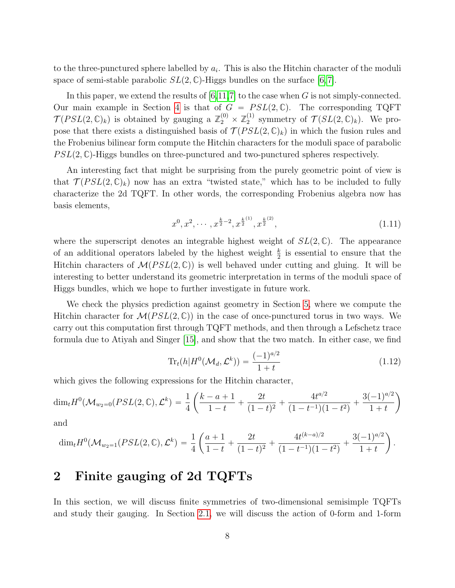to the three-punctured sphere labelled by  $a_i$ . This is also the Hitchin character of the moduli space of semi-stable parabolic  $SL(2,\mathbb{C})$ -Higgs bundles on the surface  $[6,7]$  $[6,7]$ .

In this paper, we extend the results of  $[6,11,7]$  $[6,11,7]$  $[6,11,7]$  to the case when G is not simply-connected. Our main example in Section [4](#page-26-0) is that of  $G = PSL(2, \mathbb{C})$ . The corresponding TQFT  $\mathcal{T}(PSL(2,\mathbb{C})_k)$  is obtained by gauging a  $\mathbb{Z}_2^{(0)} \times \mathbb{Z}_2^{(1)}$  $2^{(1)}$  symmetry of  $\mathcal{T}(SL(2,\mathbb{C})_k)$ . We propose that there exists a distinguished basis of  $\mathcal{T}(PSL(2,\mathbb{C})_k)$  in which the fusion rules and the Frobenius bilinear form compute the Hitchin characters for the moduli space of parabolic  $PSL(2, \mathbb{C})$ -Higgs bundles on three-punctured and two-punctured spheres respectively.

An interesting fact that might be surprising from the purely geometric point of view is that  $\mathcal{T}(PSL(2,\mathbb{C})_k)$  now has an extra "twisted state," which has to be included to fully characterize the 2d TQFT. In other words, the corresponding Frobenius algebra now has basis elements,

$$
x^{0}, x^{2}, \cdots, x^{\frac{k}{2}-2}, x^{\frac{k}{2}}^{(1)}, x^{\frac{k}{2}}^{(2)}, \qquad (1.11)
$$

where the superscript denotes an integrable highest weight of  $SL(2,\mathbb{C})$ . The appearance of an additional operators labeled by the highest weight  $\frac{k}{2}$  is essential to ensure that the Hitchin characters of  $\mathcal{M}(PSL(2,\mathbb{C}))$  is well behaved under cutting and gluing. It will be interesting to better understand its geometric interpretation in terms of the moduli space of Higgs bundles, which we hope to further investigate in future work.

We check the physics prediction against geometry in Section [5,](#page-34-0) where we compute the Hitchin character for  $\mathcal{M}(PSL(2,\mathbb{C}))$  in the case of once-punctured torus in two ways. We carry out this computation first through TQFT methods, and then through a Lefschetz trace formula due to Atiyah and Singer [\[15\]](#page-50-8), and show that the two match. In either case, we find

$$
\text{Tr}_t(h|H^0(\mathcal{M}_d, \mathcal{L}^k)) = \frac{(-1)^{a/2}}{1+t}
$$
 (1.12)

which gives the following expressions for the Hitchin character, ˆ

$$
\dim_t H^0(\mathcal{M}_{w_2=0}(PSL(2,\mathbb{C}),\mathcal{L}^k)=\frac{1}{4}\left(\frac{k-a+1}{1-t}+\frac{2t}{(1-t)^2}+\frac{4t^{a/2}}{(1-t^{-1})(1-t^2)}+\frac{3(-1)^{a/2}}{1+t}\right)
$$

and

$$
\dim_t H^0(\mathcal{M}_{w_2=1}(PSL(2,\mathbb{C}),\mathcal{L}^k)=\frac{1}{4}\left(\frac{a+1}{1-t}+\frac{2t}{(1-t)^2}+\frac{4t^{(k-a)/2}}{(1-t^{-1})(1-t^2)}+\frac{3(-1)^{a/2}}{1+t}\right).
$$

# <span id="page-8-0"></span>2 Finite gauging of 2d TQFTs

In this section, we will discuss finite symmetries of two-dimensional semisimple TQFTs and study their gauging. In Section [2.1,](#page-9-0) we will discuss the action of 0-form and 1-form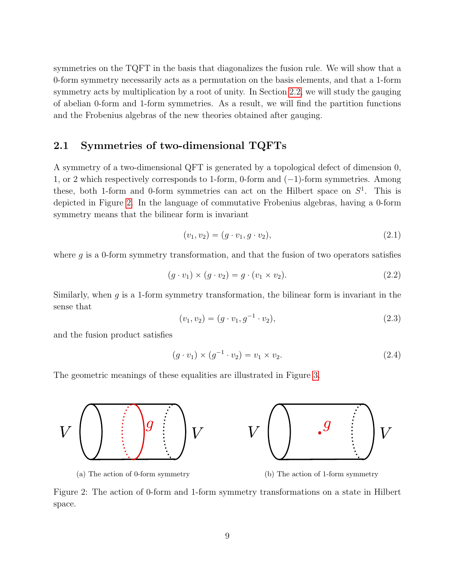symmetries on the TQFT in the basis that diagonalizes the fusion rule. We will show that a 0-form symmetry necessarily acts as a permutation on the basis elements, and that a 1-form symmetry acts by multiplication by a root of unity. In Section [2.2,](#page-11-0) we will study the gauging of abelian 0-form and 1-form symmetries. As a result, we will find the partition functions and the Frobenius algebras of the new theories obtained after gauging.

### <span id="page-9-0"></span>2.1 Symmetries of two-dimensional TQFTs

A symmetry of a two-dimensional QFT is generated by a topological defect of dimension 0, 1, or 2 which respectively corresponds to 1-form, 0-form and  $(-1)$ -form symmetries. Among these, both 1-form and 0-form symmetries can act on the Hilbert space on  $S^1$ . This is depicted in Figure [2.](#page-9-1) In the language of commutative Frobenius algebras, having a 0-form symmetry means that the bilinear form is invariant

$$
(v_1, v_2) = (g \cdot v_1, g \cdot v_2), \tag{2.1}
$$

where  $g$  is a 0-form symmetry transformation, and that the fusion of two operators satisfies

$$
(g \cdot v_1) \times (g \cdot v_2) = g \cdot (v_1 \times v_2). \tag{2.2}
$$

Similarly, when  $g$  is a 1-form symmetry transformation, the bilinear form is invariant in the sense that

$$
(v_1, v_2) = (g \cdot v_1, g^{-1} \cdot v_2), \tag{2.3}
$$

and the fusion product satisfies

$$
(g \cdot v_1) \times (g^{-1} \cdot v_2) = v_1 \times v_2.
$$
 (2.4)

<span id="page-9-1"></span>The geometric meanings of these equalities are illustrated in Figure [3.](#page-10-0)



(a) The action of 0-form symmetry (b) The action of 1-form symmetry

Figure 2: The action of 0-form and 1-form symmetry transformations on a state in Hilbert space.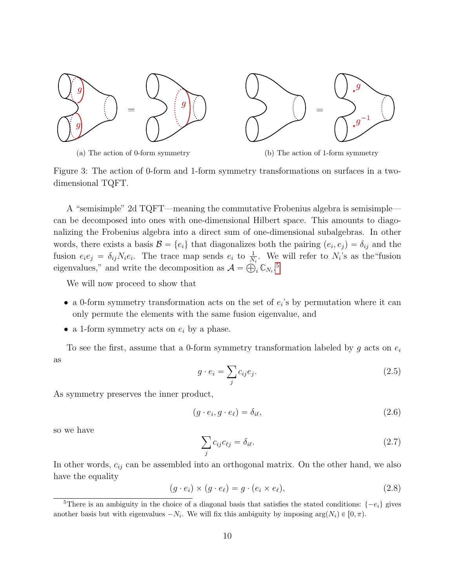<span id="page-10-0"></span>

Figure 3: The action of 0-form and 1-form symmetry transformations on surfaces in a twodimensional TQFT.

A "semisimple" 2d TQFT—meaning the commutative Frobenius algebra is semisimple can be decomposed into ones with one-dimensional Hilbert space. This amounts to diagonalizing the Frobenius algebra into a direct sum of one-dimensional subalgebras. In other words, there exists a basis  $\mathcal{B} = \{e_i\}$  that diagonalizes both the pairing  $(e_i, e_j) = \delta_{ij}$  and the fusion  $e_i e_j = \delta_{ij} N_i e_i$ . The trace map sends  $e_i$  to  $\frac{1}{N_i}$ . We will refer to  $N_i$ 's as the "fusion eigenvalues," and write the decomposition as  $A = \bigoplus_i \mathbb{C}_{N_i}$ .<sup>[5](#page-10-1)</sup>

We will now proceed to show that

- a 0-form symmetry transformation acts on the set of  $e_i$ 's by permutation where it can only permute the elements with the same fusion eigenvalue, and
- a 1-form symmetry acts on  $e_i$  by a phase.

To see the first, assume that a 0-form symmetry transformation labeled by g acts on  $e_i$ as

$$
g \cdot e_i = \sum_j c_{ij} e_j. \tag{2.5}
$$

As symmetry preserves the inner product,

$$
(g \cdot e_i, g \cdot e_\ell) = \delta_{i\ell},\tag{2.6}
$$

so we have

<span id="page-10-2"></span>
$$
\sum_{j} c_{ij} c_{\ell j} = \delta_{i\ell}.\tag{2.7}
$$

In other words,  $c_{ij}$  can be assembled into an orthogonal matrix. On the other hand, we also have the equality

$$
(g \cdot e_i) \times (g \cdot e_\ell) = g \cdot (e_i \times e_\ell), \tag{2.8}
$$

<span id="page-10-1"></span><sup>&</sup>lt;sup>5</sup>There is an ambiguity in the choice of a diagonal basis that satisfies the stated conditions:  $\{-e_i\}$  gives another basis but with eigenvalues  $-N_i$ . We will fix this ambiguity by imposing  $\arg(N_i) \in [0, \pi)$ .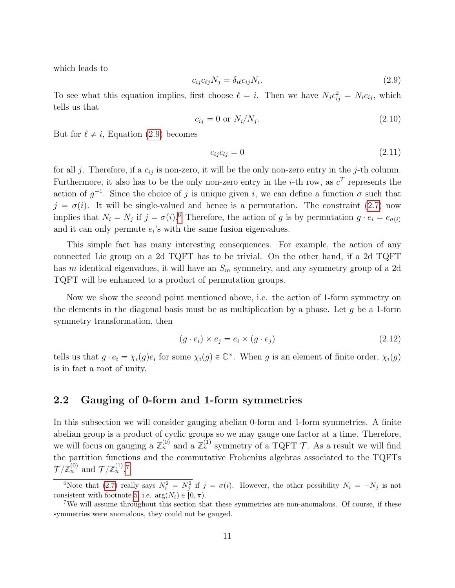which leads to

<span id="page-11-1"></span>
$$
c_{ij}c_{\ell j}N_j = \delta_{i\ell}c_{ij}N_i. \tag{2.9}
$$

To see what this equation implies, first choose  $\ell = i$ . Then we have  $N_j c_{ij}^2 = N_i c_{ij}$ , which tells us that

$$
c_{ij} = 0 \text{ or } N_i/N_j. \tag{2.10}
$$

But for  $\ell \neq i$ , Equation [\(2.9\)](#page-11-1) becomes

$$
c_{ij}c_{lj} = 0 \tag{2.11}
$$

for all j. Therefore, if a  $c_{ij}$  is non-zero, it will be the only non-zero entry in the j-th column. Furthermore, it also has to be the only non-zero entry in the *i*-th row, as  $c^T$  represents the action of  $g^{-1}$ . Since the choice of j is unique given i, we can define a function  $\sigma$  such that  $j = \sigma(i)$ . It will be single-valued and hence is a permutation. The constraint [\(2.7\)](#page-10-2) now implies that  $N_i = N_j$  if  $j = \sigma(i)$ .<sup>[6](#page-11-2)</sup> Therefore, the action of g is by permutation  $g \cdot e_i = e_{\sigma(i)}$ and it can only permute  $e_i$ 's with the same fusion eigenvalues.

This simple fact has many interesting consequences. For example, the action of any connected Lie group on a 2d TQFT has to be trivial. On the other hand, if a 2d TQFT has m identical eigenvalues, it will have an  $S_m$  symmetry, and any symmetry group of a 2d TQFT will be enhanced to a product of permutation groups.

Now we show the second point mentioned above, i.e. the action of 1-form symmetry on the elements in the diagonal basis must be as multiplication by a phase. Let  $q$  be a 1-form symmetry transformation, then

$$
(g \cdot e_i) \times e_j = e_i \times (g \cdot e_j) \tag{2.12}
$$

tells us that  $g \cdot e_i = \chi_i(g) e_i$  for some  $\chi_i(g) \in \mathbb{C}^\times$ . When g is an element of finite order,  $\chi_i(g)$ is in fact a root of unity.

### <span id="page-11-0"></span>2.2 Gauging of 0-form and 1-form symmetries

In this subsection we will consider gauging abelian 0-form and 1-form symmetries. A finite abelian group is a product of cyclic groups so we may gauge one factor at a time. Therefore, we will focus on gauging a  $\mathbb{Z}_n^{(0)}$  and a  $\mathbb{Z}_n^{(1)}$  symmetry of a TQFT T. As a result we will find the partition functions and the commutative Frobenius algebras associated to the TQFTs  $\mathcal{T}/\mathbb{Z}_n^{(0)}$  and  $\mathcal{T}/\mathbb{Z}_n^{(1)}$ .<sup>[7](#page-11-3)</sup>

<span id="page-11-2"></span><sup>&</sup>lt;sup>6</sup>Note that [\(2.7\)](#page-10-2) really says  $N_i^2 = N_j^2$  if  $j = \sigma(i)$ . However, the other possibility  $N_i = -N_j$  is not consistent with footnote [5,](#page-10-1) i.e.  $arg(N_i) \in [0, \pi)$ .

<span id="page-11-3"></span><sup>&</sup>lt;sup>7</sup>We will assume throughout this section that these symmetries are non-anomalous. Of course, if these symmetries were anomalous, they could not be gauged.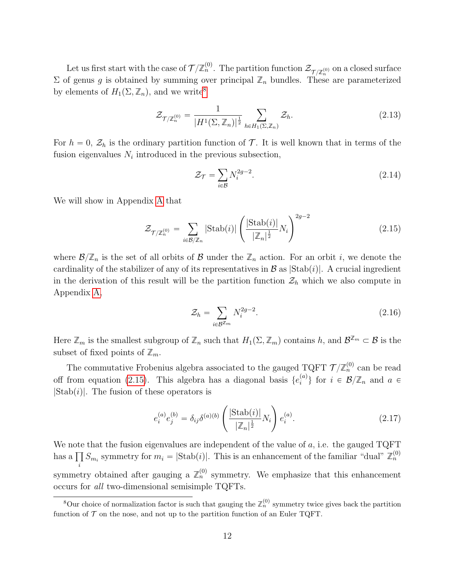Let us first start with the case of  $\mathcal{T}/\mathbb{Z}_n^{(0)}$ . The partition function  $\mathcal{Z}_{\mathcal{T}/\mathbb{Z}_n^{(0)}}$  on a closed surface  $\Sigma$  of genus g is obtained by summing over principal  $\mathbb{Z}_n$  bundles. These are parameterized by elements of  $H_1(\Sigma, \mathbb{Z}_n)$ , and we write<sup>[8](#page-12-0)</sup>

$$
\mathcal{Z}_{\mathcal{T}/\mathbb{Z}_n^{(0)}} = \frac{1}{|H^1(\Sigma, \mathbb{Z}_n)|^{\frac{1}{2}}} \sum_{h \in H_1(\Sigma, \mathbb{Z}_n)} \mathcal{Z}_h.
$$
\n(2.13)

For  $h = 0$ ,  $\mathcal{Z}_h$  is the ordinary partition function of T. It is well known that in terms of the fusion eigenvalues  $N_i$  introduced in the previous subsection,

$$
\mathcal{Z}_{\mathcal{T}} = \sum_{i \in \mathcal{B}} N_i^{2g-2}.
$$
\n(2.14)

We will show in Appendix [A](#page-40-0) that

<span id="page-12-1"></span>
$$
\mathcal{Z}_{\mathcal{T}/\mathbb{Z}_n^{(0)}} = \sum_{i \in \mathcal{B}/\mathbb{Z}_n} |\text{Stab}(i)| \left( \frac{|\text{Stab}(i)|}{|\mathbb{Z}_n|^{\frac{1}{2}}} N_i \right)^{2g-2} \tag{2.15}
$$

where  $\mathcal{B}/\mathbb{Z}_n$  is the set of all orbits of  $\mathcal{B}$  under the  $\mathbb{Z}_n$  action. For an orbit i, we denote the cardinality of the stabilizer of any of its representatives in  $\mathcal{B}$  as  $|\text{Stab}(i)|$ . A crucial ingredient in the derivation of this result will be the partition function  $\mathcal{Z}_h$  which we also compute in Appendix [A,](#page-40-0)

<span id="page-12-2"></span>
$$
\mathcal{Z}_h = \sum_{i \in \mathcal{B}^{\mathbb{Z}_m}} N_i^{2g-2}.
$$
\n(2.16)

Here  $\mathbb{Z}_m$  is the smallest subgroup of  $\mathbb{Z}_n$  such that  $H_1(\Sigma, \mathbb{Z}_m)$  contains h, and  $\mathcal{B}^{\mathbb{Z}_m} \subset \mathcal{B}$  is the subset of fixed points of  $\mathbb{Z}_m$ .

The commutative Frobenius algebra associated to the gauged TQFT  $\mathcal{T}/\mathbb{Z}_n^{(0)}$  can be read off from equation [\(2.15\)](#page-12-1). This algebra has a diagonal basis  $\{e_i^{(a)}\}$  $\{a^{(a)}\}\)$  for  $i \in \mathcal{B}/\mathbb{Z}_n$  and  $a \in \mathcal{B}/\mathbb{Z}_n$  $|Stab(i)|$ . The fusion of these operators is

$$
e_i^{(a)} e_j^{(b)} = \delta_{ij} \delta^{(a)(b)} \left( \frac{|\text{Stab}(i)|}{|\mathbb{Z}_n|^{\frac{1}{2}}} N_i \right) e_i^{(a)}.
$$
 (2.17)

We note that the fusion eigenvalues are independent of the value of  $a$ , i.e. the gauged TQFT we note<br>has a ∏  $\prod_i S_{m_i}$  symmetry for  $m_i = |\text{Stab}(i)|$ . This is an enhancement of the familiar "dual"  $\mathbb{Z}_n^{(0)}$ symmetry obtained after gauging a  $\mathbb{Z}_n^{(0)}$  symmetry. We emphasize that this enhancement occurs for all two-dimensional semisimple TQFTs.

<span id="page-12-0"></span><sup>&</sup>lt;sup>8</sup>Our choice of normalization factor is such that gauging the  $\mathbb{Z}_n^{(0)}$  symmetry twice gives back the partition function of  $\mathcal T$  on the nose, and not up to the partition function of an Euler TQFT.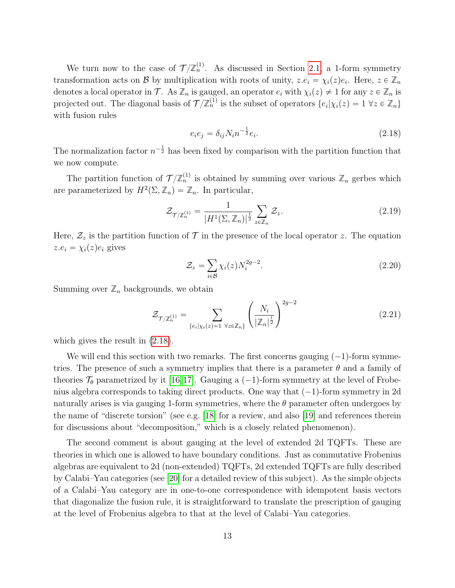We turn now to the case of  $\mathcal{T}/\mathbb{Z}_n^{(1)}$ . As discussed in Section [2.1,](#page-9-0) a 1-form symmetry transformation acts on B by multiplication with roots of unity,  $z.e_i = \chi_i(z)e_i$ . Here,  $z \in \mathbb{Z}_n$ denotes a local operator in T. As  $\mathbb{Z}_n$  is gauged, an operator  $e_i$  with  $\chi_i(z) \neq 1$  for any  $z \in \mathbb{Z}_n$  is projected out. The diagonal basis of  $\mathcal{T}/\mathbb{Z}_n^{(1)}$  is the subset of operators  $\{e_i|\chi_i(z)=1 \,\,\forall z\in\mathbb{Z}_n\}$ with fusion rules

<span id="page-13-0"></span>
$$
e_i e_j = \delta_{ij} N_i n^{-\frac{1}{2}} e_i.
$$
\n(2.18)

The normalization factor  $n^{-\frac{1}{2}}$  has been fixed by comparison with the partition function that we now compute.

The partition function of  $\mathcal{T}/\mathbb{Z}_n^{(1)}$  is obtained by summing over various  $\mathbb{Z}_n$  gerbes which are parameterized by  $H^2(\Sigma, \mathbb{Z}_n) = \mathbb{Z}_n$ . In particular,

$$
\mathcal{Z}_{\mathcal{T}/\mathbb{Z}_n^{(1)}} = \frac{1}{|H^1(\Sigma, \mathbb{Z}_n)|^{\frac{1}{2}}} \sum_{z \in \mathbb{Z}_n} \mathcal{Z}_z.
$$
 (2.19)

Here,  $\mathcal{Z}_z$  is the partition function of  $\mathcal T$  in the presence of the local operator z. The equation  $z.e_i = \chi_i(z)e_i$  gives

<span id="page-13-1"></span>
$$
\mathcal{Z}_z = \sum_{i \in \mathcal{B}} \chi_i(z) N_i^{2g-2}.
$$
\n(2.20)

Summing over  $\mathbb{Z}_n$  backgrounds, we obtain

<span id="page-13-2"></span>
$$
\mathcal{Z}_{\mathcal{T}/\mathbb{Z}_n^{(1)}} = \sum_{\{e_i|\chi_i(z)=1 \ \forall z \in \mathbb{Z}_n\}} \left(\frac{N_i}{|\mathbb{Z}_n|^{\frac{1}{2}}}\right)^{2g-2} \tag{2.21}
$$

which gives the result in [\(2.18\)](#page-13-0).

We will end this section with two remarks. The first concerns gauging  $(-1)$ -form symmetries. The presence of such a symmetry implies that there is a parameter  $\theta$  and a family of theories  $\mathcal{T}_{\theta}$  parametrized by it [\[16,](#page-50-9)[17\]](#page-50-10). Gauging a (-1)-form symmetry at the level of Frobenius algebra corresponds to taking direct products. One way that  $(-1)$ -form symmetry in 2d naturally arises is via gauging 1-form symmetries, where the  $\theta$  parameter often undergoes by the name of "discrete torsion" (see e.g. [\[18\]](#page-50-11) for a review, and also [\[19\]](#page-50-12) and references therein for discussions about "decomposition," which is a closely related phenomenon).

The second comment is about gauging at the level of extended 2d TQFTs. These are theories in which one is allowed to have boundary conditions. Just as commutative Frobenius algebras are equivalent to 2d (non-extended) TQFTs, 2d extended TQFTs are fully described by Calabi–Yau categories (see [\[20\]](#page-50-13) for a detailed review of this subject). As the simple objects of a Calabi–Yau category are in one-to-one correspondence with idempotent basis vectors that diagonalize the fusion rule, it is straightforward to translate the prescription of gauging at the level of Frobenius algebra to that at the level of Calabi–Yau categories.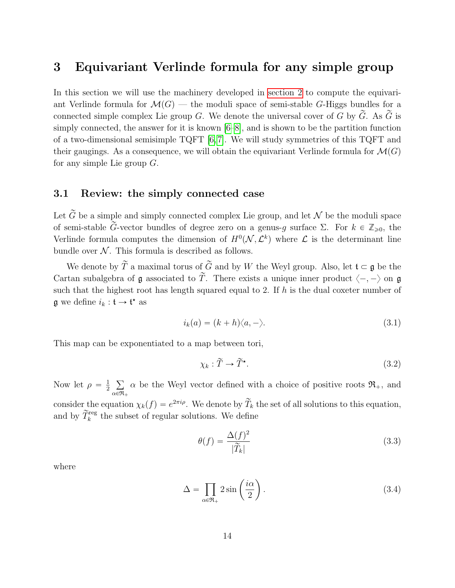# <span id="page-14-0"></span>3 Equivariant Verlinde formula for any simple group

In this section we will use the machinery developed in [section 2](#page-8-0) to compute the equivariant Verlinde formula for  $\mathcal{M}(G)$  — the moduli space of semi-stable G-Higgs bundles for a connected simple complex Lie group G. We denote the universal cover of G by  $\tilde{G}$ . As  $\tilde{G}$  is simply connected, the answer for it is known [\[6](#page-50-0)[–8\]](#page-50-1), and is shown to be the partition function of a two-dimensional semisimple TQFT [\[6,](#page-50-0) [7\]](#page-50-5). We will study symmetries of this TQFT and their gaugings. As a consequence, we will obtain the equivariant Verlinde formula for  $\mathcal{M}(G)$ for any simple Lie group  $G$ .

## <span id="page-14-1"></span>3.1 Review: the simply connected case

Let  $\tilde{G}$  be a simple and simply connected complex Lie group, and let  $\mathcal N$  be the moduli space of semi-stable  $\tilde{G}$ -vector bundles of degree zero on a genus-q surface  $\Sigma$ . For  $k \in \mathbb{Z}_{\geq 0}$ , the Verlinde formula computes the dimension of  $H^0(\mathcal{N}, \mathcal{L}^k)$  where  $\mathcal L$  is the determinant line bundle over  $N$ . This formula is described as follows.

We denote by  $\widetilde{T}$  a maximal torus of  $\widetilde{G}$  and by W the Weyl group. Also, let  $\mathfrak{t} \subset \mathfrak{g}$  be the Cartan subalgebra of g associated to  $\widetilde{T}$ . There exists a unique inner product  $\langle -, - \rangle$  on g such that the highest root has length squared equal to 2. If  $h$  is the dual coxeter number of **g** we define  $i_k : \mathfrak{t} \to \mathfrak{t}^*$  as

$$
i_k(a) = (k+h)\langle a, -\rangle. \tag{3.1}
$$

This map can be exponentiated to a map between tori,

<span id="page-14-2"></span>
$$
\chi_k : \widetilde{T} \to \widetilde{T}^\star. \tag{3.2}
$$

Now let  $\rho = \frac{1}{2}$ 2  $_{\alpha \in \mathfrak{R}_+}$  $\alpha$  be the Weyl vector defined with a choice of positive roots  $\mathfrak{R}_+$ , and consider the equation  $\chi_k(f) = e^{2\pi i \rho}$ . We denote by  $\widetilde{T}_k$  the set of all solutions to this equation, and by  $\widetilde{T}_{k}^{\text{reg}}$  the subset of regular solutions. We define

$$
\theta(f) = \frac{\Delta(f)^2}{|\widetilde{T}_k|} \tag{3.3}
$$

where

<span id="page-14-3"></span>
$$
\Delta = \prod_{\alpha \in \mathfrak{R}_+} 2 \sin \left( \frac{i\alpha}{2} \right). \tag{3.4}
$$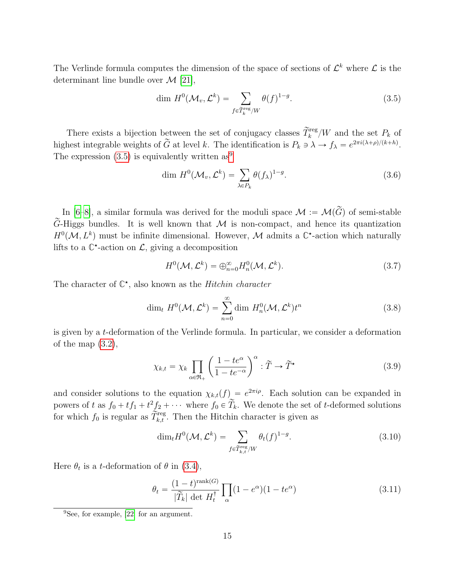The Verlinde formula computes the dimension of the space of sections of  $\mathcal{L}^k$  where  $\mathcal{L}$  is the determinant line bundle over  $\mathcal{M}$  [\[21\]](#page-51-0),

<span id="page-15-0"></span>
$$
\dim H^0(\mathcal{M}_v, \mathcal{L}^k) = \sum_{f \in \tilde{T}_k^{\text{reg}}/W} \theta(f)^{1-g}.
$$
\n(3.5)

There exists a bijection between the set of conjugacy classes  $\widetilde{T}_k^{\text{reg}}/W$  and the set  $P_k$  of highest integrable weights of  $\tilde{G}$  at level k. The identification is  $P_k \ni \lambda \to f_{\lambda} = e^{2\pi i (\lambda + \rho)/(k+h)}$ . The expression  $(3.5)$  is equivalently written as<sup>[9](#page-15-1)</sup>

$$
\dim H^0(\mathcal{M}_v, \mathcal{L}^k) = \sum_{\lambda \in P_k} \theta(f_\lambda)^{1-g}.
$$
\n(3.6)

In [\[6–](#page-50-0)[8\]](#page-50-1), a similar formula was derived for the moduli space  $\mathcal{M} := \mathcal{M}(\widetilde{G})$  of semi-stable G-Higgs bundles. It is well known that  $M$  is non-compact, and hence its quantization  $H^0(\mathcal{M}, L^k)$  must be infinite dimensional. However,  $\mathcal M$  admits a  $\mathbb C^*$ -action which naturally lifts to a  $\mathbb{C}^*$ -action on  $\mathcal{L}$ , giving a decomposition

$$
H^{0}(\mathcal{M}, \mathcal{L}^{k}) = \bigoplus_{n=0}^{\infty} H_{n}^{0}(\mathcal{M}, \mathcal{L}^{k}).
$$
\n(3.7)

The character of  $\mathbb{C}^*$ , also known as the *Hitchin character* 

$$
\dim_t H^0(\mathcal{M}, \mathcal{L}^k) = \sum_{n=0}^{\infty} \dim H_n^0(\mathcal{M}, \mathcal{L}^k) t^n
$$
\n(3.8)

is given by a t-deformation of the Verlinde formula. In particular, we consider a deformation of the map  $(3.2)$ ,

<span id="page-15-3"></span>
$$
\chi_{k,t} = \chi_k \prod_{\alpha \in \mathfrak{R}_+} \left( \frac{1 - te^{\alpha}}{1 - te^{-\alpha}} \right)^{\alpha} : \widetilde{T} \to \widetilde{T}^{\star}
$$
\n(3.9)

and consider solutions to the equation  $\chi_{k,t}(f) = e^{2\pi i \rho}$ . Each solution can be expanded in powers of t as  $f_0 + tf_1 + t^2 f_2 + \cdots$  where  $f_0 \in \widetilde{T}_k$ . We denote the set of t-deformed solutions for which  $f_0$  is regular as  $\tilde{\tilde{T}}_{k,t}^{\text{reg}}$ . Then the Hitchin character is given as

<span id="page-15-2"></span>
$$
\dim_t H^0(\mathcal{M}, \mathcal{L}^k) = \sum_{f \in \widetilde{T}_{k,t}^{\text{reg}}/W} \theta_t(f)^{1-g}.
$$
\n(3.10)

Here  $\theta_t$  is a *t*-deformation of  $\theta$  in [\(3.4\)](#page-14-3),

$$
\theta_t = \frac{(1-t)^{\text{rank}(G)}}{|\widetilde{T}_k| \det H_t^{\dagger}} \prod_{\alpha} (1 - e^{\alpha})(1 - te^{\alpha}) \tag{3.11}
$$

<span id="page-15-1"></span><sup>9</sup>See, for example, [\[22\]](#page-51-1) for an argument.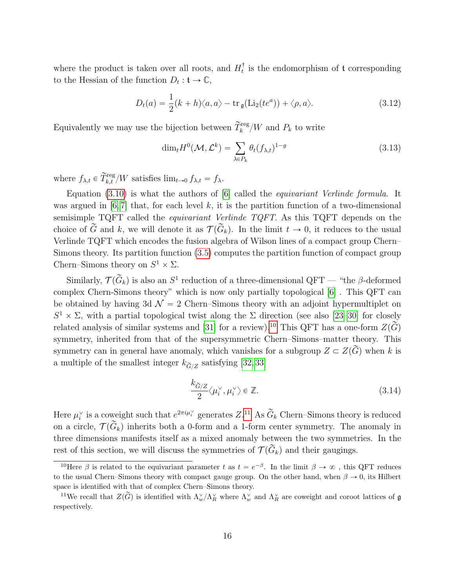where the product is taken over all roots, and  $H_t^{\dagger}$  is the endomorphism of t corresponding to the Hessian of the function  $D_t: \mathfrak{t} \to \mathbb{C}$ ,

$$
D_t(a) = \frac{1}{2}(k+h)\langle a, a\rangle - \text{tr}_{\mathfrak{g}}(\text{Li}_2(te^a)) + \langle \rho, a\rangle.
$$
 (3.12)

Equivalently we may use the bijection between  $\widetilde{T}_{k}^{\text{reg}}/W$  and  $P_{k}$  to write

$$
\dim_t H^0(\mathcal{M}, \mathcal{L}^k) = \sum_{\lambda \in P_k} \theta_t (f_{\lambda, t})^{1 - g}
$$
\n(3.13)

where  $f_{\lambda,t} \in \widetilde{T}_{k,t}^{\text{reg}}/W$  satisfies  $\lim_{t \to 0} f_{\lambda,t} = f_{\lambda}$ .

Equation [\(3.10\)](#page-15-2) is what the authors of [\[6\]](#page-50-0) called the *equivariant Verlinde formula*. It was argued in [\[6,](#page-50-0)7] that, for each level k, it is the partition function of a two-dimensional semisimple TQFT called the equivariant Verlinde TQFT. As this TQFT depends on the choice of  $\tilde{G}$  and k, we will denote it as  $\mathcal{T}(\tilde{G}_k)$ . In the limit  $t \to 0$ , it reduces to the usual Verlinde TQFT which encodes the fusion algebra of Wilson lines of a compact group Chern– Simons theory. Its partition function [\(3.5\)](#page-15-0) computes the partition function of compact group Chern–Simons theory on  $S^1 \times \Sigma$ .

Similarly,  $\mathcal{T}(\widetilde{G}_k)$  is also an  $S^1$  reduction of a three-dimensional QFT — "the  $\beta$ -deformed complex Chern-Simons theory" which is now only partially topological [\[6\]](#page-50-0) . This QFT can be obtained by having 3d  $\mathcal{N} = 2$  Chern–Simons theory with an adjoint hypermultiplet on  $S^1 \times \Sigma$ , with a partial topological twist along the Σ direction (see also [\[23–](#page-51-2)[30\]](#page-51-3) for closely related analysis of similar systems and [\[31\]](#page-51-4) for a review).<sup>[10](#page-16-1)</sup> This QFT has a one-form  $Z(\widetilde{G})$ symmetry, inherited from that of the supersymmetric Chern–Simons–matter theory. This symmetry can in general have anomaly, which vanishes for a subgroup  $Z \subset Z(\widetilde{G})$  when k is a multiple of the smallest integer  $k_{\tilde{G}/Z}$  satisfying [\[32,](#page-51-5)33]

<span id="page-16-0"></span>
$$
\frac{k_{\widetilde{G}/Z}}{2} \langle \mu_i^{\vee}, \mu_i^{\vee} \rangle \in \mathbb{Z}.
$$
\n(3.14)

Here  $\mu_i^{\vee}$  is a coweight such that  $e^{2\pi i \mu_i^{\vee}}$  generates  $Z$ .<sup>[11](#page-16-2)</sup> As  $\widetilde{G}_k$  Chern–Simons theory is reduced on a circle,  $\mathcal{T}(\widetilde{G}_k)$  inherits both a 0-form and a 1-form center symmetry. The anomaly in three dimensions manifests itself as a mixed anomaly between the two symmetries. In the rest of this section, we will discuss the symmetries of  $\mathcal{T}(\widetilde{G}_k)$  and their gaugings.

<span id="page-16-1"></span><sup>&</sup>lt;sup>10</sup>Here  $\beta$  is related to the equivariant parameter t as  $t = e^{-\beta}$ . In the limit  $\beta \to \infty$ , this QFT reduces to the usual Chern–Simons theory with compact gauge group. On the other hand, when  $\beta \to 0$ , its Hilbert space is identified with that of complex Chern–Simons theory.

<span id="page-16-2"></span><sup>&</sup>lt;sup>11</sup>We recall that  $Z(\widetilde{G})$  is identified with  $\Lambda_w^{\vee}/\Lambda_R^{\vee}$  where  $\Lambda_w^{\vee}$  and  $\Lambda_R^{\vee}$  are coweight and coroot lattices of g respectively.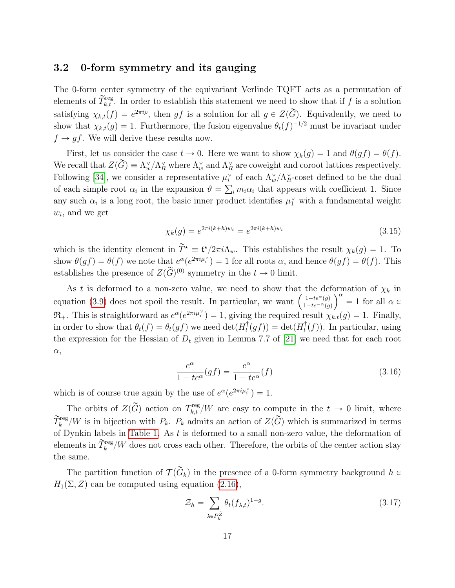## <span id="page-17-0"></span>3.2 0-form symmetry and its gauging

The 0-form center symmetry of the equivariant Verlinde TQFT acts as a permutation of elements of  $\widetilde{T}_{k,t}^{\text{reg}}$ . In order to establish this statement we need to show that if f is a solution satisfying  $\chi_{k,t}(f) = e^{2\pi i \rho}$ , then gf is a solution for all  $g \in Z(\widetilde{G})$ . Equivalently, we need to show that  $\chi_{k,t}(g) = 1$ . Furthermore, the fusion eigenvalue  $\theta_t(f)^{-1/2}$  must be invariant under  $f \rightarrow gf$ . We will derive these results now.

First, let us consider the case  $t \to 0$ . Here we want to show  $\chi_k(g) = 1$  and  $\theta(gf) = \theta(f)$ . We recall that  $Z(\widetilde{G}) = \Lambda_w^{\vee}/\Lambda_R^{\vee}$  where  $\Lambda_w^{\vee}$  and  $\Lambda_R^{\vee}$  are coweight and coroot lattices respectively. Following [\[34\]](#page-51-7), we consider a representative  $\mu_i^{\vee}$  of each  $\Lambda_w^{\vee}/\Lambda_R^{\vee}$ -coset defined to be the dual of each simple root  $\alpha_i$  in the expansion  $\vartheta = \sum_i m_i \alpha_i$  that appears with coefficient 1. Since any such  $\alpha_i$  is a long root, the basic inner product identifies  $\mu_1^{\vee}$  with a fundamental weight  $w_i$ , and we get

$$
\chi_k(g) = e^{2\pi i (k+h)w_i} = e^{2\pi i (k+h)w_i}
$$
\n(3.15)

which is the identity element in  $\widetilde{T}^* \equiv \mathfrak{t}^*/2\pi i \Lambda_w$ . This establishes the result  $\chi_k(g) = 1$ . To show  $\theta(gf) = \theta(f)$  we note that  $e^{\alpha}(e^{2\pi i \mu_i^{\vee}}) = 1$  for all roots  $\alpha$ , and hence  $\theta(gf) = \theta(f)$ . This establishes the presence of  $Z(\widetilde{G})^{(0)}$  symmetry in the  $t \to 0$  limit.

As t is deformed to a non-zero value, we need to show that the deformation of  $\chi_k$  in As t is deformed to a non-zero value, we need to show that the detailer equation [\(3.9\)](#page-15-3) does not spoil the result. In particular, we want  $\left(\frac{1-te^{\alpha}(g)}{1-te^{-\alpha}(g)}\right)$  $\frac{1-te^{\alpha}(g)}{1-te^{-\alpha}(g)}$  = 1 for all  $\alpha \in$  $\mathfrak{R}_+$ . This is straightforward as  $e^{\alpha}(e^{2\pi i \mu_i^{\vee}}) = 1$ , giving the required result  $\chi_{k,t}(g) = 1$ . Finally, in order to show that  $\theta_t(f) = \theta_t(gf)$  we need  $\det(H_t^{\dagger}(gf)) = \det(H_t^{\dagger}(f))$ . In particular, using the expression for the Hessian of  $D_t$  given in Lemma 7.7 of [\[21\]](#page-51-0) we need that for each root  $\alpha$ ,

$$
\frac{e^{\alpha}}{1 - te^{\alpha}}(gf) = \frac{e^{\alpha}}{1 - te^{\alpha}}(f)
$$
\n(3.16)

which is of course true again by the use of  $e^{\alpha}(e^{2\pi i \mu_i^{\vee}}) = 1$ .

The orbits of  $Z(\widetilde{G})$  action on  $T_{k,t}^{reg}/W$  are easy to compute in the  $t \to 0$  limit, where  $\widetilde{T}_{k}^{\text{reg}}/W$  is in bijection with  $P_k$ .  $P_k$  admits an action of  $Z(\widetilde{G})$  which is summarized in terms of Dynkin labels in [Table 1.](#page-18-1) As t is deformed to a small non-zero value, the deformation of elements in  $\widetilde{T}_{k}^{\text{reg}}/W$  does not cross each other. Therefore, the orbits of the center action stay the same.

The partition function of  $\mathcal{T}(\widetilde{G}_k)$  in the presence of a 0-form symmetry background  $h \in$  $H_1(\Sigma, Z)$  can be computed using equation [\(2.16\)](#page-12-2),

<span id="page-17-1"></span>
$$
\mathcal{Z}_h = \sum_{\lambda \in P_k^{\tilde{Z}}} \theta_t (f_{\lambda, t})^{1 - g}.
$$
\n(3.17)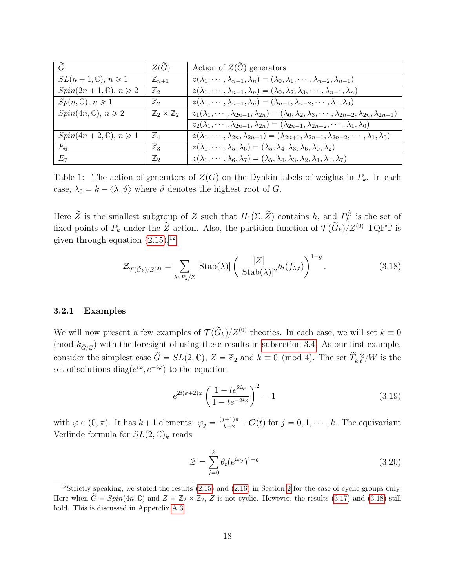<span id="page-18-1"></span>

| $\tilde{G}$                       | $Z(\tilde{G})$                     | Action of $Z(\tilde{G})$ generators                                                                                                   |
|-----------------------------------|------------------------------------|---------------------------------------------------------------------------------------------------------------------------------------|
| $SL(n+1,\mathbb{C}), n \geq 1$    | $\mathbb{Z}_{n+1}$                 | $z(\lambda_1, \cdots, \lambda_{n-1}, \lambda_n) = (\lambda_0, \lambda_1, \cdots, \lambda_{n-2}, \lambda_{n-1})$                       |
| $Spin(2n+1,\mathbb{C}), n \geq 2$ | $\mathbb{Z}_2$                     | $z(\lambda_1, \dots, \lambda_{n-1}, \lambda_n) = (\lambda_0, \lambda_2, \lambda_3, \dots, \lambda_{n-1}, \lambda_n)$                  |
| $Sp(n,\mathbb{C}), n \geq 1$      | $\mathbb{Z}_2$                     | $z(\lambda_1,\cdots,\lambda_{n-1},\lambda_n)=(\lambda_{n-1},\lambda_{n-2},\cdots,\lambda_1,\lambda_0)$                                |
| $Spin(4n,\mathbb{C}), n \geq 2$   | $\mathbb{Z}_2 \times \mathbb{Z}_2$ | $z_1(\lambda_1,\cdots,\lambda_{2n-1},\lambda_{2n})=(\lambda_0,\lambda_2,\lambda_3,\cdots,\lambda_{2n-2},\lambda_{2n},\lambda_{2n-1})$ |
|                                   |                                    | $z_2(\lambda_1,\cdots,\lambda_{2n-1},\lambda_{2n})=(\lambda_{2n-1},\lambda_{2n-2},\cdots,\lambda_1,\lambda_0)$                        |
| $Spin(4n+2,\mathbb{C}), n \geq 1$ | $\mathbb{Z}_4$                     | $z(\lambda_1,\cdots,\lambda_{2n},\lambda_{2n+1})=(\lambda_{2n+1},\lambda_{2n-1},\lambda_{2n-2},\cdots,\lambda_1,\lambda_0)$           |
| $E_6$                             | $\mathbb{Z}_3$                     | $z(\lambda_1,\cdots,\lambda_5,\lambda_6)=(\lambda_5,\lambda_4,\lambda_3,\lambda_6,\lambda_0,\lambda_2)$                               |
| $E_7$                             | $\mathbb{Z}_2$                     | $z(\lambda_1,\cdots,\lambda_6,\lambda_7)=(\lambda_5,\lambda_4,\lambda_3,\lambda_2,\lambda_1,\lambda_0,\lambda_7)$                     |

Table 1: The action of generators of  $Z(G)$  on the Dynkin labels of weights in  $P_k$ . In each case,  $\lambda_0 = k - \langle \lambda, \vartheta \rangle$  where  $\vartheta$  denotes the highest root of G.

Here  $\widetilde{Z}$  is the smallest subgroup of Z such that  $H_1(\Sigma, \widetilde{Z})$  contains h, and  $P_k^{\widetilde{Z}}$  is the set of fixed points of  $P_k$  under the  $\widetilde{Z}$  action. Also, the partition function of  $\widetilde{\mathcal{T}}(\widetilde{G}_k)_i Z^{(0)}$  TQFT is given through equation  $(2.15)$ ,<sup>[12](#page-18-2)</sup>

<span id="page-18-3"></span>
$$
\mathcal{Z}_{\mathcal{T}(\widetilde{G}_k)/Z^{(0)}} = \sum_{\lambda \in P_k/Z} |\text{Stab}(\lambda)| \left( \frac{|Z|}{|\text{Stab}(\lambda)|^2} \theta_t(f_{\lambda,t}) \right)^{1-g}.
$$
 (3.18)

#### <span id="page-18-0"></span>3.2.1 Examples

We will now present a few examples of  $\mathcal{T}(\widetilde{G}_k)/Z^{(0)}$  theories. In each case, we will set  $k \equiv 0$ (mod  $k_{\tilde{G}/Z}$ ) with the foresight of using these results in [subsection 3.4.](#page-21-1) As our first example, consider the simplest case  $\widetilde{G} = SL(2, \mathbb{C}), Z = \mathbb{Z}_2$  and  $k \equiv 0 \pmod{4}$ . The set  $\widetilde{T}_{k,t}^{\text{reg}}/W$  is the set of solutions  $diag(e^{i\varphi}, e^{-i\varphi})$  to the equation

$$
e^{2i(k+2)\varphi} \left(\frac{1 - te^{2i\varphi}}{1 - te^{-2i\varphi}}\right)^2 = 1
$$
\n(3.19)

with  $\varphi \in (0, \pi)$ . It has  $k + 1$  elements:  $\varphi_j = \frac{(j+1)\pi}{k+2} + \mathcal{O}(t)$  for  $j = 0, 1, \dots, k$ . The equivariant Verlinde formula for  $SL(2,\mathbb{C})_k$  reads

$$
\mathcal{Z} = \sum_{j=0}^{k} \theta_t (e^{i\varphi_j})^{1-g}
$$
\n(3.20)

<span id="page-18-2"></span><sup>&</sup>lt;sup>12</sup>Strictly speaking, we stated the results [\(2.15\)](#page-12-1) and [\(2.16\)](#page-12-2) in Section [2](#page-8-0) for the case of cyclic groups only. Here when  $\widetilde{G} = Spin(4n, \mathbb{C})$  and  $Z = \mathbb{Z}_2 \times \mathbb{Z}_2$ , Z is not cyclic. However, the results [\(3.17\)](#page-17-1) and [\(3.18\)](#page-18-3) still hold. This is discussed in Appendix [A.3.](#page-46-0)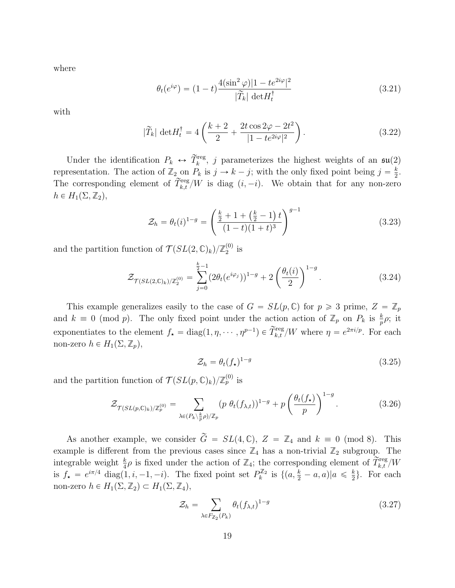where

$$
\theta_t(e^{i\varphi}) = (1-t)\frac{4(\sin^2\varphi)|1 - te^{2i\varphi}|^2}{|\widetilde{T}_k| \det H_t^{\dagger}}
$$
\n(3.21)

with

$$
|\widetilde{T}_{k}| \det H_{t}^{\dagger} = 4\left(\frac{k+2}{2} + \frac{2t\cos 2\varphi - 2t^{2}}{|1 - te^{2i\varphi}|^{2}}\right).
$$
 (3.22)

Under the identification  $P_k \leftrightarrow \tilde{T}_k^{\text{reg}}$ , j parameterizes the highest weights of an  $\mathfrak{su}(2)$ representation. The action of  $\mathbb{Z}_2$  on  $P_k$  is  $j \to k - j$ ; with the only fixed point being  $j = \frac{k}{2}$  $\frac{k}{2}$ . The corresponding element of  $\widetilde{T}_{k,t}^{\text{reg}}/W$  is diag  $(i, -i)$ . We obtain that for any non-zero  $h \in H_1(\Sigma, \mathbb{Z}_2),$ 

<span id="page-19-1"></span>
$$
\mathcal{Z}_h = \theta_t(i)^{1-g} = \left(\frac{\frac{k}{2} + 1 + (\frac{k}{2} - 1)t}{(1-t)(1+t)^3}\right)^{g-1}
$$
\n(3.23)

and the partition function of  $\mathcal{T}(SL(2,\mathbb{C})_k)/\mathbb{Z}_2^{(0)}$  $_{2}^{\left( 0\right) }$  is

$$
\mathcal{Z}_{\mathcal{T}(SL(2,\mathbb{C})_k)/\mathbb{Z}_2^{(0)}} = \sum_{j=0}^{\frac{k}{2}-1} (2\theta_t(e^{i\varphi_j}))^{1-g} + 2\left(\frac{\theta_t(i)}{2}\right)^{1-g}.
$$
 (3.24)

This example generalizes easily to the case of  $G = SL(p, \mathbb{C})$  for  $p \geq 3$  prime,  $Z = \mathbb{Z}_p$ and  $k \equiv 0 \pmod{p}$ . The only fixed point under the action action of  $\mathbb{Z}_p$  on  $P_k$  is  $\frac{k}{p} \rho$ ; it exponentiates to the element  $f_{\star} = \text{diag}(1, \eta, \dots, \eta^{p-1}) \in \widetilde{T}_{k,t}^{\text{reg}}/W$  where  $\eta = e^{2\pi i/p}$ . For each non-zero  $h \in H_1(\Sigma, \mathbb{Z}_p)$ ,

$$
\mathcal{Z}_h = \theta_t(f_\star)^{1-g} \tag{3.25}
$$

and the partition function of  $\mathcal{T}(SL(p,\mathbb{C})_k)/\mathbb{Z}_p^{(0)}$  is

$$
\mathcal{Z}_{\mathcal{T}(SL(p,\mathbb{C})_k)/\mathbb{Z}_p^{(0)}} = \sum_{\lambda \in (P_k \setminus \frac{k}{p}\rho)/\mathbb{Z}_p} (p \; \theta_t(f_{\lambda,t}))^{1-g} + p \left(\frac{\theta_t(f_\star)}{p}\right)^{1-g}.
$$
 (3.26)

As another example, we consider  $\tilde{G} = SL(4, \mathbb{C}), Z = \mathbb{Z}_4$  and  $k \equiv 0 \pmod{8}$ . This example is different from the previous cases since  $\mathbb{Z}_4$  has a non-trivial  $\mathbb{Z}_2$  subgroup. The integrable weight  $\frac{k}{4}\rho$  is fixed under the action of  $\mathbb{Z}_4$ ; the corresponding element of  $\overline{\widetilde{T}_{k,t}}^{\text{reg}}/W$ is  $f_{\star} = e^{i\pi/4} \operatorname{diag}(1, i, -1, -i)$ . The fixed point set  $P_k^{\mathbb{Z}_2}$  is  $\{(a, \frac{k}{2} - a, a) | a \leq \frac{k}{2}\}$  $\frac{k}{2}$ . For each non-zero  $h \in H_1(\Sigma, \mathbb{Z}_2) \subset H_1(\Sigma, \mathbb{Z}_4)$ ,

<span id="page-19-0"></span>
$$
\mathcal{Z}_h = \sum_{\lambda \in F_{\mathbb{Z}_2}(P_k)} \theta_t(f_{\lambda,t})^{1-g} \tag{3.27}
$$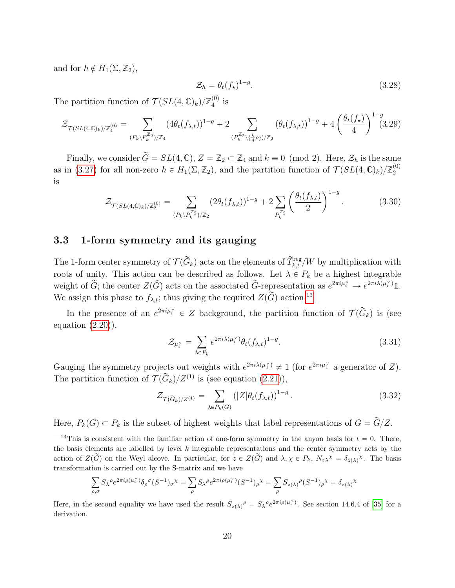and for  $h \notin H_1(\Sigma, \mathbb{Z}_2)$ ,

$$
\mathcal{Z}_h = \theta_t(f_\star)^{1-g}.\tag{3.28}
$$

ˆ

The partition function of  $\mathcal{T}(SL(4,\mathbb{C})_k)/\mathbb{Z}_4^{(0)}$  $_4^{(0)}$  is

$$
\mathcal{Z}_{\mathcal{T}(SL(4,\mathbb{C})_k)/\mathbb{Z}_4^{(0)}} = \sum_{(P_k \backslash P_k^{\mathbb{Z}_2})/\mathbb{Z}_4} (4\theta_t(f_{\lambda,t}))^{1-g} + 2 \sum_{(P_k^{\mathbb{Z}_2} \backslash \{\frac{k}{4}\rho\})/\mathbb{Z}_2} (\theta_t(f_{\lambda,t}))^{1-g} + 4 \left(\frac{\theta_t(f_{\star})}{4}\right)^{1-g} (3.29)
$$

Finally, we consider  $\widetilde{G} = SL(4, \mathbb{C}), Z = \mathbb{Z}_2 \subset \mathbb{Z}_4$  and  $k \equiv 0 \pmod{2}$ . Here,  $\mathcal{Z}_h$  is the same as in [\(3.27\)](#page-19-0) for all non-zero  $h \in H_1(\Sigma, \mathbb{Z}_2)$ , and the partition function of  $\mathcal{T}(SL(4,\mathbb{C})_k)/\mathbb{Z}_2^{(0)}$ 2 is ˆ

$$
\mathcal{Z}_{\mathcal{T}(SL(4,\mathbb{C})_k)/\mathbb{Z}_2^{(0)}} = \sum_{(P_k \backslash P_k^{\mathbb{Z}_2})/\mathbb{Z}_2} (2\theta_t(f_{\lambda,t}))^{1-g} + 2 \sum_{P_k^{\mathbb{Z}_2}} \left(\frac{\theta_t(f_{\lambda,t})}{2}\right)^{1-g}.
$$
 (3.30)

### <span id="page-20-0"></span>3.3 1-form symmetry and its gauging

The 1-form center symmetry of  $\mathcal{T}(\widetilde{G}_k)$  acts on the elements of  $\widetilde{T}^\text{reg}_{k,t}/W$  by multiplication with roots of unity. This action can be described as follows. Let  $\lambda \in P_k$  be a highest integrable weight of  $\widetilde{G}$ ; the center  $Z(\widetilde{G})$  acts on the associated  $\widetilde{G}$ -representation as  $e^{2\pi i \mu_i^{\vee}} \to e^{2\pi i \lambda(\mu_i^{\vee})} \mathbb{1}$ . We assign this phase to  $f_{\lambda,t}$ ; thus giving the required  $Z(\widetilde{G})$  action.<sup>[13](#page-20-1)</sup>

In the presence of an  $e^{2\pi i \mu_i^{\vee}} \in Z$  background, the partition function of  $\mathcal{T}(\widetilde{G}_k)$  is (see equation  $(2.20)$ ,

<span id="page-20-2"></span>
$$
\mathcal{Z}_{\mu_i^{\vee}} = \sum_{\lambda \in P_k} e^{2\pi i \lambda(\mu_i^{\vee})} \theta_t(f_{\lambda,t})^{1-g}.
$$
\n(3.31)

Gauging the symmetry projects out weights with  $e^{2\pi i\lambda(\mu_1^{\vee})} \neq 1$  (for  $e^{2\pi i\mu_1^{\vee}}$  a generator of Z). The partition function of  $\tilde{\mathcal{T}}(\tilde{G}_k)/Z^{(1)}$  is (see equation [\(2.21\)](#page-13-2)),  $\ddot{\phantom{0}}$ 

$$
\mathcal{Z}_{\mathcal{T}(\widetilde{G}_k)/Z^{(1)}} = \sum_{\lambda \in P_k(G)} (|Z|\theta_t(f_{\lambda,t}))^{1-g} \,. \tag{3.32}
$$

Here,  $P_k(G) \subset P_k$  is the subset of highest weights that label representations of  $G = \tilde{G}/Z$ .

$$
\sum_{\rho,\sigma} S_{\lambda}{}^{\rho} e^{2\pi i \rho(\mu_i^{\vee})} \delta_{\rho}{}^{\sigma} (S^{-1})_{\sigma}{}^{\chi} = \sum_{\rho} S_{\lambda}{}^{\rho} e^{2\pi i \rho(\mu_i^{\vee})} (S^{-1})_{\rho}{}^{\chi} = \sum_{\rho} S_{z(\lambda)}{}^{\rho} (S^{-1})_{\rho}{}^{\chi} = \delta_{z(\lambda)}{}^{\chi}
$$

Here, in the second equality we have used the result  $S_{z(\lambda)}^{\rho} = S_{\lambda}^{\rho} e^{2\pi i \rho(\mu_i^{\vee})}$ . See section 14.6.4 of [\[35\]](#page-51-8) for a derivation.

<span id="page-20-1"></span><sup>&</sup>lt;sup>13</sup>This is consistent with the familiar action of one-form symmetry in the anyon basis for  $t = 0$ . There, the basis elements are labelled by level  $k$  integrable representations and the center symmetry acts by the action of  $Z(\widetilde{G})$  on the Weyl alcove. In particular, for  $z \in Z(\widetilde{G})$  and  $\lambda, \chi \in P_k$ ,  $N_z\chi^{\chi} = \delta_{z(\lambda)}\chi$ . The basis transformation is carried out by the S-matrix and we have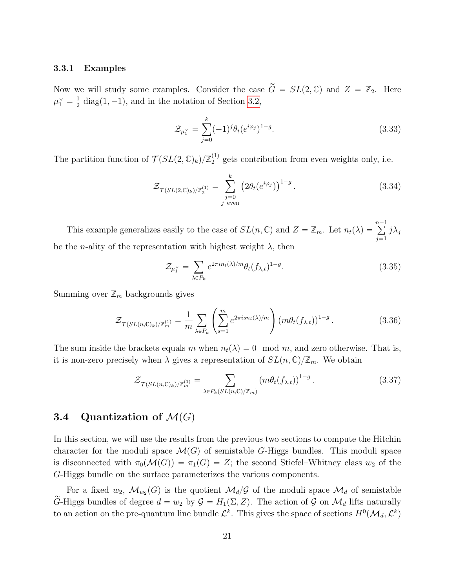#### <span id="page-21-0"></span>3.3.1 Examples

Now we will study some examples. Consider the case  $\tilde{G} = SL(2,\mathbb{C})$  and  $Z = \mathbb{Z}_2$ . Here  $\mu_1^\vee = \frac{1}{2}$  $\frac{1}{2}$  diag(1, -1), and in the notation of Section [3.2,](#page-17-0)

$$
\mathcal{Z}_{\mu_1^{\vee}} = \sum_{j=0}^{k} (-1)^j \theta_t (e^{i\varphi_j})^{1-g}.
$$
\n(3.33)

The partition function of  $\mathcal{T}(SL(2,\mathbb{C})_k)/\mathbb{Z}_2^{(1)}$  $_2^{(1)}$  gets contribution from even weights only, i.e.

$$
\mathcal{Z}_{\mathcal{T}(SL(2,\mathbb{C})_k)/\mathbb{Z}_2^{(1)}} = \sum_{\substack{j=0 \ j \text{ even}}}^k \left(2\theta_t(e^{i\varphi_j})\right)^{1-g}.
$$
\n(3.34)

This example generalizes easily to the case of  $SL(n, \mathbb{C})$  and  $Z = \mathbb{Z}_m$ . Let  $n_t(\lambda) =$  $n-1$  $j=1$  $j\lambda_j$ be the *n*-ality of the representation with highest weight  $\lambda$ , then

$$
\mathcal{Z}_{\mu_1^{\vee}} = \sum_{\lambda \in P_k} e^{2\pi i n_t(\lambda)/m} \theta_t(f_{\lambda,t})^{1-g}.
$$
\n(3.35)

Summing over  $\mathbb{Z}_m$  backgrounds gives

$$
\mathcal{Z}_{\mathcal{T}(SL(n,\mathbb{C})_k)/\mathbb{Z}_m^{(1)}} = \frac{1}{m} \sum_{\lambda \in P_k} \left( \sum_{s=1}^m e^{2\pi i s n_t(\lambda)/m} \right) \left( m \theta_t(f_{\lambda,t}) \right)^{1-g}.
$$
 (3.36)

The sum inside the brackets equals m when  $n_t(\lambda) = 0 \mod m$ , and zero otherwise. That is, it is non-zero precisely when  $\lambda$  gives a representation of  $SL(n,\mathbb{C})/\mathbb{Z}_m$ . We obtain

$$
\mathcal{Z}_{\mathcal{T}(SL(n,\mathbb{C})_k)/\mathbb{Z}_m^{(1)}} = \sum_{\lambda \in P_k(SL(n,\mathbb{C})/\mathbb{Z}_m)} (m\theta_t(f_{\lambda,t}))^{1-g} \,. \tag{3.37}
$$

# <span id="page-21-1"></span>3.4 Quantization of  $\mathcal{M}(G)$

In this section, we will use the results from the previous two sections to compute the Hitchin character for the moduli space  $\mathcal{M}(G)$  of semistable G-Higgs bundles. This moduli space is disconnected with  $\pi_0(\mathcal{M}(G)) = \pi_1(G) = Z$ ; the second Stiefel–Whitney class  $w_2$  of the G-Higgs bundle on the surface parameterizes the various components.

For a fixed  $w_2$ ,  $\mathcal{M}_{w_2}(G)$  is the quotient  $\mathcal{M}_d/\mathcal{G}$  of the moduli space  $\mathcal{M}_d$  of semistable  $\widetilde{G}$ -Higgs bundles of degree  $d = w_2$  by  $\mathcal{G} = H_1(\Sigma, Z)$ . The action of  $\mathcal{G}$  on  $\mathcal{M}_d$  lifts naturally to an action on the pre-quantum line bundle  $\mathcal{L}^k$ . This gives the space of sections  $H^0(\mathcal{M}_d, \mathcal{L}^k)$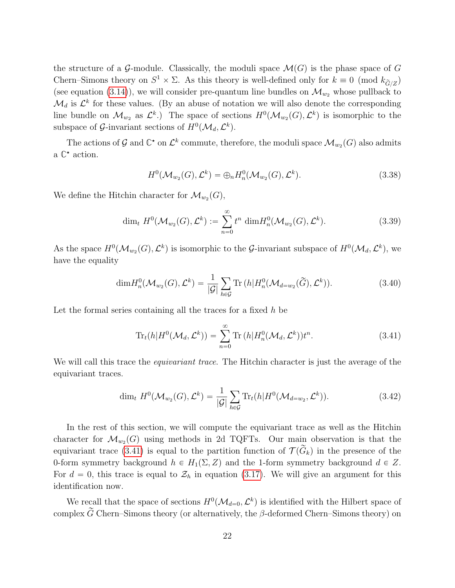the structure of a G-module. Classically, the moduli space  $\mathcal{M}(G)$  is the phase space of G Chern–Simons theory on  $S^1 \times \Sigma$ . As this theory is well-defined only for  $k \equiv 0 \pmod{k_{\widetilde{G}/Z}}$ (see equation [\(3.14\)](#page-16-0)), we will consider pre-quantum line bundles on  $\mathcal{M}_{w_2}$  whose pullback to  $\mathcal{M}_d$  is  $\mathcal{L}^k$  for these values. (By an abuse of notation we will also denote the corresponding line bundle on  $\mathcal{M}_{w_2}$  as  $\mathcal{L}^k$ .) The space of sections  $H^0(\mathcal{M}_{w_2}(G), \mathcal{L}^k)$  is isomorphic to the subspace of G-invariant sections of  $H^0(\mathcal{M}_d, \mathcal{L}^k)$ .

The actions of  $\mathcal G$  and  $\mathbb C^*$  on  $\mathcal L^k$  commute, therefore, the moduli space  $\mathcal M_{w_2}(G)$  also admits a  $\mathbb{C}^*$  action.

$$
H^{0}(\mathcal{M}_{w_2}(G), \mathcal{L}^k) = \bigoplus_n H_n^{0}(\mathcal{M}_{w_2}(G), \mathcal{L}^k).
$$
\n(3.38)

We define the Hitchin character for  $\mathcal{M}_{w_2}(G)$ ,

$$
\dim_t H^0(\mathcal{M}_{w_2}(G), \mathcal{L}^k) := \sum_{n=0}^{\infty} t^n \dim H_n^0(\mathcal{M}_{w_2}(G), \mathcal{L}^k).
$$
 (3.39)

As the space  $H^0(\mathcal{M}_{w_2}(G), \mathcal{L}^k)$  is isomorphic to the G-invariant subspace of  $H^0(\mathcal{M}_d, \mathcal{L}^k)$ , we have the equality

$$
\dim H_n^0(\mathcal{M}_{w_2}(G), \mathcal{L}^k) = \frac{1}{|\mathcal{G}|} \sum_{h \in \mathcal{G}} \text{Tr}\left(h | H_n^0(\mathcal{M}_{d=w_2}(\widetilde{G}), \mathcal{L}^k)\right).
$$
\n(3.40)

Let the formal series containing all the traces for a fixed  $h$  be

<span id="page-22-0"></span>
$$
\operatorname{Tr}_{t}(h|H^{0}(\mathcal{M}_{d},\mathcal{L}^{k})) = \sum_{n=0}^{\infty} \operatorname{Tr}(h|H_{n}^{0}(\mathcal{M}_{d},\mathcal{L}^{k}))t^{n}.
$$
\n(3.41)

We will call this trace the *equivariant trace*. The Hitchin character is just the average of the equivariant traces.

$$
\dim_t H^0(\mathcal{M}_{w_2}(G), \mathcal{L}^k) = \frac{1}{|\mathcal{G}|} \sum_{h \in \mathcal{G}} \text{Tr}_t(h | H^0(\mathcal{M}_{d=w_2}, \mathcal{L}^k)). \tag{3.42}
$$

In the rest of this section, we will compute the equivariant trace as well as the Hitchin character for  $\mathcal{M}_{w_2}(G)$  using methods in 2d TQFTs. Our main observation is that the equivariant trace [\(3.41\)](#page-22-0) is equal to the partition function of  $\mathcal{T}(\tilde{G}_k)$  in the presence of the 0-form symmetry background  $h \in H_1(\Sigma, Z)$  and the 1-form symmetry background  $d \in Z$ . For  $d = 0$ , this trace is equal to  $\mathcal{Z}_h$  in equation [\(3.17\)](#page-17-1). We will give an argument for this identification now.

We recall that the space of sections  $H^0(\mathcal{M}_{d=0}, \mathcal{L}^k)$  is identified with the Hilbert space of complex  $\widetilde{G}$  Chern–Simons theory (or alternatively, the  $\beta$ -deformed Chern–Simons theory) on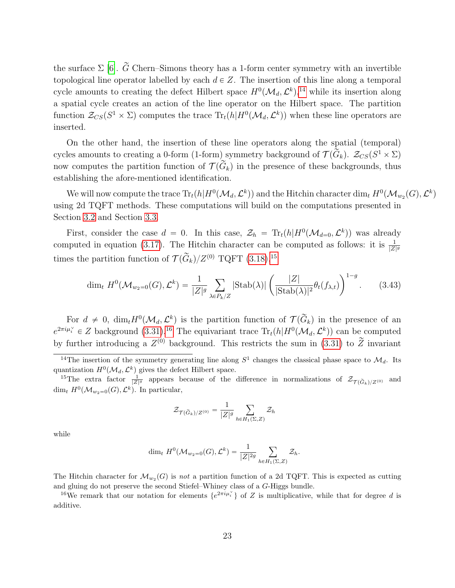the surface  $\Sigma$  [\[6\]](#page-50-0).  $\widetilde{G}$  Chern–Simons theory has a 1-form center symmetry with an invertible topological line operator labelled by each  $d \in Z$ . The insertion of this line along a temporal cycle amounts to creating the defect Hilbert space  $H^0(\mathcal{M}_d, \mathcal{L}^k),^{14}$  $H^0(\mathcal{M}_d, \mathcal{L}^k),^{14}$  $H^0(\mathcal{M}_d, \mathcal{L}^k),^{14}$  while its insertion along a spatial cycle creates an action of the line operator on the Hilbert space. The partition function  $\mathcal{Z}_{CS}(S^1 \times \Sigma)$  computes the trace  $\text{Tr}_t(h|H^0(\mathcal{M}_d, \mathcal{L}^k))$  when these line operators are inserted.

On the other hand, the insertion of these line operators along the spatial (temporal) cycles amounts to creating a 0-form (1-form) symmetry background of  $\mathcal{T}(\hat{G}_k)$ .  $\mathcal{Z}_{CS}(S^1 \times \Sigma)$ now computes the partition function of  $\mathcal{T}(\widetilde{G}_k)$  in the presence of these backgrounds, thus establishing the afore-mentioned identification.

We will now compute the trace  $\text{Tr}_t(h|H^0(\mathcal{M}_d, \mathcal{L}^k))$  and the Hitchin character  $\dim_t H^0(\mathcal{M}_{w_2}(G), \mathcal{L}^k)$ using 2d TQFT methods. These computations will build on the computations presented in Section [3.2](#page-17-0) and Section [3.3.](#page-20-0)

First, consider the case  $d = 0$ . In this case,  $\mathcal{Z}_h = \text{Tr}_t(h|H^0(\mathcal{M}_{d=0}, \mathcal{L}^k))$  was already computed in equation [\(3.17\)](#page-17-1). The Hitchin character can be computed as follows: it is  $\frac{1}{|Z|^g}$ times the partition function of  $\mathcal{T}(\widetilde{G}_k)/Z^{(0)}$  TQFT  $(3.18),^{15}$  $(3.18),^{15}$  $(3.18),^{15}$  $(3.18),^{15}$ 

$$
\dim_t H^0(\mathcal{M}_{w_2=0}(G), \mathcal{L}^k) = \frac{1}{|Z|^g} \sum_{\lambda \in P_k/Z} |\text{Stab}(\lambda)| \left( \frac{|Z|}{|\text{Stab}(\lambda)|^2} \theta_t(f_{\lambda, t}) \right)^{1-g}.
$$
 (3.43)

For  $d \neq 0$ ,  $\dim_t H^0(\mathcal{M}_d, \mathcal{L}^k)$  is the partition function of  $\mathcal{T}(\widetilde{G}_k)$  in the presence of an  $e^{2\pi i \mu_i^{\vee}} \in Z$  background  $(3.31)^{16}$  $(3.31)^{16}$  $(3.31)^{16}$  $(3.31)^{16}$  The equivariant trace  $\text{Tr}_t(h|H^0(\mathcal{M}_d, \mathcal{L}^k))$  can be computed by further introducing a  $Z^{(0)}$  background. This restricts the sum in [\(3.31\)](#page-20-2) to  $\tilde{Z}$  invariant

$$
\mathcal{Z}_{\mathcal{T}(\widetilde{G}_k)/Z^{(0)}} = \frac{1}{|Z|^g} \sum_{h \in H_1(\Sigma, Z)} \mathcal{Z}_h
$$

while

$$
\dim_t H^0(\mathcal{M}_{w_2=0}(G), \mathcal{L}^k) = \frac{1}{|Z|^{2g}} \sum_{h \in H_1(\Sigma, Z)} \mathcal{Z}_h.
$$

The Hitchin character for  $\mathcal{M}_{w_2}(G)$  is not a partition function of a 2d TQFT. This is expected as cutting and gluing do not preserve the second Stiefel–Whiney class of a G-Higgs bundle.

<span id="page-23-2"></span><sup>16</sup>We remark that our notation for elements  $\{e^{2\pi i \mu_i^\vee}\}\$  of Z is multiplicative, while that for degree d is additive.

<span id="page-23-0"></span><sup>&</sup>lt;sup>14</sup>The insertion of the symmetry generating line along  $S^1$  changes the classical phase space to  $\mathcal{M}_d$ . Its quantization  $H^0(\mathcal{M}_d, \mathcal{L}^k)$  gives the defect Hilbert space.

<span id="page-23-1"></span><sup>&</sup>lt;sup>15</sup>The extra factor  $\frac{1}{|Z|^g}$  appears because of the difference in normalizations of  $\mathcal{Z}_{\mathcal{T}(\widetilde{G}_k)/Z^{(0)}}$  and dim<sub>t</sub>  $H^0(\mathcal{M}_{w_2=0}(G), \mathcal{L}^k)$ . In particular,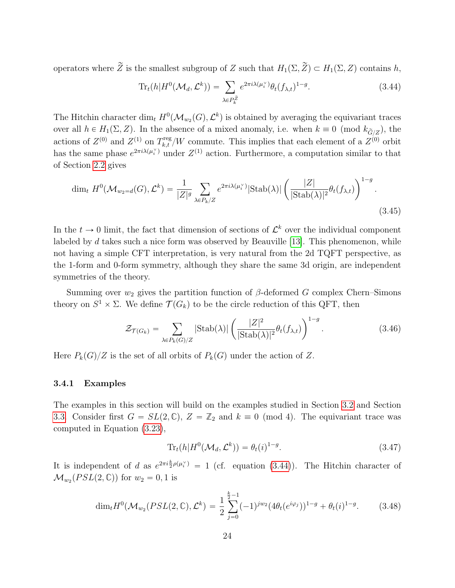operators where  $\widetilde{Z}$  is the smallest subgroup of Z such that  $H_1(\Sigma, \widetilde{Z}) \subset H_1(\Sigma, Z)$  contains h,

<span id="page-24-1"></span>
$$
\operatorname{Tr}_{t}(h|H^{0}(\mathcal{M}_{d},\mathcal{L}^{k})) = \sum_{\lambda \in P_{k}^{\tilde{Z}}} e^{2\pi i \lambda(\mu_{i}^{\vee})} \theta_{t}(f_{\lambda,t})^{1-g}.
$$
\n(3.44)

The Hitchin character  $\dim_t H^0(\mathcal{M}_{w_2}(G), \mathcal{L}^k)$  is obtained by averaging the equivariant traces over all  $h \in H_1(\Sigma, Z)$ . In the absence of a mixed anomaly, i.e. when  $k \equiv 0 \pmod{k_{\widetilde{G}/Z}}$ , the actions of  $Z^{(0)}$  and  $Z^{(1)}$  on  $T_{k,t}^{\text{reg}}/W$  commute. This implies that each element of a  $Z^{(0)}$  orbit has the same phase  $e^{2\pi i\lambda(\mu_i^{\vee})}$  under  $Z^{(1)}$  action. Furthermore, a computation similar to that of Section [2.2](#page-11-0) gives

$$
\dim_t H^0(\mathcal{M}_{w_2=d}(G), \mathcal{L}^k) = \frac{1}{|Z|^g} \sum_{\lambda \in P_k/Z} e^{2\pi i \lambda(\mu_i^\vee)} |\text{Stab}(\lambda)| \left(\frac{|Z|}{|\text{Stab}(\lambda)|^2} \theta_t(f_{\lambda,t})\right)^{1-g}.
$$
\n(3.45)

In the  $t \to 0$  limit, the fact that dimension of sections of  $\mathcal{L}^k$  over the individual component labeled by d takes such a nice form was observed by Beauville [\[13\]](#page-50-14). This phenomenon, while not having a simple CFT interpretation, is very natural from the 2d TQFT perspective, as the 1-form and 0-form symmetry, although they share the same 3d origin, are independent symmetries of the theory.

Summing over  $w_2$  gives the partition function of  $\beta$ -deformed G complex Chern–Simons theory on  $S^1 \times \Sigma$ . We define  $\mathcal{T}(G_k)$  to be the circle reduction of this QFT, then

$$
\mathcal{Z}_{\mathcal{T}(G_k)} = \sum_{\lambda \in P_k(G)/Z} |\text{Stab}(\lambda)| \left( \frac{|Z|^2}{|\text{Stab}(\lambda)|^2} \theta_t(f_{\lambda,t}) \right)^{1-g}.
$$
 (3.46)

Here  $P_k(G)/Z$  is the set of all orbits of  $P_k(G)$  under the action of Z.

#### <span id="page-24-0"></span>3.4.1 Examples

The examples in this section will build on the examples studied in Section [3.2](#page-17-0) and Section [3.3.](#page-20-0) Consider first  $G = SL(2, \mathbb{C}), Z = \mathbb{Z}_2$  and  $k \equiv 0 \pmod{4}$ . The equivariant trace was computed in Equation [\(3.23\)](#page-19-1),

$$
\operatorname{Tr}_{t}(h|H^{0}(\mathcal{M}_{d},\mathcal{L}^{k}))=\theta_{t}(i)^{1-g}.
$$
\n(3.47)

It is independent of d as  $e^{2\pi i \frac{k}{2}\rho(\mu_i^{\vee})} = 1$  (cf. equation [\(3.44\)](#page-24-1)). The Hitchin character of  $\mathcal{M}_{w_2}(PSL(2,\mathbb{C}))$  for  $w_2 = 0, 1$  is

$$
\dim_t H^0(\mathcal{M}_{w_2}(PSL(2,\mathbb{C}),\mathcal{L}^k) = \frac{1}{2} \sum_{j=0}^{\frac{k}{2}-1} (-1)^{jw_2} (4\theta_t(e^{i\varphi_j}))^{1-g} + \theta_t(i)^{1-g}.
$$
 (3.48)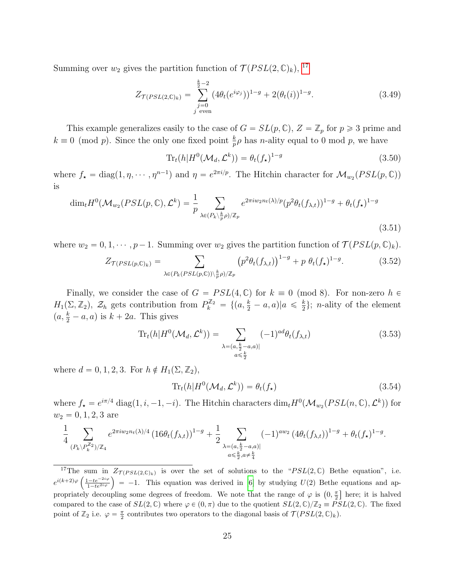Summing over  $w_2$  gives the partition function of  $\mathcal{T}(PSL(2,\mathbb{C})_k)$ , <sup>[17](#page-25-0)</sup>

$$
Z_{\mathcal{T}(PSL(2,\mathbb{C})_k)} = \sum_{\substack{j=0 \ j \text{ even}}}^{\frac{k}{2}-2} (4\theta_t(e^{i\varphi_j}))^{1-g} + 2(\theta_t(i))^{1-g}.
$$
 (3.49)

This example generalizes easily to the case of  $G = SL(p, \mathbb{C}), Z = \mathbb{Z}_p$  for  $p \geq 3$  prime and  $k \equiv 0 \pmod{p}$ . Since the only one fixed point  $\frac{k}{p} \rho$  has *n*-ality equal to 0 mod p, we have

$$
\text{Tr}_t(h|H^0(\mathcal{M}_d, \mathcal{L}^k)) = \theta_t(f_\star)^{1-g} \tag{3.50}
$$

where  $f_{\star} = \text{diag}(1, \eta, \dots, \eta^{n-1})$  and  $\eta = e^{2\pi i/p}$ . The Hitchin character for  $\mathcal{M}_{w_2}(PSL(p, \mathbb{C}))$ is

$$
\dim_t H^0(\mathcal{M}_{w_2}(PSL(p,\mathbb{C}),\mathcal{L}^k) = \frac{1}{p} \sum_{\lambda \in (P_k \setminus \frac{k}{p}\rho)/\mathbb{Z}_p} e^{2\pi i w_2 n_t(\lambda)/p} (p^2 \theta_t(f_{\lambda,t}))^{1-g} + \theta_t(f_{\star})^{1-g}
$$
\n(3.51)

where  $w_2 = 0, 1, \dots, p-1$ . Summing over  $w_2$  gives the partition function of  $\mathcal{T}(PSL(p, \mathbb{C})_k)$ .

$$
Z_{\mathcal{T}(PSL(p,\mathbb{C})_k)} = \sum_{\lambda \in (P_k(PSL(p,\mathbb{C})) \setminus \frac{k}{p}\rho)/\mathbb{Z}_p} \left( p^2 \theta_t(f_{\lambda,t}) \right)^{1-g} + p \ \theta_t(f_\star)^{1-g}.
$$
 (3.52)

Finally, we consider the case of  $G = PSL(4, \mathbb{C})$  for  $k \equiv 0 \pmod{8}$ . For non-zero  $h \in$  $H_1(\Sigma, \mathbb{Z}_2)$ ,  $\mathcal{Z}_h$  gets contribution from  $P_k^{\mathbb{Z}_2} = \{(a, \frac{k}{2} - a, a) | a \leq \frac{k}{2} \}$  $\frac{k}{2}$ ; *n*-ality of the element  $(a, \frac{k}{2} - a, a)$  is  $k + 2a$ . This gives

$$
\text{Tr}_{t}(h|H^{0}(\mathcal{M}_{d},\mathcal{L}^{k})) = \sum_{\substack{\lambda=(a,\frac{k}{2}-a,a)|\\ a\leq \frac{k}{2}}} (-1)^{ad} \theta_{t}(f_{\lambda,t})
$$
(3.53)

where  $d = 0, 1, 2, 3$ . For  $h \notin H_1(\Sigma, \mathbb{Z}_2)$ ,

$$
\operatorname{Tr}_{t}(h|H^{0}(\mathcal{M}_{d},\mathcal{L}^{k}))=\theta_{t}(f_{\star})
$$
\n(3.54)

where  $f_{\star} = e^{i\pi/4} \operatorname{diag}(1, i, -1, -i)$ . The Hitchin characters  $\dim_t H^0(\mathcal{M}_{w_2}(PSL(n, \mathbb{C}), \mathcal{L}^k))$  for  $w_2 = 0, 1, 2, 3$  are

$$
\frac{1}{4} \sum_{\substack{(P_k \setminus P_k^{\mathbb{Z}_2})/\mathbb{Z}_4}} e^{2\pi i w_2 n_t(\lambda)/4} \left(16\theta_t(f_{\lambda,t})\right)^{1-g} + \frac{1}{2} \sum_{\substack{\lambda = (a, \frac{k}{2} - a, a) \mid \\ a \le \frac{k}{2}, a \neq \frac{k}{4}}} (-1)^{aw_2} \left(4\theta_t(f_{\lambda,t})\right)^{1-g} + \theta_t(f_{\star})^{1-g}.
$$

<span id="page-25-0"></span><sup>&</sup>lt;sup>17</sup>The sum in  $Z_{\mathcal{T}(PSL(2,\mathbb{C})_k)}$  is over the set of solutions to the "PSL(2, C) Bethe equation", i.e. <sup>1</sup>The sum in  $Z_{\mathcal{T}(PSL(2,\mathbb{C}))_k}$  is over the set of solutions to the " $PSL(2,\mathbb{C})$  Bethe equation", i.e.<br>  $e^{i(k+2)\varphi}\left(\frac{1-te^{-2i\varphi}}{1-te^{2i\varphi}}\right) = -1$ . This equation was derived in [\[6\]](#page-50-0) by studying  $U(2)$  Bethe equations propriately decoupling some degrees of freedom. We note that the range of  $\varphi$  is  $(0, \frac{\pi}{2}]$  here; it is halved compared to the case of  $SL(2,\mathbb{C})$  where  $\varphi \in (0,\pi)$  due to the quotient  $SL(2,\mathbb{C})/\mathbb{Z}_2 \equiv PSL(2,\mathbb{C})$ . The fixed point of  $\mathbb{Z}_2$  i.e.  $\varphi = \frac{\pi}{2}$  contributes two operators to the diagonal basis of  $\mathcal{T}(PSL(2,\mathbb{C})_k)$ .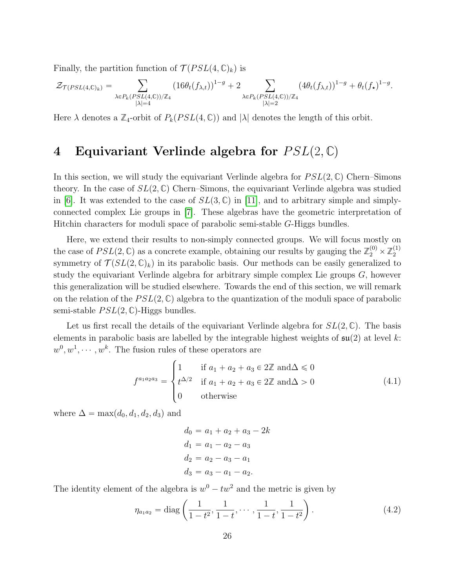Finally, the partition function of  $\mathcal{T}(PSL(4,\mathbb{C})_k)$  is

$$
\mathcal{Z}_{\mathcal{T}(PSL(4,\mathbb{C})_k)} = \sum_{\substack{\lambda \in P_k(PSL(4,\mathbb{C}))/\mathbb{Z}_4 \\ |\lambda| = 4}} (16\theta_t(f_{\lambda,t}))^{1-g} + 2 \sum_{\substack{\lambda \in P_k(PSL(4,\mathbb{C}))/\mathbb{Z}_4 \\ |\lambda| = 2}} (4\theta_t(f_{\lambda,t}))^{1-g} + \theta_t(f_{\star})^{1-g}.
$$

Here  $\lambda$  denotes a  $\mathbb{Z}_4$ -orbit of  $P_k(PSL(4,\mathbb{C}))$  and  $|\lambda|$  denotes the length of this orbit.

# <span id="page-26-0"></span>4 Equivariant Verlinde algebra for  $PSL(2,\mathbb{C})$

In this section, we will study the equivariant Verlinde algebra for  $PSL(2,\mathbb{C})$  Chern–Simons theory. In the case of  $SL(2,\mathbb{C})$  Chern–Simons, the equivariant Verlinde algebra was studied in [\[6\]](#page-50-0). It was extended to the case of  $SL(3,\mathbb{C})$  in [\[11\]](#page-50-4), and to arbitrary simple and simplyconnected complex Lie groups in [\[7\]](#page-50-5). These algebras have the geometric interpretation of Hitchin characters for moduli space of parabolic semi-stable G-Higgs bundles.

Here, we extend their results to non-simply connected groups. We will focus mostly on the case of  $PSL(2, \mathbb{C})$  as a concrete example, obtaining our results by gauging the  $\mathbb{Z}_2^{(0)} \times \mathbb{Z}_2^{(1)}$ 2 symmetry of  $\mathcal{T}(SL(2,\mathbb{C})_k)$  in its parabolic basis. Our methods can be easily generalized to study the equivariant Verlinde algebra for arbitrary simple complex Lie groups  $G$ , however this generalization will be studied elsewhere. Towards the end of this section, we will remark on the relation of the  $PSL(2,\mathbb{C})$  algebra to the quantization of the moduli space of parabolic semi-stable  $PSL(2, \mathbb{C})$ -Higgs bundles.

Let us first recall the details of the equivariant Verlinde algebra for  $SL(2,\mathbb{C})$ . The basis elements in parabolic basis are labelled by the integrable highest weights of  $\mathfrak{su}(2)$  at level k:  $w^0, w^1, \dots, w^k$ . The fusion rules of these operators are  $\overline{a}$ 

$$
f^{a_1 a_2 a_3} = \begin{cases} 1 & \text{if } a_1 + a_2 + a_3 \in 2\mathbb{Z} \text{ and } \Delta \le 0 \\ t^{\Delta/2} & \text{if } a_1 + a_2 + a_3 \in 2\mathbb{Z} \text{ and } \Delta > 0 \\ 0 & \text{otherwise} \end{cases}
$$
(4.1)

where  $\Delta = \max(d_0, d_1, d_2, d_3)$  and

<span id="page-26-1"></span>
$$
d_0 = a_1 + a_2 + a_3 - 2k
$$
  
\n
$$
d_1 = a_1 - a_2 - a_3
$$
  
\n
$$
d_2 = a_2 - a_3 - a_1
$$
  
\n
$$
d_3 = a_3 - a_1 - a_2.
$$

The identity element of the algebra is  $w^0 - tw^2$  and the metric is given by

$$
\eta_{a_1 a_2} = \text{diag}\left(\frac{1}{1 - t^2}, \frac{1}{1 - t}, \cdots, \frac{1}{1 - t}, \frac{1}{1 - t^2}\right). \tag{4.2}
$$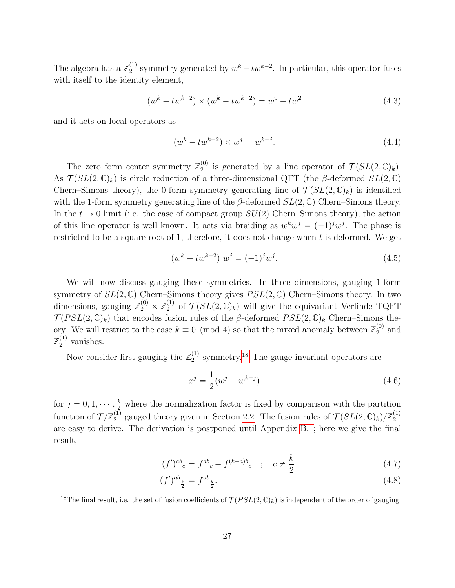The algebra has a  $\mathbb{Z}_2^{(1)}$  $v_2^{(1)}$  symmetry generated by  $w^k - tw^{k-2}$ . In particular, this operator fuses with itself to the identity element,

$$
(wk - twk-2) \times (wk - twk-2) = w0 - tw2
$$
\n(4.3)

and it acts on local operators as

$$
(wk - twk-2) \times wj = wk-j.
$$
\n(4.4)

The zero form center symmetry  $\mathbb{Z}_2^{(0)}$  $\mathcal{T}^{(0)}_2$  is generated by a line operator of  $\mathcal{T}(SL(2,\mathbb{C})_k)$ . As  $\mathcal{T}(SL(2,\mathbb{C})_k)$  is circle reduction of a three-dimensional QFT (the  $\beta$ -deformed  $SL(2,\mathbb{C})$ Chern–Simons theory), the 0-form symmetry generating line of  $\mathcal{T}(SL(2,\mathbb{C})_k)$  is identified with the 1-form symmetry generating line of the  $\beta$ -deformed  $SL(2,\mathbb{C})$  Chern–Simons theory. In the  $t \to 0$  limit (i.e. the case of compact group  $SU(2)$  Chern–Simons theory), the action of this line operator is well known. It acts via braiding as  $w^k w^j = (-1)^j w^j$ . The phase is restricted to be a square root of 1, therefore, it does not change when  $t$  is deformed. We get

$$
(wk - twk-2) wj = (-1)j wj.
$$
\n(4.5)

We will now discuss gauging these symmetries. In three dimensions, gauging 1-form symmetry of  $SL(2,\mathbb{C})$  Chern–Simons theory gives  $PSL(2,\mathbb{C})$  Chern–Simons theory. In two dimensions, gauging  $\mathbb{Z}_2^{(0)} \times \mathbb{Z}_2^{(1)}$  $\mathcal{T}(SL(2,\mathbb{C})_k)$  will give the equivariant Verlinde TQFT  $\mathcal{T}(PSL(2,\mathbb{C})_k)$  that encodes fusion rules of the  $\beta$ -deformed  $PSL(2,\mathbb{C})_k$  Chern–Simons theory. We will restrict to the case  $k \equiv 0 \pmod{4}$  so that the mixed anomaly between  $\mathbb{Z}_2^{(0)}$  $_2^{(0)}$  and  $\mathbb{Z}_2^{(1)}$  vanishes.

Now consider first gauging the  $\mathbb{Z}_2^{(1)}$  $_2^{(1)}$  symmetry.<sup>[18](#page-27-0)</sup> The gauge invariant operators are

$$
x^{j} = \frac{1}{2}(w^{j} + w^{k-j})
$$
\n(4.6)

for  $j = 0, 1, \dots, \frac{k}{2}$  where the normalization factor is fixed by comparison with the partition function of  $\mathcal{T}/\mathbb{Z}_2^{(1)}$  $Z_2^{(1)}$  gauged theory given in Section [2.2.](#page-11-0) The fusion rules of  $\mathcal{T}(SL(2,\mathbb{C})_k)/\mathbb{Z}_2^{(1)}$ 2 are easy to derive. The derivation is postponed until Appendix [B.1;](#page-47-0) here we give the final result,

$$
(f')^{ab}_{\ \ c} = f^{ab}_{\ \ c} + f^{(k-a)b}_{\ \ c} \quad ; \quad c \neq \frac{k}{2} \tag{4.7}
$$

$$
(f')^{ab}_{\frac{k}{2}} = f^{ab}_{\frac{k}{2}}.\tag{4.8}
$$

<span id="page-27-0"></span><sup>&</sup>lt;sup>18</sup>The final result, i.e. the set of fusion coefficients of  $\mathcal{T}(PSL(2,\mathbb{C})_k)$  is independent of the order of gauging.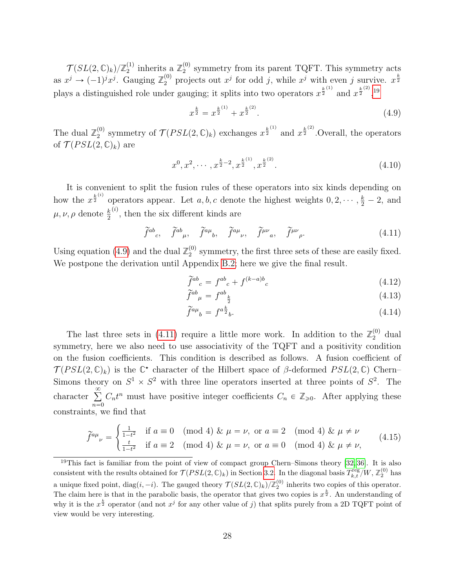$\mathcal{T}(SL(2,\mathbb{C})_k)/\mathbb{Z}_2^{(1)}$  $\mathbb{Z}_2^{(1)}$  inherits a  $\mathbb{Z}_2^{(0)}$  $_2^{(0)}$  symmetry from its parent TQFT. This symmetry acts as  $x^j \to (-1)^j x^j$ . Gauging  $\mathbb{Z}_2^{(0)}$  projects out  $x^j$  for odd j, while  $x^j$  with even j survive.  $x^{\frac{k}{2}}$ plays a distinguished role under gauging; it splits into two operators  $x^{\frac{k}{2}^{(1)}}$  and  $x^{\frac{k}{2}^{(2)}}, 1^{\frac{k}{2}^{(2)}}$ 

<span id="page-28-1"></span>
$$
x^{\frac{k}{2}} = x^{\frac{k}{2}^{(1)}} + x^{\frac{k}{2}^{(2)}}.
$$
\n(4.9)

The dual  $\mathbb{Z}_2^{(0)}$ <sup>(0)</sup> symmetry of  $\mathcal{T}(PSL(2,\mathbb{C})_k)$  exchanges  $x^{\frac{k}{2}^{(1)}}$  and  $x^{\frac{k}{2}^{(2)}}$ . Overall, the operators of  $\mathcal{T}(PSL(2,\mathbb{C})_k)$  are

$$
x^{0}, x^{2}, \cdots, x^{\frac{k}{2}-2}, x^{\frac{k}{2}}^{(1)}, x^{\frac{k}{2}}^{(2)}.
$$
\n
$$
(4.10)
$$

It is convenient to split the fusion rules of these operators into six kinds depending on how the  $x^{\frac{k}{2}}$  operators appear. Let a, b, c denote the highest weights  $0, 2, \dots, \frac{k}{2} - 2$ , and  $\mu, \nu, \rho$  denote  $\frac{k}{2}$  $\overset{(i)}{\ldots}$ , then the six different kinds are

<span id="page-28-2"></span>
$$
\widetilde{f}^{ab}{}_{c}, \quad \widetilde{f}^{ab}{}_{\mu}, \quad \widetilde{f}^{a\mu}{}_{b}, \quad \widetilde{f}^{a\mu}{}_{\nu}, \quad \widetilde{f}^{\mu\nu}{}_{a}, \quad \widetilde{f}^{\mu\nu}{}_{\rho}. \tag{4.11}
$$

Using equation [\(4.9\)](#page-28-1) and the dual  $\mathbb{Z}_2^{(0)}$  $_2^{(0)}$  symmetry, the first three sets of these are easily fixed. We postpone the derivation until Appendix [B.2;](#page-47-1) here we give the final result.

<span id="page-28-3"></span>
$$
\tilde{f}^{ab}{}_{c} = f^{ab}{}_{c} + f^{(k-a)b}{}_{c} \tag{4.12}
$$

$$
\widetilde{f}^{ab}{}_{\mu} = f^{ab}{}_{\frac{k}{2}} \tag{4.13}
$$

$$
\widetilde{f}^{a\mu}{}_{b} = f^{a\frac{k}{2}}{}_{b}.\tag{4.14}
$$

The last three sets in [\(4.11\)](#page-28-2) require a little more work. In addition to the  $\mathbb{Z}_2^{(0)}$  dual symmetry, here we also need to use associativity of the TQFT and a positivity condition on the fusion coefficients. This condition is described as follows. A fusion coefficient of  $\mathcal{T}(PSL(2,\mathbb{C})_k)$  is the  $\mathbb{C}^*$  character of the Hilbert space of  $\beta$ -deformed  $PSL(2,\mathbb{C})$  Chern– Simons theory on  $S^1 \times S^2$  with three line operators inserted at three points of  $S^2$ . The character  $\sum_{n=1}^{\infty}$  $n=0$  $C_n t^n$  must have positive integer coefficients  $C_n \in \mathbb{Z}_{\geqslant 0}$ . After applying these constraints, we find that

$$
\widetilde{f}^{a\mu}{}_{\nu} = \begin{cases} \frac{1}{1-t^2} & \text{if } a \equiv 0 \pmod{4} \ \& \ \mu = \nu, \text{ or } a \equiv 2 \pmod{4} \ \& \ \mu \neq \nu \\ \frac{t}{1-t^2} & \text{if } a \equiv 2 \pmod{4} \ \& \ \mu = \nu, \text{ or } a \equiv 0 \pmod{4} \ \& \ \mu \neq \nu, \end{cases}
$$
(4.15)

<span id="page-28-0"></span> $19$ This fact is familiar from the point of view of compact group Chern–Simons theory [\[32,](#page-51-5) [36\]](#page-52-0). It is also consistent with the results obtained for  $\mathcal{T}(PSL(2,\mathbb{C})_k)$  in Section [3.2.](#page-17-0) In the diagonal basis  $T_{k,t}^{\text{reg}}/W, \mathbb{Z}_2^{(0)}$  has a unique fixed point,  $diag(i, -i)$ . The gauged theory  $\mathcal{T}(SL(2, \mathbb{C})_k)/\mathbb{Z}_2^{(0)}$  inherits two copies of this operator. The claim here is that in the parabolic basis, the operator that gives two copies is  $x^{\frac{k}{2}}$ . An understanding of why it is the  $x^{\frac{k}{2}}$  operator (and not  $x^j$  for any other value of j) that splits purely from a 2D TQFT point of view would be very interesting.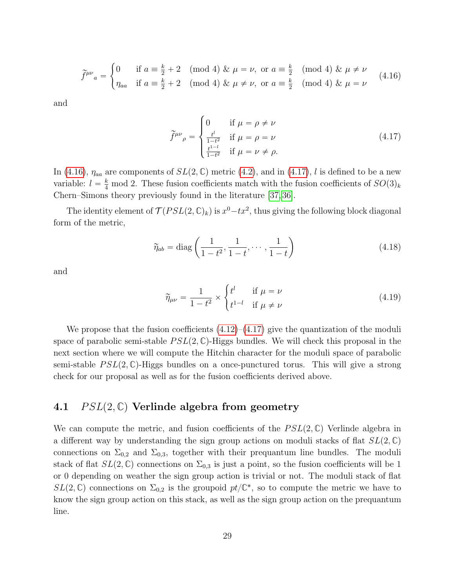<span id="page-29-1"></span>
$$
\widetilde{f}^{\mu\nu}{}_{a} = \begin{cases}\n0 & \text{if } a \equiv \frac{k}{2} + 2 \pmod{4} \ \& \mu = \nu, \text{ or } a \equiv \frac{k}{2} \pmod{4} \ \& \mu \neq \nu \\
\eta_{aa} & \text{if } a \equiv \frac{k}{2} + 2 \pmod{4} \ \& \mu \neq \nu, \text{ or } a \equiv \frac{k}{2} \pmod{4} \ \& \mu = \nu\n\end{cases} \tag{4.16}
$$

and

<span id="page-29-2"></span>
$$
\widetilde{f}^{\mu\nu}{}_{\rho} = \begin{cases}\n0 & \text{if } \mu = \rho \neq \nu \\
\frac{t^{l}}{1-t^{2}} & \text{if } \mu = \rho = \nu \\
\frac{t^{1-l}}{1-t^{2}} & \text{if } \mu = \nu \neq \rho.\n\end{cases}
$$
\n(4.17)

In [\(4.16\)](#page-29-1),  $\eta_{aa}$  are components of  $SL(2,\mathbb{C})$  metric [\(4.2\)](#page-26-1), and in [\(4.17\)](#page-29-2), l is defined to be a new variable:  $l = \frac{k}{4} \mod 2$ . These fusion coefficients match with the fusion coefficients of  $SO(3)_k$ Chern–Simons theory previously found in the literature [\[37,](#page-52-1) [36\]](#page-52-0).

The identity element of  $\mathcal{T}(PSL(2,\mathbb{C})_k)$  is  $x^0 - tx^2$ , thus giving the following block diagonal form of the metric,

#

$$
\widetilde{\eta}_{ab} = \text{diag}\left(\frac{1}{1 - t^2}, \frac{1}{1 - t}, \cdots, \frac{1}{1 - t}\right) \tag{4.18}
$$

and

$$
\widetilde{\eta}_{\mu\nu} = \frac{1}{1 - t^2} \times \begin{cases} t^l & \text{if } \mu = \nu \\ t^{1 - l} & \text{if } \mu \neq \nu \end{cases} \tag{4.19}
$$

We propose that the fusion coefficients  $(4.12)$ – $(4.17)$  give the quantization of the moduli space of parabolic semi-stable  $PSL(2,\mathbb{C})$ -Higgs bundles. We will check this proposal in the next section where we will compute the Hitchin character for the moduli space of parabolic semi-stable  $PSL(2,\mathbb{C})$ -Higgs bundles on a once-punctured torus. This will give a strong check for our proposal as well as for the fusion coefficients derived above.

# <span id="page-29-0"></span>4.1  $PSL(2,\mathbb{C})$  Verlinde algebra from geometry

We can compute the metric, and fusion coefficients of the  $PSL(2,\mathbb{C})$  Verlinde algebra in a different way by understanding the sign group actions on moduli stacks of flat  $SL(2,\mathbb{C})$ connections on  $\Sigma_{0,2}$  and  $\Sigma_{0,3}$ , together with their prequantum line bundles. The moduli stack of flat  $SL(2,\mathbb{C})$  connections on  $\Sigma_{0,3}$  is just a point, so the fusion coefficients will be 1 or 0 depending on weather the sign group action is trivial or not. The moduli stack of flat  $SL(2,\mathbb{C})$  connections on  $\Sigma_{0,2}$  is the groupoid  $pt/\mathbb{C}^*$ , so to compute the metric we have to know the sign group action on this stack, as well as the sign group action on the prequantum line.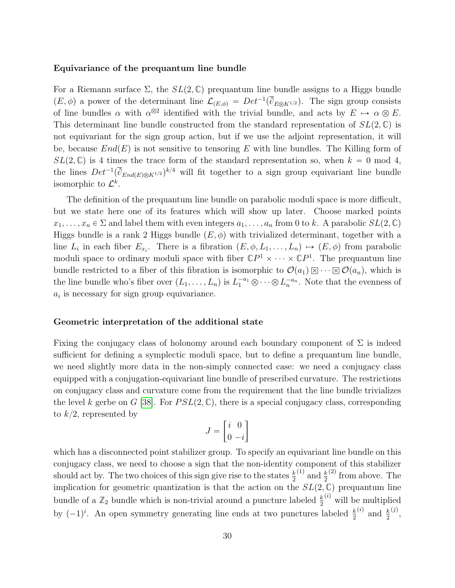#### Equivariance of the prequantum line bundle

For a Riemann surface  $\Sigma$ , the  $SL(2,\mathbb{C})$  prequantum line bundle assigns to a Higgs bundle  $(E, \phi)$  a power of the determinant line  $\mathcal{L}_{(E,\phi)} = Det^{-1}(\overline{\partial}_{E \otimes K^{1/2}})$ . The sign group consists of line bundles  $\alpha$  with  $\alpha^{\otimes 2}$  identified with the trivial bundle, and acts by  $E \rightarrow \alpha \otimes E$ . This determinant line bundle constructed from the standard representation of  $SL(2,\mathbb{C})$  is not equivariant for the sign group action, but if we use the adjoint representation, it will be, because  $End(E)$  is not sensitive to tensoring E with line bundles. The Killing form of  $SL(2,\mathbb{C})$  is 4 times the trace form of the standard representation so, when  $k = 0 \text{ mod } 4$ , the lines  $Det^{-1}(\overline{\partial}_{End(E)\otimes K^{1/2}})^{k/4}$  will fit together to a sign group equivariant line bundle isomorphic to  $\mathcal{L}^k$ .

The definition of the prequantum line bundle on parabolic moduli space is more difficult, but we state here one of its features which will show up later. Choose marked points  $x_1, \ldots, x_n \in \Sigma$  and label them with even integers  $a_1, \ldots, a_n$  from 0 to k. A parabolic  $SL(2, \mathbb{C})$ Higgs bundle is a rank 2 Higgs bundle  $(E, \phi)$  with trivialized determinant, together with a line  $L_i$  in each fiber  $E_{x_i}$ . There is a fibration  $(E, \phi, L_1, \ldots, L_n) \mapsto (E, \phi)$  from parabolic moduli space to ordinary moduli space with fiber  $\mathbb{C}P^1 \times \cdots \times \mathbb{C}P^1$ . The prequantum line bundle restricted to a fiber of this fibration is isomorphic to  $\mathcal{O}(a_1)\boxtimes \cdots \boxtimes \mathcal{O}(a_n)$ , which is the line bundle who's fiber over  $(L_1, \ldots, L_n)$  is  $L_1^{-a_1} \otimes \cdots \otimes L_n^{-a_n}$ . Note that the evenness of  $a_i$  is necessary for sign group equivariance.

#### Geometric interpretation of the additional state

Fixing the conjugacy class of holonomy around each boundary component of  $\Sigma$  is indeed sufficient for defining a symplectic moduli space, but to define a prequantum line bundle, we need slightly more data in the non-simply connected case: we need a conjugacy class equipped with a conjugation-equivariant line bundle of prescribed curvature. The restrictions on conjugacy class and curvature come from the requirement that the line bundle trivializes the level k gerbe on G [\[38\]](#page-52-2). For  $PSL(2,\mathbb{C})$ , there is a special conjugacy class, corresponding to  $k/2$ , represented by " 

$$
J = \begin{bmatrix} i & 0 \\ 0 & -i \end{bmatrix}
$$

which has a disconnected point stabilizer group. To specify an equivariant line bundle on this conjugacy class, we need to choose a sign that the non-identity component of this stabilizer should act by. The two choices of this sign give rise to the states  $\frac{k}{2}$ <sup>(1)</sup> and  $\frac{k}{2}$  $^{(2)}$  from above. The implication for geometric quantization is that the action on the  $SL(2,\mathbb{C})$  prequantum line bundle of a  $\mathbb{Z}_2$  bundle which is non-trivial around a puncture labeled  $\frac{k}{2}$  $\binom{i}{k}$  will be multiplied by  $(-1)^i$ . An open symmetry generating line ends at two punctures labeled  $\frac{k}{2}$  $\frac{(i)}{2}$  and  $\frac{k}{2}$  $\binom{j}{j}$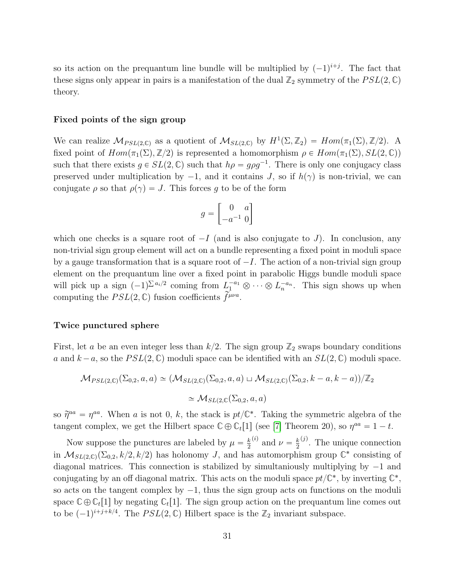so its action on the prequantum line bundle will be multiplied by  $(-1)^{i+j}$ . The fact that these signs only appear in pairs is a manifestation of the dual  $\mathbb{Z}_2$  symmetry of the  $PSL(2,\mathbb{C})$ theory.

#### Fixed points of the sign group

We can realize  $\mathcal{M}_{PSL(2,\mathbb{C})}$  as a quotient of  $\mathcal{M}_{SL(2,\mathbb{C})}$  by  $H^1(\Sigma, \mathbb{Z}_2) = Hom(\pi_1(\Sigma), \mathbb{Z}/2)$ . A fixed point of  $Hom(\pi_1(\Sigma), \mathbb{Z}/2)$  is represented a homomorphism  $\rho \in Hom(\pi_1(\Sigma), SL(2, \mathbb{C}))$ such that there exists  $g \in SL(2,\mathbb{C})$  such that  $h\rho = g\rho g^{-1}$ . There is only one conjugacy class preserved under multiplication by  $-1$ , and it contains J, so if  $h(\gamma)$  is non-trivial, we can conjugate  $\rho$  so that  $\rho(\gamma) = J$ . This forces g to be of the form

$$
g = \begin{bmatrix} 0 & a \\ -a^{-1} & 0 \end{bmatrix}
$$

which one checks is a square root of  $-I$  (and is also conjugate to J). In conclusion, any non-trivial sign group element will act on a bundle representing a fixed point in moduli space by a gauge transformation that is a square root of  $-I$ . The action of a non-trivial sign group element on the prequantum line over a fixed point in parabolic Higgs bundle moduli space ř will pick up a sign  $(-1)^{\sum a_i/2}$  coming from  $L_1^{-a_1} \otimes \cdots \otimes L_n^{-a_n}$ . This sign shows up when computing the  $PSL(2, \mathbb{C})$  fusion coefficients  $\overrightarrow{f}^{\mu\nu a}$ .

#### Twice punctured sphere

First, let a be an even integer less than  $k/2$ . The sign group  $\mathbb{Z}_2$  swaps boundary conditions a and  $k - a$ , so the  $PSL(2, \mathbb{C})$  moduli space can be identified with an  $SL(2, \mathbb{C})$  moduli space.

$$
\mathcal{M}_{PSL(2,\mathbb{C})}(\Sigma_{0,2},a,a) \simeq (\mathcal{M}_{SL(2,\mathbb{C})}(\Sigma_{0,2},a,a) \sqcup \mathcal{M}_{SL(2,\mathbb{C})}(\Sigma_{0,2},k-a,k-a))/\mathbb{Z}_2
$$
  

$$
\simeq \mathcal{M}_{SL(2,\mathbb{C})}(\Sigma_{0,2},a,a)
$$

so  $\tilde{\eta}^{aa} = \eta^{aa}$ . When a is not 0, k, the stack is  $pt/\mathbb{C}^*$ . Taking the symmetric algebra of the tangent complex, we get the Hilbert space  $\mathbb{C} \oplus \mathbb{C}_t[1]$  (see [\[7\]](#page-50-5) Theorem 20), so  $\eta^{aa} = 1 - t$ .

Now suppose the punctures are labeled by  $\mu = \frac{k}{2}$ 2 <sup>(*i*)</sup> and  $\nu = \frac{k}{2}$ 2  $^{(j)}$ . The unique connection in  $\mathcal{M}_{SL(2,\mathbb{C})}(\Sigma_{0,2}, k/2, k/2)$  has holonomy J, and has automorphism group  $\mathbb{C}^*$  consisting of diagonal matrices. This connection is stabilized by simultaniously multiplying by  $-1$  and conjugating by an off diagonal matrix. This acts on the moduli space  $pt/\mathbb{C}^*$ , by inverting  $\mathbb{C}^*$ , so acts on the tangent complex by  $-1$ , thus the sign group acts on functions on the moduli space  $\mathbb{C}\oplus\mathbb{C}_t[1]$  by negating  $\mathbb{C}_t[1]$ . The sign group action on the prequantum line comes out to be  $(-1)^{i+j+k/4}$ . The  $PSL(2,\mathbb{C})$  Hilbert space is the  $\mathbb{Z}_2$  invariant subspace.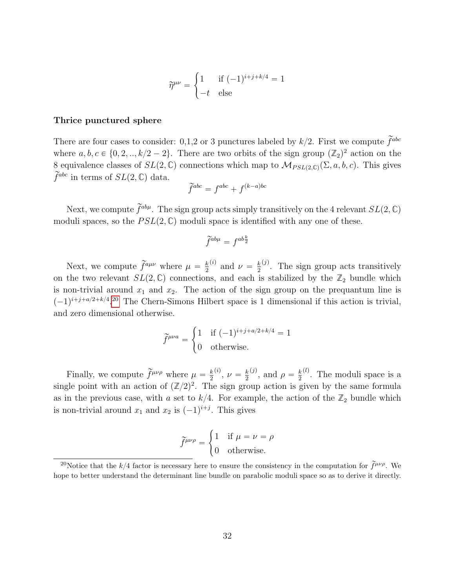$$
\widetilde{\eta}^{\mu\nu} = \begin{cases} 1 & \text{if } (-1)^{i+j+k/4} = 1 \\ -t & \text{else} \end{cases}
$$

#### Thrice punctured sphere

There are four cases to consider: 0,1,2 or 3 punctures labeled by  $k/2$ . First we compute  $\tilde{f}^{abc}$ where  $a, b, c \in \{0, 2, ..., k/2 - 2\}$ . There are two orbits of the sign group  $(\mathbb{Z}_2)^2$  action on the 8 equivalence classes of  $SL(2,\mathbb{C})$  connections which map to  $\mathcal{M}_{PSL(2,\mathbb{C})}(\Sigma, a, b, c)$ . This gives  $\widetilde{f}^{abc}$  in terms of  $SL(2,\mathbb{C})$  data.

$$
\widetilde{f}^{abc} = f^{abc} + f^{(k-a)bc}
$$

Next, we compute  $\tilde{f}^{ab\mu}$ . The sign group acts simply transitively on the 4 relevant  $SL(2,\mathbb{C})$ moduli spaces, so the  $PSL(2,\mathbb{C})$  moduli space is identified with any one of these.

$$
\widetilde{f}^{ab\mu} = f^{ab\frac{k}{2}}
$$

Next, we compute  $\tilde{f}^{a\mu\nu}$  where  $\mu = \frac{k}{2}$ 2 <sup>(*i*)</sup> and  $\nu = \frac{k}{2}$ 2  $\chi^{(j)}$ . The sign group acts transitively on the two relevant  $SL(2,\mathbb{C})$  connections, and each is stabilized by the  $\mathbb{Z}_2$  bundle which is non-trivial around  $x_1$  and  $x_2$ . The action of the sign group on the prequantum line is  $(-1)^{i+j+a/2+k/4}$ .<sup>[20](#page-32-0)</sup> The Chern-Simons Hilbert space is 1 dimensional if this action is trivial, and zero dimensional otherwise.

$$
\widetilde{f}^{\mu\nu a} = \begin{cases} 1 & \text{if } (-1)^{i+j+a/2+k/4} = 1 \\ 0 & \text{otherwise.} \end{cases}
$$

Finally, we compute  $\widetilde{f}^{\mu\nu\rho}$  where  $\mu = \frac{k}{2}$ 2  $\binom{(i)}{2}, \nu = \frac{k}{2}$ 2 <sup>(j)</sup>, and  $\rho = \frac{k}{2}$ 2  $\mu$ . The moduli space is a single point with an action of  $(\mathbb{Z}/2)^2$ . The sign group action is given by the same formula as in the previous case, with a set to  $k/4$ . For example, the action of the  $\mathbb{Z}_2$  bundle which is non-trivial around  $x_1$  and  $x_2$  is  $(-1)^{i+j}$ . This gives

$$
\widetilde{f}^{\mu\nu\rho} = \begin{cases} 1 & \text{if } \mu = \nu = \rho \\ 0 & \text{otherwise.} \end{cases}
$$

<span id="page-32-0"></span><sup>&</sup>lt;sup>20</sup>Notice that the k/4 factor is necessary here to ensure the consistency in the computation for  $\tilde{f}^{\mu\nu\rho}$ . We hope to better understand the determinant line bundle on parabolic moduli space so as to derive it directly.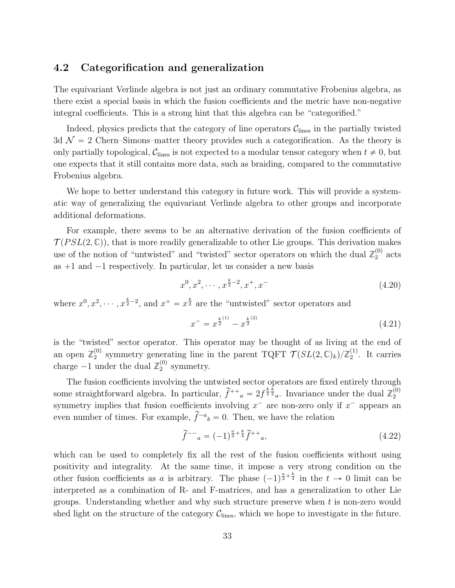## <span id="page-33-0"></span>4.2 Categorification and generalization

The equivariant Verlinde algebra is not just an ordinary commutative Frobenius algebra, as there exist a special basis in which the fusion coefficients and the metric have non-negative integral coefficients. This is a strong hint that this algebra can be "categorified."

Indeed, physics predicts that the category of line operators  $C_{\text{lines}}$  in the partially twisted 3d  $\mathcal{N} = 2$  Chern–Simons–matter theory provides such a categorification. As the theory is only partially topological,  $\mathcal{C}_{\text{lines}}$  is not expected to a modular tensor category when  $t \neq 0$ , but one expects that it still contains more data, such as braiding, compared to the commutative Frobenius algebra.

We hope to better understand this category in future work. This will provide a systematic way of generalizing the equivariant Verlinde algebra to other groups and incorporate additional deformations.

For example, there seems to be an alternative derivation of the fusion coefficients of  $\mathcal{T}(PSL(2,\mathbb{C}))$ , that is more readily generalizable to other Lie groups. This derivation makes use of the notion of "untwisted" and "twisted" sector operators on which the dual  $\mathbb{Z}_2^{(0)}$  $2^{(0)}$  acts as  $+1$  and  $-1$  respectively. In particular, let us consider a new basis

$$
x^{0}, x^{2}, \cdots, x^{\frac{k}{2}-2}, x^{+}, x^{-}
$$
\n
$$
(4.20)
$$

where  $x^0, x^2, \dots, x^{\frac{k}{2}-2}$ , and  $x^+ = x^{\frac{k}{2}}$  are the "untwisted" sector operators and

$$
x^{-} = x^{\frac{k}{2}^{(1)}} - x^{\frac{k}{2}^{(2)}} \tag{4.21}
$$

is the "twisted" sector operator. This operator may be thought of as living at the end of an open  $\mathbb{Z}_2^{(0)}$ <sup>(0)</sup> symmetry generating line in the parent TQFT  $\mathcal{T}(SL(2,\mathbb{C})_k)/\mathbb{Z}_2^{(1)}$  $2^{(1)}$ . It carries charge  $-1$  under the dual  $\mathbb{Z}_2^{(0)}$  $_2^{(0)}$  symmetry.

The fusion coefficients involving the untwisted sector operators are fixed entirely through some straightforward algebra. In particular,  $\tilde{f}^{++}{}_a = 2f^{\frac{k}{2}\frac{k}{2}}{}_a$ . Invariance under the dual  $\mathbb{Z}_2^{(0)}$ 2 symmetry implies that fusion coefficients involving  $x^-$  are non-zero only if  $x^-$  appears an even number of times. For example,  $\tilde{f}^{-a}{}_{b} = 0$ . Then, we have the relation

$$
\tilde{f}^{-1} = (-1)^{\frac{a}{2} + \frac{k}{4}} \tilde{f}^{++}, \qquad (4.22)
$$

which can be used to completely fix all the rest of the fusion coefficients without using positivity and integrality. At the same time, it impose a very strong condition on the other fusion coefficients as a is arbitrary. The phase  $(-1)^{\frac{a}{2}+\frac{k}{4}}$  in the  $t \to 0$  limit can be interpreted as a combination of R- and F-matrices, and has a generalization to other Lie groups. Understanding whether and why such structure preserve when  $t$  is non-zero would shed light on the structure of the category  $C_{\text{lines}}$ , which we hope to investigate in the future.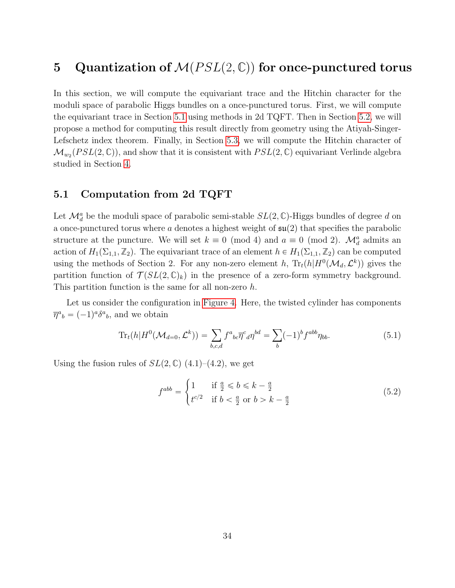# <span id="page-34-0"></span>5 Quantization of  $M(PSL(2,\mathbb{C}))$  for once-punctured torus

In this section, we will compute the equivariant trace and the Hitchin character for the moduli space of parabolic Higgs bundles on a once-punctured torus. First, we will compute the equivariant trace in Section [5.1](#page-34-1) using methods in 2d TQFT. Then in Section [5.2,](#page-35-0) we will propose a method for computing this result directly from geometry using the Atiyah-Singer-Lefschetz index theorem. Finally, in Section [5.3,](#page-38-0) we will compute the Hitchin character of  $\mathcal{M}_{w_2}(PSL(2, \mathbb{C}))$ , and show that it is consistent with  $PSL(2, \mathbb{C})$  equivariant Verlinde algebra studied in Section [4.](#page-26-0)

### <span id="page-34-1"></span>5.1 Computation from 2d TQFT

Let  $\mathcal{M}_d^a$  be the moduli space of parabolic semi-stable  $SL(2,\mathbb{C})$ -Higgs bundles of degree d on a once-punctured torus where a denotes a highest weight of  $\mathfrak{su}(2)$  that specifies the parabolic structure at the puncture. We will set  $k \equiv 0 \pmod{4}$  and  $a \equiv 0 \pmod{2}$ .  $\mathcal{M}_d^a$  admits an action of  $H_1(\Sigma_{1,1}, \mathbb{Z}_2)$ . The equivariant trace of an element  $h \in H_1(\Sigma_{1,1}, \mathbb{Z}_2)$  can be computed using the methods of Section 2. For any non-zero element h,  $\text{Tr}_t(h|H^0(\mathcal{M}_d, \mathcal{L}^k))$  gives the partition function of  $\mathcal{T}(SL(2,\mathbb{C})_k)$  in the presence of a zero-form symmetry background. This partition function is the same for all non-zero h.

Let us consider the configuration in [Figure 4.](#page-35-1) Here, the twisted cylinder has components  $\overline{\eta}^a{}_b = (-1)^a \delta^a{}_b$ , and we obtain

$$
\operatorname{Tr}_t(h|H^0(\mathcal{M}_{d=0},\mathcal{L}^k)) = \sum_{b,c,d} f^a{}_{bc} \overline{\eta}^c{}_d \eta^{bd} = \sum_b (-1)^b f^{abb} \eta_{bb}.
$$
 (5.1)

Using the fusion rules of  $SL(2,\mathbb{C})$  (4.1)–(4.2), we get

$$
f^{abb} = \begin{cases} 1 & \text{if } \frac{a}{2} \le b \le k - \frac{a}{2} \\ t^{c/2} & \text{if } b < \frac{a}{2} \text{ or } b > k - \frac{a}{2} \end{cases}
$$
(5.2)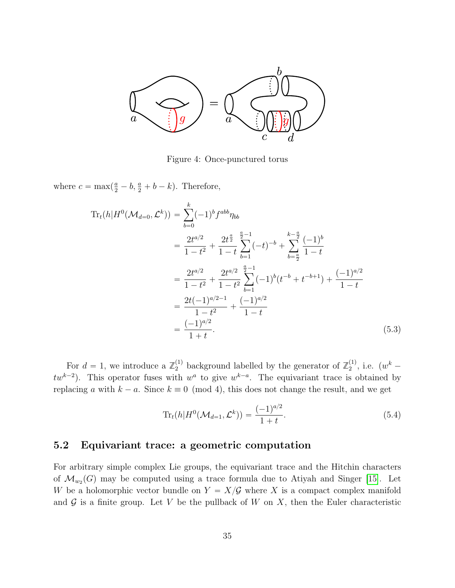<span id="page-35-1"></span>

Figure 4: Once-punctured torus

where  $c = \max(\frac{a}{2} - b, \frac{a}{2} + b - k)$ . Therefore,

<span id="page-35-2"></span>
$$
\operatorname{Tr}_{t}(h|H^{0}(\mathcal{M}_{d=0},\mathcal{L}^{k})) = \sum_{b=0}^{k}(-1)^{b}f^{abb}\eta_{bb}
$$
\n
$$
= \frac{2t^{a/2}}{1-t^{2}} + \frac{2t^{\frac{a}{2}}}{1-t} \sum_{b=1}^{\frac{a}{2}-1}(-t)^{-b} + \sum_{b=\frac{a}{2}}^{\frac{k-\frac{a}{2}}{2}}\frac{(-1)^{b}}{1-t}
$$
\n
$$
= \frac{2t^{a/2}}{1-t^{2}} + \frac{2t^{a/2}}{1-t^{2}} \sum_{b=1}^{\frac{a}{2}-1}(-1)^{b}(t^{-b} + t^{-b+1}) + \frac{(-1)^{a/2}}{1-t}
$$
\n
$$
= \frac{2t(-1)^{a/2-1}}{1-t^{2}} + \frac{(-1)^{a/2}}{1-t}
$$
\n
$$
= \frac{(-1)^{a/2}}{1+t}.
$$
\n(5.3)

For  $d = 1$ , we introduce a  $\mathbb{Z}_2^{(1)}$  background labelled by the generator of  $\mathbb{Z}_2^{(1)}$  $\binom{1}{2}$ , i.e.  $(w^k$  $tw^{k-2}$ ). This operator fuses with  $w^a$  to give  $w^{k-a}$ . The equivariant trace is obtained by replacing a with  $k - a$ . Since  $k \equiv 0 \pmod{4}$ , this does not change the result, and we get

<span id="page-35-3"></span>
$$
\operatorname{Tr}_{t}(h|H^{0}(\mathcal{M}_{d=1},\mathcal{L}^{k})) = \frac{(-1)^{a/2}}{1+t}.
$$
\n(5.4)

# <span id="page-35-0"></span>5.2 Equivariant trace: a geometric computation

For arbitrary simple complex Lie groups, the equivariant trace and the Hitchin characters of  $\mathcal{M}_{w_2}(G)$  may be computed using a trace formula due to Atiyah and Singer [\[15\]](#page-50-8). Let W be a holomorphic vector bundle on  $Y = X/G$  where X is a compact complex manifold and  $\mathcal G$  is a finite group. Let V be the pullback of W on X, then the Euler characteristic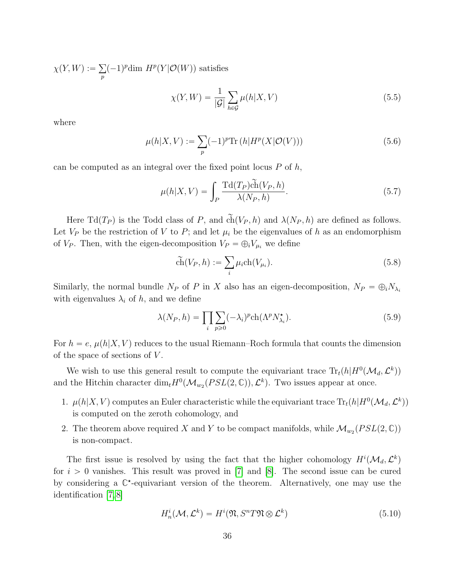$\chi(Y,W) :=$ p  $(-1)^p$ dim  $H^p(Y|O(W))$  satisfies

$$
\chi(Y,W) = \frac{1}{|\mathcal{G}|} \sum_{h \in \mathcal{G}} \mu(h|X,V) \tag{5.5}
$$

where

$$
\mu(h|X,V) := \sum_{p} (-1)^p \text{Tr}\left(h|H^p(X|\mathcal{O}(V))\right) \tag{5.6}
$$

can be computed as an integral over the fixed point locus  $P$  of  $h$ ,

<span id="page-36-0"></span>
$$
\mu(h|X,V) = \int_{P} \frac{\text{Td}(T_P)\tilde{ch}(V_P,h)}{\lambda(N_P,h)}.
$$
\n(5.7)

Here Td $(T_P)$  is the Todd class of P, and  $\tilde{ch}(V_P, h)$  and  $\lambda(N_P, h)$  are defined as follows. Let  $V_P$  be the restriction of V to P; and let  $\mu_i$  be the eigenvalues of h as an endomorphism of  $V_P$ . Then, with the eigen-decomposition  $V_P = \bigoplus_i V_{\mu_i}$  we define

$$
\widetilde{\text{ch}}(V_P, h) := \sum_i \mu_i \text{ch}(V_{\mu_i}).\tag{5.8}
$$

Similarly, the normal bundle  $N_P$  of P in X also has an eigen-decomposition,  $N_P = \bigoplus_i N_{\lambda_i}$ with eigenvalues  $\lambda_i$  of h, and we define

$$
\lambda(N_P, h) = \prod_{i} \sum_{p \ge 0} (-\lambda_i)^p \text{ch}(\Lambda^p N_{\lambda_i}^{\star}).
$$
\n(5.9)

For  $h = e$ ,  $\mu(h|X, V)$  reduces to the usual Riemann–Roch formula that counts the dimension of the space of sections of  $V$ .

We wish to use this general result to compute the equivariant trace  $\text{Tr}_t(h|H^0(\mathcal{M}_d, \mathcal{L}^k))$ and the Hitchin character  $\dim_t H^0(\mathcal{M}_{w_2}(PSL(2,\mathbb{C})), \mathcal{L}^k)$ . Two issues appear at once.

- 1.  $\mu(h|X, V)$  computes an Euler characteristic while the equivariant trace  $\text{Tr}_t(h|H^0(\mathcal{M}_d, \mathcal{L}^k))$ is computed on the zeroth cohomology, and
- 2. The theorem above required X and Y to be compact manifolds, while  $\mathcal{M}_{w_2}(PSL(2,\mathbb{C}))$ is non-compact.

The first issue is resolved by using the fact that the higher cohomology  $H^{i}(\mathcal{M}_d, \mathcal{L}^k)$ for  $i > 0$  vanishes. This result was proved in [\[7\]](#page-50-5) and [\[8\]](#page-50-1). The second issue can be cured by considering a  $\mathbb{C}^*$ -equivariant version of the theorem. Alternatively, one may use the identification [\[7,](#page-50-5) [8\]](#page-50-1)

$$
H_n^i(\mathcal{M}, \mathcal{L}^k) = H^i(\mathfrak{N}, S^n T \mathfrak{N} \otimes \mathcal{L}^k)
$$
\n(5.10)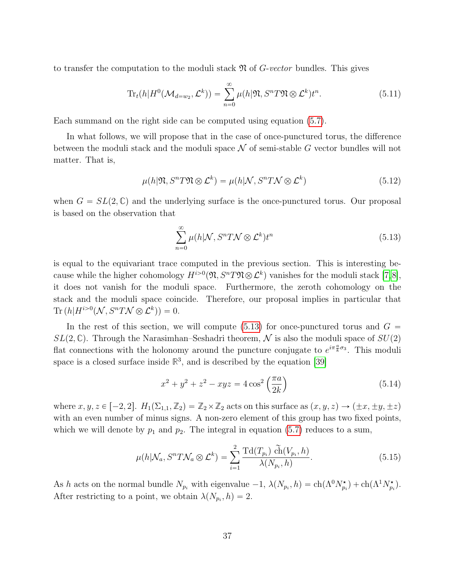to transfer the computation to the moduli stack  $\mathfrak N$  of G-vector bundles. This gives

$$
\text{Tr}_t(h|H^0(\mathcal{M}_{d=w_2}, \mathcal{L}^k)) = \sum_{n=0}^{\infty} \mu(h|\mathfrak{N}, S^n T \mathfrak{N} \otimes \mathcal{L}^k)t^n.
$$
 (5.11)

Each summand on the right side can be computed using equation [\(5.7\)](#page-36-0).

In what follows, we will propose that in the case of once-punctured torus, the difference between the moduli stack and the moduli space  $\mathcal N$  of semi-stable G vector bundles will not matter. That is,

$$
\mu(h|\mathfrak{N}, S^n T \mathfrak{N} \otimes \mathcal{L}^k) = \mu(h|\mathcal{N}, S^n T \mathcal{N} \otimes \mathcal{L}^k)
$$
\n(5.12)

when  $G = SL(2, \mathbb{C})$  and the underlying surface is the once-punctured torus. Our proposal is based on the observation that

<span id="page-37-0"></span>
$$
\sum_{n=0}^{\infty} \mu(h|\mathcal{N}, S^n T \mathcal{N} \otimes \mathcal{L}^k) t^n
$$
\n(5.13)

is equal to the equivariant trace computed in the previous section. This is interesting because while the higher cohomology  $H^{i>0}(\mathfrak{N}, S^nT\mathfrak{N} \otimes \mathcal{L}^k)$  vanishes for the moduli stack  $[7,8],$  $[7,8],$  $[7,8],$ it does not vanish for the moduli space. Furthermore, the zeroth cohomology on the stack and the moduli space coincide. Therefore, our proposal implies in particular that Tr  $(h|H^{i>0}(\mathcal{N}, S^n T \mathcal{N} \otimes \mathcal{L}^k)) = 0.$ 

In the rest of this section, we will compute [\(5.13\)](#page-37-0) for once-punctured torus and  $G =$  $SL(2,\mathbb{C})$ . Through the Narasimhan–Seshadri theorem, N is also the moduli space of  $SU(2)$ flat connections with the holonomy around the puncture conjugate to  $e^{i\pi \frac{a}{k}\sigma_3}$ . This moduli space is a closed surface inside  $\mathbb{R}^3$ , and is described by the equation [\[39\]](#page-52-3)

<span id="page-37-1"></span>
$$
x^{2} + y^{2} + z^{2} - xyz = 4 \cos^{2} \left(\frac{\pi a}{2k}\right)
$$
 (5.14)

where  $x, y, z \in [-2, 2]$ .  $H_1(\Sigma_{1,1}, \mathbb{Z}_2) = \mathbb{Z}_2 \times \mathbb{Z}_2$  acts on this surface as  $(x, y, z) \rightarrow (\pm x, \pm y, \pm z)$ with an even number of minus signs. A non-zero element of this group has two fixed points, which we will denote by  $p_1$  and  $p_2$ . The integral in equation [\(5.7\)](#page-36-0) reduces to a sum,

$$
\mu(h|\mathcal{N}_a, S^n T \mathcal{N}_a \otimes \mathcal{L}^k) = \sum_{i=1}^2 \frac{\text{Td}(T_{p_i}) \tilde{\text{ch}}(V_{p_i}, h)}{\lambda(N_{p_i}, h)}.
$$
\n(5.15)

As h acts on the normal bundle  $N_{p_i}$  with eigenvalue  $-1$ ,  $\lambda(N_{p_i}, h) = ch(\Lambda^0 N_{p_i}^*) + ch(\Lambda^1 N_{p_i}^*)$ . After restricting to a point, we obtain  $\lambda(N_{p_i}, h) = 2$ .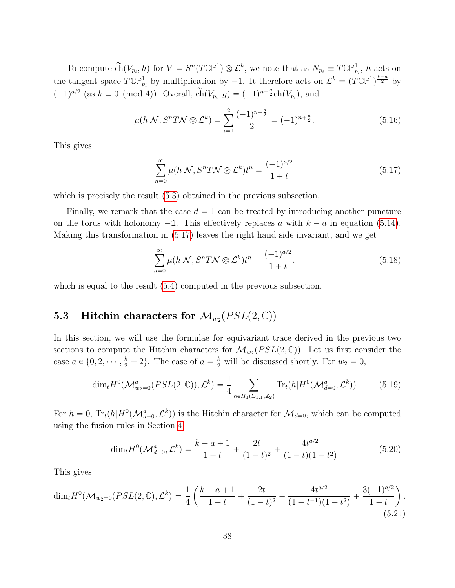To compute  $\widetilde{ch}(V_{p_i}, h)$  for  $V = S^n(T\mathbb{CP}^1) \otimes \mathcal{L}^k$ , we note that as  $N_{p_i} \equiv T\mathbb{CP}^1_{p_i}$ , h acts on the tangent space  $T\mathbb{CP}^1_{p_i}$  by multiplication by  $-1$ . It therefore acts on  $\mathcal{L}^k \equiv (T\mathbb{CP}^1)^{\frac{k-a}{2}}$  by  $(-1)^{a/2}$  (as  $k \equiv 0 \pmod{4}$ ). Overall,  $\tilde{ch}(V_{p_i}, g) = (-1)^{n + \frac{a}{2}} ch(V_{p_i})$ , and

$$
\mu(h|\mathcal{N}, S^n T \mathcal{N} \otimes \mathcal{L}^k) = \sum_{i=1}^2 \frac{(-1)^{n + \frac{a}{2}}}{2} = (-1)^{n + \frac{a}{2}}.
$$
\n(5.16)

This gives

<span id="page-38-1"></span>
$$
\sum_{n=0}^{\infty} \mu(h|\mathcal{N}, S^n T \mathcal{N} \otimes \mathcal{L}^k) t^n = \frac{(-1)^{a/2}}{1+t}
$$
\n(5.17)

which is precisely the result  $(5.3)$  obtained in the previous subsection.

Finally, we remark that the case  $d = 1$  can be treated by introducing another puncture on the torus with holonomy  $-\mathbb{1}$ . This effectively replaces a with  $k - a$  in equation [\(5.14\)](#page-37-1). Making this transformation in [\(5.17\)](#page-38-1) leaves the right hand side invariant, and we get

$$
\sum_{n=0}^{\infty} \mu(h|\mathcal{N}, S^n T \mathcal{N} \otimes \mathcal{L}^k) t^n = \frac{(-1)^{a/2}}{1+t}.
$$
\n(5.18)

which is equal to the result  $(5.4)$  computed in the previous subsection.

# <span id="page-38-0"></span> ${\bf 5.3}\quad {\bf Hitchin~ characters~ for~} {\cal M}_{w_2}(PSL(2,\mathbb C))$

In this section, we will use the formulae for equivariant trace derived in the previous two sections to compute the Hitchin characters for  $\mathcal{M}_{w_2}(PSL(2,\mathbb{C}))$ . Let us first consider the case  $a \in \{0, 2, \dots, \frac{k}{2} - 2\}$ . The case of  $a = \frac{k}{2}$  will be discussed shortly. For  $w_2 = 0$ ,

$$
\dim_t H^0(\mathcal{M}^a_{w_2=0}(PSL(2,\mathbb{C})),\mathcal{L}^k) = \frac{1}{4} \sum_{h \in H_1(\Sigma_{1,1},\mathbb{Z}_2)} \text{Tr}_t(h|H^0(\mathcal{M}^a_{d=0},\mathcal{L}^k))
$$
(5.19)

For  $h = 0$ ,  $Tr_t(h|H^0(\mathcal{M}_{d=0}^a, \mathcal{L}^k))$  is the Hitchin character for  $\mathcal{M}_{d=0}$ , which can be computed using the fusion rules in Section [4,](#page-26-0)

$$
\dim_t H^0(\mathcal{M}_{d=0}^a, \mathcal{L}^k) = \frac{k-a+1}{1-t} + \frac{2t}{(1-t)^2} + \frac{4t^{a/2}}{(1-t)(1-t^2)}
$$
(5.20)

This gives

<span id="page-38-2"></span>
$$
\dim_t H^0(\mathcal{M}_{w_2=0}(PSL(2,\mathbb{C}),\mathcal{L}^k) = \frac{1}{4} \left( \frac{k-a+1}{1-t} + \frac{2t}{(1-t)^2} + \frac{4t^{a/2}}{(1-t^{-1})(1-t^2)} + \frac{3(-1)^{a/2}}{1+t} \right).
$$
\n(5.21)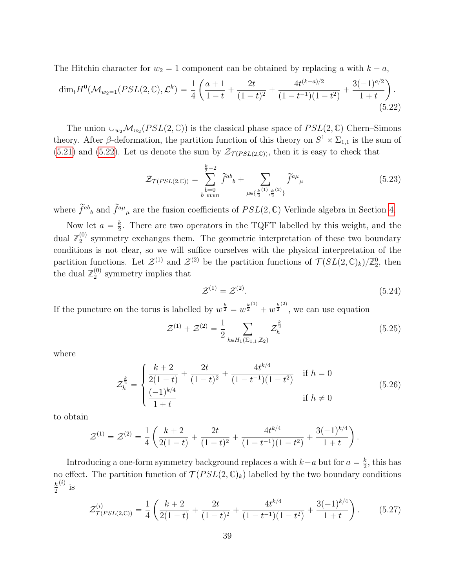The Hitchin character for  $w_2 = 1$  component can be obtained by replacing a with  $k - a$ ,  $\sum_{i=1}^{n}$   $\sum_{i=1}^{n}$ 

<span id="page-39-0"></span>
$$
\dim_t H^0(\mathcal{M}_{w_2=1}(PSL(2,\mathbb{C}),\mathcal{L}^k) = \frac{1}{4} \left( \frac{a+1}{1-t} + \frac{2t}{(1-t)^2} + \frac{4t^{(k-a)/2}}{(1-t^{-1})(1-t^2)} + \frac{3(-1)^{a/2}}{1+t} \right). \tag{5.22}
$$

The union  $\cup_{w_2} \mathcal{M}_{w_2}(PSL(2, \mathbb{C}))$  is the classical phase space of  $PSL(2, \mathbb{C})$  Chern–Simons theory. After β-deformation, the partition function of this theory on  $S^1 \times \Sigma_{1,1}$  is the sum of  $(5.21)$  and  $(5.22)$ . Let us denote the sum by  $\mathcal{Z}_{\mathcal{T}(PSL(2,\mathbb{C}))}$ , then it is easy to check that

$$
\mathcal{Z}_{\mathcal{T}(PSL(2,\mathbb{C}))} = \sum_{\substack{b=0\\b \text{ even}}}^{\frac{k}{2}-2} \tilde{f}^{ab}{}_{b} + \sum_{\mu \in \{\frac{k}{2}(1), \frac{k}{2}(2)\}} \tilde{f}^{a\mu}{}_{\mu}
$$
(5.23)

where  $\tilde{f}^{ab}{}_{b}$  and  $\tilde{f}^{a\mu}{}_{\mu}$  are the fusion coefficients of  $PSL(2,\mathbb{C})$  Verlinde algebra in Section [4.](#page-26-0)

Now let  $a = \frac{k}{2}$  $\frac{k}{2}$ . There are two operators in the TQFT labelled by this weight, and the dual  $\mathbb{Z}_2^{(0)}$  $_2^{(0)}$  symmetry exchanges them. The geometric interpretation of these two boundary conditions is not clear, so we will suffice ourselves with the physical interpretation of the partition functions. Let  $\mathcal{Z}^{(1)}$  and  $\mathcal{Z}^{(2)}$  be the partition functions of  $\mathcal{T}(SL(2,\mathbb{C})_k)/\mathbb{Z}_2^0$ , then the dual  $\mathbb{Z}_2^{(0)}$  $_2^{(0)}$  symmetry implies that

$$
\mathcal{Z}^{(1)} = \mathcal{Z}^{(2)}.\tag{5.24}
$$

If the puncture on the torus is labelled by  $w^{\frac{k}{2}} = w^{\frac{k}{2}^{(1)}} + w^{\frac{k}{2}^{(2)}}$ , we can use equation

$$
\mathcal{Z}^{(1)} + \mathcal{Z}^{(2)} = \frac{1}{2} \sum_{h \in H_1(\Sigma_{1,1}, \mathbb{Z}_2)} \mathcal{Z}_h^{\frac{k}{2}}
$$
(5.25)

where

$$
\mathcal{Z}_h^{\frac{k}{2}} = \begin{cases} \frac{k+2}{2(1-t)} + \frac{2t}{(1-t)^2} + \frac{4t^{k/4}}{(1-t^{-1})(1-t^2)} & \text{if } h = 0\\ \frac{(-1)^{k/4}}{1+t} & \text{if } h \neq 0 \end{cases}
$$
(5.26)

to obtain

$$
\mathcal{Z}^{(1)} = \mathcal{Z}^{(2)} = \frac{1}{4} \left( \frac{k+2}{2(1-t)} + \frac{2t}{(1-t)^2} + \frac{4t^{k/4}}{(1-t^{-1})(1-t^2)} + \frac{3(-1)^{k/4}}{1+t} \right).
$$

Introducing a one-form symmetry background replaces a with  $k-a$  but for  $a = \frac{k}{2}$  $\frac{k}{2}$ , this has no effect. The partition function of  $\mathcal{T}(PSL(2,\mathbb{C})_k)$  labelled by the two boundary conditions k 2  $\binom{i}{k}$  is

$$
\mathcal{Z}^{(i)}_{\mathcal{T}(PSL(2,\mathbb{C}))} = \frac{1}{4} \left( \frac{k+2}{2(1-t)} + \frac{2t}{(1-t)^2} + \frac{4t^{k/4}}{(1-t^{-1})(1-t^2)} + \frac{3(-1)^{k/4}}{1+t} \right). \tag{5.27}
$$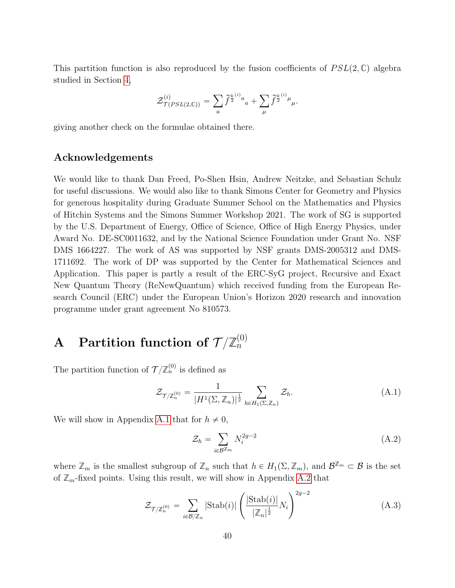This partition function is also reproduced by the fusion coefficients of  $PSL(2,\mathbb{C})$  algebra studied in Section [4,](#page-26-0)

$$
\mathcal{Z}^{(i)}_{\mathcal{T}(PSL(2,\mathbb{C}))} = \sum_a \widetilde{f}^{\frac{k}{2}^{(i)}a}{}_a + \sum_\mu \widetilde{f}^{\frac{k}{2}^{(i)}\mu}{}_\mu.
$$

giving another check on the formulae obtained there.

### Acknowledgements

We would like to thank Dan Freed, Po-Shen Hsin, Andrew Neitzke, and Sebastian Schulz for useful discussions. We would also like to thank Simons Center for Geometry and Physics for generous hospitality during Graduate Summer School on the Mathematics and Physics of Hitchin Systems and the Simons Summer Workshop 2021. The work of SG is supported by the U.S. Department of Energy, Office of Science, Office of High Energy Physics, under Award No. DE-SC0011632, and by the National Science Foundation under Grant No. NSF DMS 1664227. The work of AS was supported by NSF grants DMS-2005312 and DMS-1711692. The work of DP was supported by the Center for Mathematical Sciences and Application. This paper is partly a result of the ERC-SyG project, Recursive and Exact New Quantum Theory (ReNewQuantum) which received funding from the European Research Council (ERC) under the European Union's Horizon 2020 research and innovation programme under grant agreement No 810573.

#### <span id="page-40-0"></span> $\mathbf A$  Partition function of  $\mathcal T/\mathbb Z^{(0)}_n$  $\hat{n}$

The partition function of  $\mathcal{T}/\mathbb{Z}_n^{(0)}$  is defined as

<span id="page-40-3"></span>
$$
\mathcal{Z}_{\mathcal{T}/\mathbb{Z}_n^{(0)}} = \frac{1}{|H^1(\Sigma, \mathbb{Z}_n)|^{\frac{1}{2}}} \sum_{h \in H_1(\Sigma, \mathbb{Z}_n)} \mathcal{Z}_h.
$$
\n(A.1)

We will show in Appendix [A.1](#page-41-0) that for  $h \neq 0$ ,

<span id="page-40-1"></span>
$$
\mathcal{Z}_h = \sum_{i \in \mathcal{B}^{\mathbb{Z}_m}} N_i^{2g-2} \tag{A.2}
$$

where  $\mathbb{Z}_m$  is the smallest subgroup of  $\mathbb{Z}_n$  such that  $h \in H_1(\Sigma, \mathbb{Z}_m)$ , and  $\mathcal{B}^{\mathbb{Z}_m} \subset \mathcal{B}$  is the set of  $\mathbb{Z}_m$ -fixed points. Using this result, we will show in Appendix [A.2](#page-41-1) that

<span id="page-40-2"></span>
$$
\mathcal{Z}_{\mathcal{T}/\mathbb{Z}_n^{(0)}} = \sum_{i \in \mathcal{B}/\mathbb{Z}_n} |\text{Stab}(i)| \left( \frac{|\text{Stab}(i)|}{|\mathbb{Z}_n|^{\frac{1}{2}}} N_i \right)^{2g-2}
$$
(A.3)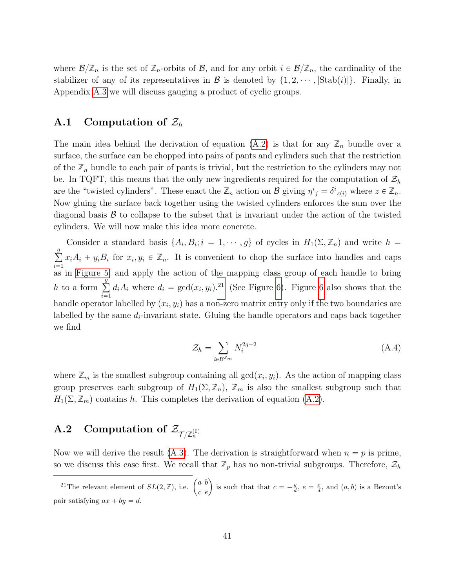where  $\mathcal{B}/\mathbb{Z}_n$  is the set of  $\mathbb{Z}_n$ -orbits of  $\mathcal{B}$ , and for any orbit  $i \in \mathcal{B}/\mathbb{Z}_n$ , the cardinality of the stabilizer of any of its representatives in  $\mathcal{B}$  is denoted by  $\{1, 2, \dots, |\text{Stab}(i)|\}$ . Finally, in Appendix [A.3](#page-46-0) we will discuss gauging a product of cyclic groups.

# <span id="page-41-0"></span>A.1 Computation of  $\mathcal{Z}_h$

The main idea behind the derivation of equation  $(A.2)$  is that for any  $\mathbb{Z}_n$  bundle over a surface, the surface can be chopped into pairs of pants and cylinders such that the restriction of the  $\mathbb{Z}_n$  bundle to each pair of pants is trivial, but the restriction to the cylinders may not be. In TQFT, this means that the only new ingredients required for the computation of  $\mathcal{Z}_h$ are the "twisted cylinders". These enact the  $\mathbb{Z}_n$  action on B giving  $\eta^i{}_j = \delta^i{}_{z(i)}$  where  $z \in \mathbb{Z}_n$ . Now gluing the surface back together using the twisted cylinders enforces the sum over the diagonal basis  $\mathcal B$  to collapse to the subset that is invariant under the action of the twisted cylinders. We will now make this idea more concrete.

Consider a standard basis  $\{A_i, B_i; i = 1, \dots, g\}$  of cycles in  $H_1(\Sigma, \mathbb{Z}_n)$  and write  $h =$  $g$  $i=1$  $x_i A_i + y_i B_i$  for  $x_i, y_i \in \mathbb{Z}_n$ . It is convenient to chop the surface into handles and caps as in [Figure 5,](#page-42-0) and apply the action of the mapping class group of each handle to bring  $h$  to a form  $\sum_{g}^{g}$  $i=1$  $d_i A_i$  where  $d_i = \gcd(x_i, y_i)$ .<sup>[21](#page-41-2)</sup> (See Figure [6\)](#page-42-1). Figure [6](#page-42-1) also shows that the handle operator labelled by  $(x_i, y_i)$  has a non-zero matrix entry only if the two boundaries are labelled by the same  $d_i$ -invariant state. Gluing the handle operators and caps back together we find

$$
\mathcal{Z}_h = \sum_{i \in \mathcal{B}^{\mathbb{Z}_m}} N_i^{2g-2} \tag{A.4}
$$

where  $\mathbb{Z}_m$  is the smallest subgroup containing all  $gcd(x_i, y_i)$ . As the action of mapping class group preserves each subgroup of  $H_1(\Sigma, \mathbb{Z}_n)$ ,  $\mathbb{Z}_m$  is also the smallest subgroup such that  $H_1(\Sigma, \mathbb{Z}_m)$  contains h. This completes the derivation of equation [\(A.2\)](#page-40-1).

# <span id="page-41-1"></span> $\text{A.2}\quad \text{Computation of }\mathcal{Z}_{\mathcal{T}/\mathbb{Z}_n^{(0)}}$

Now we will derive the result [\(A.3\)](#page-40-2). The derivation is straightforward when  $n = p$  is prime, so we discuss this case first. We recall that  $\mathbb{Z}_p$  has no non-trivial subgroups. Therefore,  $\mathcal{Z}_h$ 

<span id="page-41-2"></span><sup>&</sup>lt;sup>21</sup>The relevant element of  $SL(2, \mathbb{Z})$ , i.e.  $\begin{pmatrix} a & b \\ 0 & 0 \end{pmatrix}$  $\begin{pmatrix} a & b \\ c & e \end{pmatrix}$  is such that that  $c = -\frac{y}{d}$ ,  $e = \frac{x}{d}$ , and  $(a, b)$  is a Bezout's pair satisfying  $ax + by = d$ .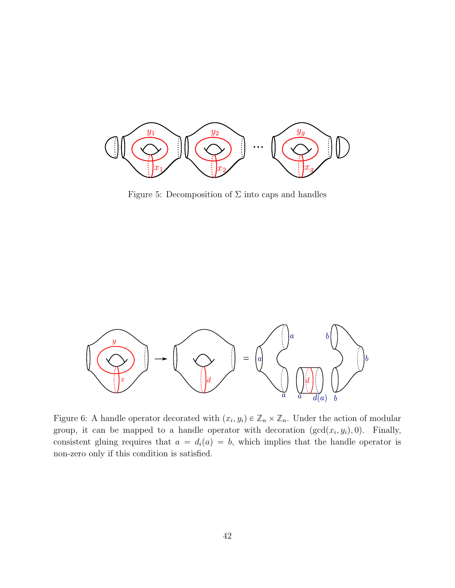<span id="page-42-0"></span>

Figure 5: Decomposition of  $\Sigma$  into caps and handles

<span id="page-42-1"></span>

Figure 6: A handle operator decorated with  $(x_i, y_i) \in \mathbb{Z}_n \times \mathbb{Z}_n$ . Under the action of modular group, it can be mapped to a handle operator with decoration  $(\gcd(x_i, y_i), 0)$ . Finally, consistent gluing requires that  $a = d_i(a) = b$ , which implies that the handle operator is non-zero only if this condition is satisfied.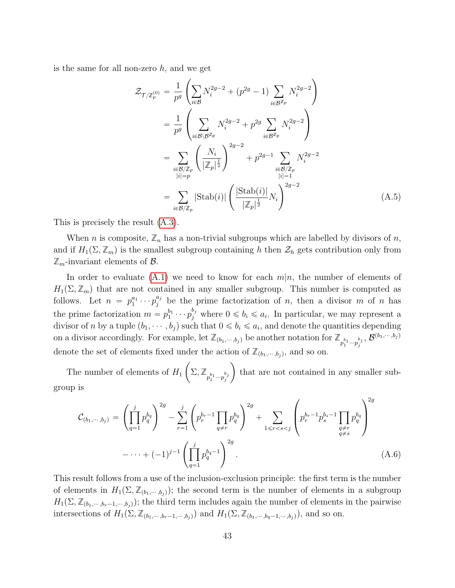is the same for all non-zero  $h$ , and we get

$$
\mathcal{Z}_{\mathcal{T}/\mathbb{Z}_p^{(0)}} = \frac{1}{p^g} \left( \sum_{i \in \mathcal{B}} N_i^{2g-2} + (p^{2g} - 1) \sum_{i \in \mathcal{B}^{\mathbb{Z}_p}} N_i^{2g-2} \right)
$$
  
\n
$$
= \frac{1}{p^g} \left( \sum_{i \in \mathcal{B} \setminus \mathcal{B}^{\mathbb{Z}_p}} N_i^{2g-2} + p^{2g} \sum_{i \in \mathcal{B}^{\mathbb{Z}_p}} N_i^{2g-2} \right)
$$
  
\n
$$
= \sum_{i \in \mathcal{B}/\mathbb{Z}_p} \left( \frac{N_i}{|\mathbb{Z}_p|^{\frac{1}{2}}} \right)^{2g-2} + p^{2g-1} \sum_{i \in \mathcal{B}/\mathbb{Z}_p} N_i^{2g-2}
$$
  
\n
$$
= \sum_{i \in \mathcal{B}/\mathbb{Z}_p} |\text{Stab}(i)| \left( \frac{|\text{Stab}(i)|}{|\mathbb{Z}_p|^{\frac{1}{2}}} N_i \right)^{2g-2}
$$
  
\n(A.5)

This is precisely the result [\(A.3\)](#page-40-2).

When *n* is composite,  $\mathbb{Z}_n$  has a non-trivial subgroups which are labelled by divisors of *n*, and if  $H_1(\Sigma, \mathbb{Z}_m)$  is the smallest subgroup containing h then  $\mathcal{Z}_h$  gets contribution only from  $\mathbb{Z}_m$ -invariant elements of  $\mathcal{B}$ .

In order to evaluate [\(A.1\)](#page-40-3) we need to know for each  $m|n$ , the number of elements of  $H_1(\Sigma, \mathbb{Z}_m)$  that are not contained in any smaller subgroup. This number is computed as follows. Let  $n = p_1^{a_1} \cdots p_j^{a_j}$  be the prime factorization of n, then a divisor m of n has the prime factorization  $m = p_1^{b_1} \cdots p_j^{b_j}$  where  $0 \leq b_i \leq a_i$ . In particular, we may represent a divisor of *n* by a tuple  $(b_1, \dots, b_j)$  such that  $0 \leq b_i \leq a_i$ , and denote the quantities depending on a divisor accordingly. For example, let  $\mathbb{Z}_{(b_1,\dots,b_j)}$  be another notation for  $\mathbb{Z}_{p_1^{b_1}\cdots p_j^{b_j}}$ ,  $\mathcal{B}^{(b_1,\dots,b_j)}$ denote the set of elements fixed under the action of  $\mathbb{Z}_{(b_1,\dots,b_j)}$ , and so on. raci in action

The number of elements of  $H_1\left(\sum,\mathbb{Z}_{p_1^{b_1}\cdots p_j^{b_j}}\right)$  that are not contained in any smaller subgroup is ¨ ˛

<span id="page-43-0"></span>
$$
\mathcal{C}_{(b_1,\cdots,b_j)} = \left(\prod_{q=1}^j p_q^{b_q}\right)^{2g} - \sum_{r=1}^j \left(p_r^{b_r-1} \prod_{q \neq r} p_q^{b_q}\right)^{2g} + \sum_{1 \leq r < s < j} \left(p_r^{b_r-1} p_s^{b_s-1} \prod_{\substack{q \neq r \\ q \neq s}} p_q^{b_q}\right)^{2g} - \cdots + (-1)^{j-1} \left(\prod_{q=1}^j p_q^{b_q-1}\right)^{2g}.\tag{A.6}
$$

This result follows from a use of the inclusion-exclusion principle: the first term is the number of elements in  $H_1(\Sigma, \mathbb{Z}_{(b_1, \dots, b_j)})$ ; the second term is the number of elements in a subgroup  $H_1(\Sigma, \mathbb{Z}_{(b_1,\dots,b_r-1,\dots,b_i)})$ ; the third term includes again the number of elements in the pairwise intersections of  $H_1(\Sigma, \mathbb{Z}_{(b_1, \cdots, b_r-1, \cdots, b_j)})$  and  $H_1(\Sigma, \mathbb{Z}_{(b_1, \cdots, b_q-1, \cdots, b_j)})$ , and so on.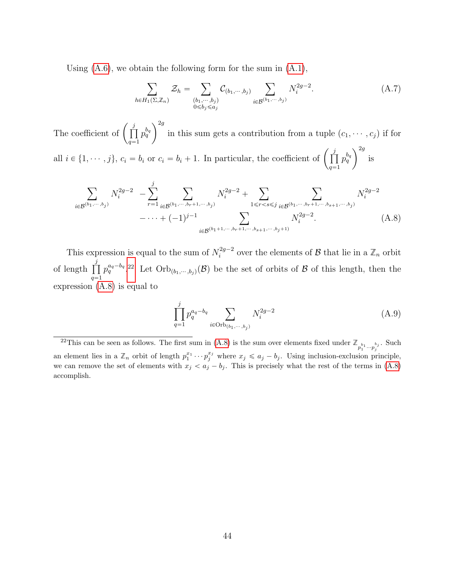Using  $(A.6)$ , we obtain the following form for the sum in  $(A.1)$ ,

<span id="page-44-2"></span>
$$
\sum_{h \in H_1(\Sigma, \mathbb{Z}_n)} \mathcal{Z}_h = \sum_{\substack{(b_1, \cdots, b_j) \\ 0 \le b_j \le a_j}} \mathcal{C}_{(b_1, \cdots, b_j)} \sum_{i \in \mathcal{B}^{(b_1, \cdots, b_j)}} N_i^{2g-2}.
$$
\n(A.7)

The coefficient of  $\left(\prod_{i=1}^{j} \right)$ j  $q=1$  $p_{q}^{b_{q}}$  $\sqrt{2g}$ in this sum gets a contribution from a tuple  $(c_1, \dots, c_j)$  if for all  $i \in \{1, \dots, j\}$ ,  $c_i = b_i$  or  $c_i = b_i + 1$ . In particular, the coefficient of  $\begin{pmatrix} j \\ \prod \end{pmatrix}$ j  $p_q^{b_q}$  ) is  $\sqrt{2g}$ 

<span id="page-44-1"></span>
$$
\sum_{i \in \mathcal{B}^{(b_1, \dots, b_j)}} N_i^{2g-2} - \sum_{r=1}^j \sum_{i \in \mathcal{B}^{(b_1, \dots, b_r+1, \dots, b_j)}} N_i^{2g-2} + \sum_{1 \le r < s \le j} \sum_{i \in \mathcal{B}^{(b_1, \dots, b_r+1, \dots, b_{s+1}, \dots, b_j)}} N_i^{2g-2} - \dots + (-1)^{j-1} \sum_{i \in \mathcal{B}^{(b_1+1, \dots, b_r+1, \dots, b_{s+1}, \dots, b_j+1)}} N_i^{2g-2}.
$$
\n(A.8)

This expression is equal to the sum of  $N_i^{2g-2}$ <sup>2g-2</sup> over the elements of  $\mathcal{B}$  that lie in a  $\mathbb{Z}_n$  orbit of length  $\prod_{j=1}^{j}$  $q=1$  $p_q^{a_q-b_q}$ .<sup>[22](#page-44-0)</sup> Let  $Orb_{(b_1,\dots,b_j)}(\mathcal{B})$  be the set of orbits of  $\mathcal B$  of this length, then the expression [\(A.8\)](#page-44-1) is equal to

$$
\prod_{q=1}^{j} p_q^{a_q - b_q} \sum_{i \in \text{Orb}_{(b_1, \dots, b_j)}} N_i^{2g-2} \tag{A.9}
$$

 $q=1$ 

<span id="page-44-0"></span><sup>&</sup>lt;sup>22</sup>This can be seen as follows. The first sum in [\(A.8\)](#page-44-1) is the sum over elements fixed under  $\mathbb{Z}_{p_1^{b_1}\cdots p_j^{b_j}}$ . Such an element lies in a  $\mathbb{Z}_n$  orbit of length  $p_1^{x_1} \cdots p_j^{x_j}$  where  $x_j \leq a_j - b_j$ . Using inclusion-exclusion principle, we can remove the set of elements with  $x_j < a_j - b_j$ . This is precisely what the rest of the terms in [\(A.8\)](#page-44-1) accomplish.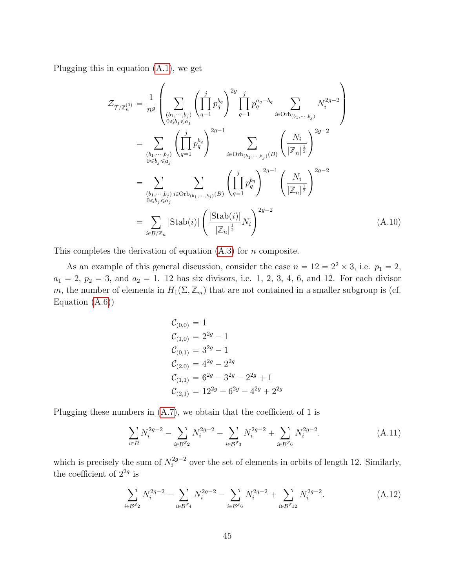Plugging this in equation [\(A.1\)](#page-40-3), we get

$$
\mathcal{Z}_{\mathcal{T}/\mathbb{Z}_{n}^{(0)}} = \frac{1}{n^{g}} \left( \sum_{\substack{(b_{1}, \dots, b_{j}) \ (b_{1}, \dots, b_{j})}} \left( \prod_{q=1}^{j} p_{q}^{b_{q}} \right)^{2g} \prod_{q=1}^{j} p_{q}^{a_{q} - b_{q}} \sum_{i \in \text{Orb}_{(b_{1}, \dots, b_{j})}} N_{i}^{2g-2} \right)
$$
\n
$$
= \sum_{\substack{(b_{1}, \dots, b_{j}) \ (b_{j} \leq a_{j})}} \left( \prod_{q=1}^{j} p_{q}^{b_{q}} \right)^{2g-1} \sum_{i \in \text{Orb}_{(b_{1}, \dots, b_{j})}(B)} \left( \frac{N_{i}}{|\mathbb{Z}_{n}|^{\frac{1}{2}}} \right)^{2g-2}
$$
\n
$$
= \sum_{\substack{(b_{1}, \dots, b_{j}) \ (b_{j} \leq a_{j})}} \sum_{i \in \text{Orb}_{(b_{1}, \dots, b_{j})}(B)} \left( \prod_{q=1}^{j} p_{q}^{b_{q}} \right)^{2g-1} \left( \frac{N_{i}}{|\mathbb{Z}_{n}|^{\frac{1}{2}}} \right)^{2g-2}
$$
\n
$$
= \sum_{i \in B/\mathbb{Z}_{n}} |\text{Stab}(i)| \left( \frac{|\text{Stab}(i)|}{|\mathbb{Z}_{n}|^{\frac{1}{2}}} N_{i} \right)^{2g-2} \tag{A.10}
$$

This completes the derivation of equation  $(A.3)$  for n composite.

As an example of this general discussion, consider the case  $n = 12 = 2^2 \times 3$ , i.e.  $p_1 = 2$ ,  $a_1 = 2, p_2 = 3, \text{ and } a_2 = 1.$  12 has six divisors, i.e. 1, 2, 3, 4, 6, and 12. For each divisor m, the number of elements in  $H_1(\Sigma, \mathbb{Z}_m)$  that are not contained in a smaller subgroup is (cf. Equation  $(A.6)$ 

$$
C_{(0,0)} = 1
$$
  
\n
$$
C_{(1,0)} = 2^{2g} - 1
$$
  
\n
$$
C_{(0,1)} = 3^{2g} - 1
$$
  
\n
$$
C_{(2,0)} = 4^{2g} - 2^{2g}
$$
  
\n
$$
C_{(1,1)} = 6^{2g} - 3^{2g} - 2^{2g} + 1
$$
  
\n
$$
C_{(2,1)} = 12^{2g} - 6^{2g} - 4^{2g} + 2^{2g}
$$

Plugging these numbers in  $(A.7)$ , we obtain that the coefficient of 1 is

$$
\sum_{i \in B} N_i^{2g-2} - \sum_{i \in B^{\mathbb{Z}_2}} N_i^{2g-2} - \sum_{i \in B^{\mathbb{Z}_3}} N_i^{2g-2} + \sum_{i \in B^{\mathbb{Z}_6}} N_i^{2g-2}.
$$
 (A.11)

which is precisely the sum of  $N_i^{2g-2}$  $i^{2g-2}$  over the set of elements in orbits of length 12. Similarly, the coefficient of  $2^{2g}$  is

$$
\sum_{i \in \mathcal{B}^{\mathbb{Z}_2}} N_i^{2g-2} - \sum_{i \in \mathcal{B}^{\mathbb{Z}_4}} N_i^{2g-2} - \sum_{i \in \mathcal{B}^{\mathbb{Z}_6}} N_i^{2g-2} + \sum_{i \in \mathcal{B}^{\mathbb{Z}_{12}}} N_i^{2g-2}.
$$
 (A.12)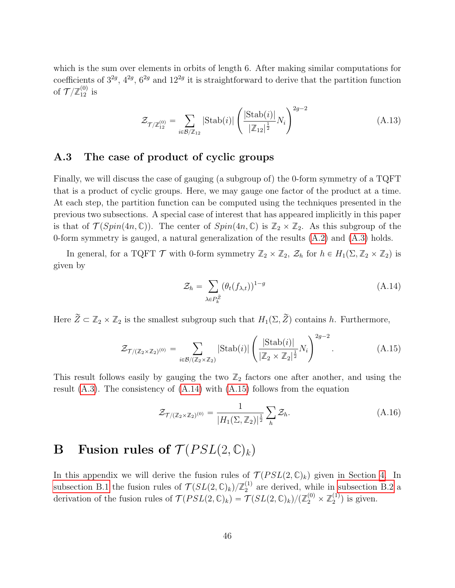which is the sum over elements in orbits of length 6. After making similar computations for coefficients of  $3^{2g}$ ,  $4^{2g}$ ,  $6^{2g}$  and  $12^{2g}$  it is straightforward to derive that the partition function of  $\mathcal{T}/\mathbb{Z}_{12}^{(0)}$  is

$$
\mathcal{Z}_{\mathcal{T}/\mathbb{Z}_{12}^{(0)}} = \sum_{i \in \mathcal{B}/\mathbb{Z}_{12}} |\text{Stab}(i)| \left( \frac{|\text{Stab}(i)|}{|\mathbb{Z}_{12}|^{\frac{1}{2}}} N_i \right)^{2g-2}
$$
(A.13)

## <span id="page-46-0"></span>A.3 The case of product of cyclic groups

Finally, we will discuss the case of gauging (a subgroup of) the 0-form symmetry of a TQFT that is a product of cyclic groups. Here, we may gauge one factor of the product at a time. At each step, the partition function can be computed using the techniques presented in the previous two subsections. A special case of interest that has appeared implicitly in this paper is that of  $\mathcal{T}(Spin(4n, \mathbb{C}))$ . The center of  $Spin(4n, \mathbb{C})$  is  $\mathbb{Z}_2 \times \mathbb{Z}_2$ . As this subgroup of the 0-form symmetry is gauged, a natural generalization of the results [\(A.2\)](#page-40-1) and [\(A.3\)](#page-40-2) holds.

In general, for a TQFT  $\mathcal{T}$  with 0-form symmetry  $\mathbb{Z}_2 \times \mathbb{Z}_2$ ,  $\mathcal{Z}_h$  for  $h \in H_1(\Sigma, \mathbb{Z}_2 \times \mathbb{Z}_2)$  is given by

<span id="page-46-2"></span>
$$
\mathcal{Z}_h = \sum_{\lambda \in P_k^{\tilde{Z}}} (\theta_t(f_{\lambda,t}))^{1-g}
$$
\n(A.14)

Here  $\widetilde{Z} \subset \mathbb{Z}_2 \times \mathbb{Z}_2$  is the smallest subgroup such that  $H_1(\Sigma, \widetilde{Z})$  contains h. Furthermore,

<span id="page-46-3"></span>
$$
\mathcal{Z}_{\mathcal{T}/(\mathbb{Z}_2 \times \mathbb{Z}_2)^{(0)}} = \sum_{i \in \mathcal{B}/(\mathbb{Z}_2 \times \mathbb{Z}_2)} |\text{Stab}(i)| \left( \frac{|\text{Stab}(i)|}{|\mathbb{Z}_2 \times \mathbb{Z}_2|^{\frac{1}{2}}} N_i \right)^{2g-2}.
$$
 (A.15)

This result follows easily by gauging the two  $\mathbb{Z}_2$  factors one after another, and using the result  $(A.3)$ . The consistency of  $(A.14)$  with  $(A.15)$  follows from the equation

$$
\mathcal{Z}_{\mathcal{T}/(\mathbb{Z}_2 \times \mathbb{Z}_2)^{(0)}} = \frac{1}{|H_1(\Sigma, \mathbb{Z}_2)|^{\frac{1}{2}}} \sum_h \mathcal{Z}_h.
$$
\n(A.16)

# <span id="page-46-1"></span>**B** Fusion rules of  $\mathcal{T}(PSL(2,\mathbb{C})_k)$

In this appendix we will derive the fusion rules of  $\mathcal{T}(PSL(2,\mathbb{C})_k)$  given in Section [4.](#page-26-0) In [subsection B.1](#page-47-0) the fusion rules of  $\mathcal{T}(SL(2,\mathbb{C})_k)/\mathbb{Z}_2^{(1)}$  $_2^{(1)}$  are derived, while in [subsection B.2](#page-47-1) a derivation of the fusion rules of  $\mathcal{T}(PSL(2,\mathbb{C})_k) = \mathcal{T}(SL(2,\mathbb{C})_k)/(\mathbb{Z}_2^{(0)} \times \mathbb{Z}_2^{(1)}$  $\binom{1}{2}$  is given.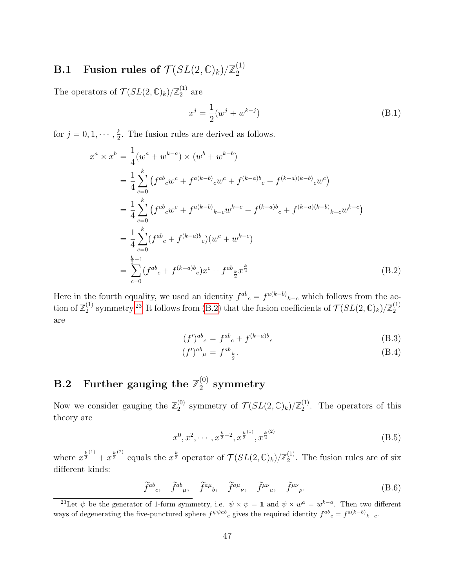#### <span id="page-47-0"></span> $\textbf{B.1} \quad \textbf{Fusion rules of} \; \mathcal{T}(SL(2,\mathbb{C})_k) / \mathbb{Z}_2^{(1)}$ 2

The operators of  $\mathcal{T}(SL(2,\mathbb{C})_k)/\mathbb{Z}_2^{(1)}$  $_2^{(1)}$  are

$$
x^{j} = \frac{1}{2}(w^{j} + w^{k-j})
$$
 (B.1)

for  $j = 0, 1, \dots, \frac{k}{2}$  $\frac{k}{2}$ . The fusion rules are derived as follows.

<span id="page-47-3"></span>
$$
x^{a} \times x^{b} = \frac{1}{4} (w^{a} + w^{k-a}) \times (w^{b} + w^{k-b})
$$
  
\n
$$
= \frac{1}{4} \sum_{c=0}^{k} (f^{ab}c w^{c} + f^{a(k-b)}c w^{c} + f^{(k-a)b}c + f^{(k-a)(k-b)}c w^{c})
$$
  
\n
$$
= \frac{1}{4} \sum_{c=0}^{k} (f^{ab}c w^{c} + f^{a(k-b)}c w^{k-c} + f^{(k-a)b}c + f^{(k-a)(k-b)}c w^{k-c})
$$
  
\n
$$
= \frac{1}{4} \sum_{c=0}^{k} (f^{ab}c + f^{(k-a)b}c) (w^{c} + w^{k-c})
$$
  
\n
$$
= \sum_{c=0}^{\frac{k}{2}-1} (f^{ab}c + f^{(k-a)b}c) x^{c} + f^{ab}c \frac{k}{2} x^{\frac{k}{2}}
$$
  
\n(B.2)

Here in the fourth equality, we used an identity  $f^{ab}_{c} = f^{a(k-b)}_{k-c}$  which follows from the action of  $\mathbb{Z}_2^{(1)}$ <sup>(1)</sup> symmetry.<sup>[23](#page-47-2)</sup> It follows from [\(B.2\)](#page-47-3) that the fusion coefficients of  $\mathcal{T}(SL(2,\mathbb{C})_k)/\mathbb{Z}_2^{(1)}$ 2 are

$$
(f')^{ab}{}_{c} = f^{ab}{}_{c} + f^{(k-a)b}{}_{c}
$$
\n(B.3)

$$
(f')^{ab}{}_{\mu} = f^{ab}{}_{\frac{k}{2}}.\tag{B.4}
$$

#### <span id="page-47-1"></span> $\mathbf{B.2}$  Further gauging the  $\mathbb{Z}_2^{(0)}$  $_{2}^{\text{\tiny{(U)}}}$  symmetry

Now we consider gauging the  $\mathbb{Z}_2^{(0)}$  $\mathcal{Z}_2^{(0)}$  symmetry of  $\mathcal{T}(SL(2,\mathbb{C})_k)/\mathbb{Z}_2^{(1)}$  $2^{(1)}$ . The operators of this theory are

<span id="page-47-4"></span>
$$
x^{0}, x^{2}, \cdots, x^{\frac{k}{2}-2}, x^{\frac{k}{2}}^{(1)}, x^{\frac{k}{2}}^{(2)}
$$
 (B.5)

where  $x^{\frac{k}{2}^{(1)}} + x^{\frac{k}{2}^{(2)}}$  equals the  $x^{\frac{k}{2}}$  operator of  $\mathcal{T}(SL(2,\mathbb{C})_k)/\mathbb{Z}_2^{(1)}$  $_2^{(1)}$ . The fusion rules are of six different kinds:

$$
\widetilde{f}^{ab}{}_{c}, \quad \widetilde{f}^{ab}{}_{\mu}, \quad \widetilde{f}^{a\mu}{}_{b}, \quad \widetilde{f}^{a\mu}{}_{\nu}, \quad \widetilde{f}^{\mu\nu}{}_{a}, \quad \widetilde{f}^{\mu\nu}{}_{\rho}. \tag{B.6}
$$

<span id="page-47-2"></span><sup>&</sup>lt;sup>23</sup>Let  $\psi$  be the generator of 1-form symmetry, i.e.  $\psi \times \psi = \mathbb{1}$  and  $\psi \times w^a = w^{k-a}$ . Then two different ways of degenerating the five-punctured sphere  $f^{\psi\psi ab}{}_{c}$  gives the required identity  $f^{ab}{}_{c} = f^{a(k-b)}{}_{k-c}$ .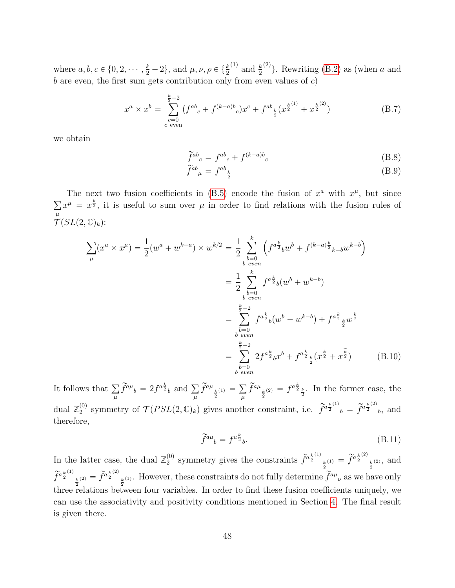where  $a, b, c \in \{0, 2, \dots, \frac{k}{2} - 2\}$ , and  $\mu, \nu, \rho \in \{\frac{k}{2}\}$ <sup>(1)</sup> and  $\frac{k}{2}$  $^{(2)}$ . Rewriting [\(B.2\)](#page-47-3) as (when a and b are even, the first sum gets contribution only from even values of  $c$ )

$$
x^{a} \times x^{b} = \sum_{\substack{c=0 \ c \text{ even}}}^{\frac{k}{2}-2} (f^{ab}_{c} + f^{(k-a)b}_{c}) x^{c} + f^{ab}_{\frac{k}{2}} (x^{\frac{k}{2}} + x^{\frac{k}{2}}^{(2)})
$$
(B.7)

we obtain

$$
\widetilde{f}^{ab}_{c} = f^{ab}_{c} + f^{(k-a)b}_{c} \tag{B.8}
$$

$$
\widetilde{f}^{ab}{}_{\mu} = f^{ab}{}_{\frac{k}{2}} \tag{B.9}
$$

The next two fusion coefficients in [\(B.5\)](#page-47-4) encode the fusion of  $x^a$  with  $x^{\mu}$ , but since  $\mu$  $x^{\mu} = x^{\frac{k}{2}}$ , it is useful to sum over  $\mu$  in order to find relations with the fusion rules of  $\overline{\mathcal{T}}(SL(2,\mathbb{C})_k)$ :

$$
\sum_{\mu} (x^a \times x^{\mu}) = \frac{1}{2} (w^a + w^{k-a}) \times w^{k/2} = \frac{1}{2} \sum_{\substack{b=0 \\ b \text{ even}}}^{k} \left( f^{a \frac{k}{2}}{}_{b} w^{b} + f^{(k-a) \frac{k}{2}}{}_{k-b} w^{k-b} \right)
$$

$$
= \frac{1}{2} \sum_{\substack{b=0 \\ b \text{ even}}}^{k} f^{a \frac{k}{2}}{}_{b} (w^{b} + w^{k-b})
$$

$$
= \sum_{\substack{b=0 \\ b \text{ even}}}^{k} f^{a \frac{k}{2}}{}_{b} (w^{b} + w^{k-b}) + f^{a \frac{k}{2}}{}_{\frac{k}{2}} w^{\frac{k}{2}}
$$

$$
= \sum_{\substack{b=0 \\ b \text{ even}}}^{k} 2 f^{a \frac{k}{2}}{}_{b} x^{b} + f^{a \frac{k}{2}}{}_{\frac{k}{2}} (x^{\frac{k}{2}} + x^{\frac{k}{2}})
$$
(B.10)

It follows that  $\sum$  $\mu$  $\widetilde{f}^{a\mu}{}_{b}=2f^{a\frac{k}{2}}{}_{b}$  and  $\sum$  $\mu$  $\widetilde{f}^{a\mu}_{\frac{k}{2}^{(1)}}=$  $\mu$  $\widetilde{f}^{a\mu}_{\frac{k}{2}}(2) = f^{a\frac{k}{2}}_{\frac{k}{2}}$ . In the former case, the dual  $\mathbb{Z}_2^{(0)}$ <sup>(0)</sup> symmetry of  $\mathcal{T}(PSL(2,\mathbb{C})_k)$  gives another constraint, i.e.  $\tilde{f}^{a_{\frac{k}{2}}^{(1)}}{}_{b} = \tilde{f}^{a_{\frac{k}{2}}^{(2)}}{}_{b}$ , and therefore,

$$
\widetilde{f}^{a\mu}{}_{b} = f^{a\frac{k}{2}}{}_{b}.\tag{B.11}
$$

In the latter case, the dual  $\mathbb{Z}_2^{(0)}$  $_2^{(0)}$  symmetry gives the constraints  $\tilde{f}^{a_{\frac{k}{2}}^{(1)}}$  $\frac{k}{2}^{(1)} = \tilde{f}^{a \frac{k}{2}^{(2)}}$  $\frac{k}{2}^{(2)}$ , and  $\widetilde{f}^{a\frac{k}{2} \left( 1\right) }$  $\frac{k}{2}^{(2)} = \widetilde{f}^{a \frac{k}{2}^{(2)}}$  $\frac{k}{2}$ <sup>*k*(1)</sup>. However, these constraints do not fully determine  $\tilde{f}^{a\mu}$ <sub>*v*</sub> as we have only three relations between four variables. In order to find these fusion coefficients uniquely, we can use the associativity and positivity conditions mentioned in Section [4.](#page-26-0) The final result is given there.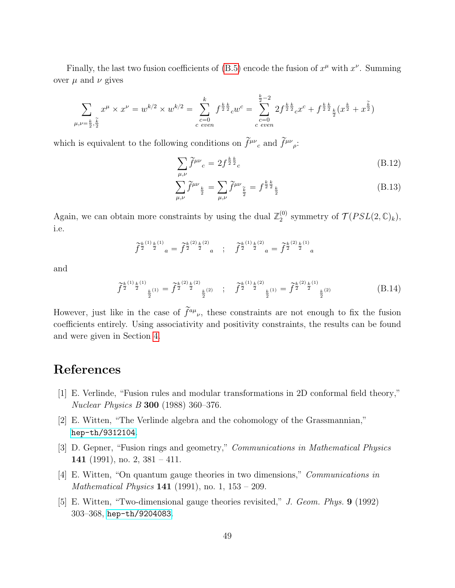Finally, the last two fusion coefficients of [\(B.5\)](#page-47-4) encode the fusion of  $x^{\mu}$  with  $x^{\nu}$ . Summing over  $\mu$  and  $\nu$  gives

$$
\sum_{\mu,\nu=\frac{k}{2},\frac{\tilde{k}}{2}} x^{\mu} \times x^{\nu} = w^{k/2} \times w^{k/2} = \sum_{\substack{c=0 \ c \, even}}^{k} f^{\frac{k}{2}\frac{k}{2}} c w^{c} = \sum_{\substack{c=0 \ c \, even}}^{\frac{k}{2}-2} 2f^{\frac{k}{2}\frac{k}{2}} c x^{c} + f^{\frac{k}{2}\frac{k}{2}} \frac{k}{2} (x^{\frac{k}{2}} + x^{\frac{\tilde{k}}{2}})
$$

which is equivalent to the following conditions on  $\widetilde{f}^{\mu\nu}{}_{c}$  and  $\widetilde{f}^{\mu\nu}{}_{\rho}$ :

$$
\sum_{\mu,\nu} \tilde{f}^{\mu\nu}{}_{c} = 2f^{\frac{k}{2}\frac{k}{2}}{}_{c} \tag{B.12}
$$

$$
\sum_{\mu,\nu}^{\mu,\nu} \tilde{f}^{\mu\nu}{}_{\frac{k}{2}} = \sum_{\mu,\nu} \tilde{f}^{\mu\nu}{}_{\frac{\tilde{k}}{2}} = f^{\frac{k}{2}\frac{k}{2}}{}_{\frac{k}{2}}\n\tag{B.13}
$$

Again, we can obtain more constraints by using the dual  $\mathbb{Z}_2^{(0)}$ <sup>(0)</sup> symmetry of  $\mathcal{T}(PSL(2,\mathbb{C})_k)$ , i.e.

$$
\widetilde{f}^{\frac{k}{2}\binom{1)}{\frac{k}{2}}\frac{k}{a}}=\widetilde{f}^{\frac{k}{2}\binom{2)}{\frac{k}{2}}\frac{k}{a}}\quad;\quad\widetilde{f}^{\frac{k}{2}\binom{1}{2}}\frac{k}{a}=\widetilde{f}^{\frac{k}{2}\binom{2)}{\frac{k}{2}}\frac{k}{a}}_{\quad}
$$

and

$$
\tilde{f}^{\frac{k}{2}^{(1)}\frac{k}{2}^{(1)}}_{\frac{k}{2}^{(1)}} = \tilde{f}^{\frac{k}{2}^{(2)}\frac{k}{2}^{(2)}}_{\frac{k}{2}^{(2)}} \quad ; \quad \tilde{f}^{\frac{k}{2}^{(1)}\frac{k}{2}^{(2)}}_{\frac{k}{2}^{(1)}} = \tilde{f}^{\frac{k}{2}^{(2)}\frac{k}{2}^{(1)}}_{\frac{k}{2}^{(2)}} \tag{B.14}
$$

However, just like in the case of  $\tilde{f}^{a\mu}{}_{\nu}$ , these constraints are not enough to fix the fusion coefficients entirely. Using associativity and positivity constraints, the results can be found and were given in Section [4.](#page-26-0)

# References

- <span id="page-49-0"></span>[1] E. Verlinde, "Fusion rules and modular transformations in 2D conformal field theory," Nuclear Physics B 300 (1988) 360–376.
- <span id="page-49-1"></span>[2] E. Witten, "The Verlinde algebra and the cohomology of the Grassmannian," [hep-th/9312104](http://www.arXiv.org/abs/hep-th/9312104).
- <span id="page-49-2"></span>[3] D. Gepner, "Fusion rings and geometry," Communications in Mathematical Physics 141 (1991), no. 2,  $381 - 411$ .
- <span id="page-49-3"></span>[4] E. Witten, "On quantum gauge theories in two dimensions," Communications in *Mathematical Physics* **141** (1991), no. 1,  $153 - 209$ .
- <span id="page-49-4"></span>[5] E. Witten, "Two-dimensional gauge theories revisited," J. Geom. Phys. 9 (1992) 303–368, [hep-th/9204083](http://www.arXiv.org/abs/hep-th/9204083).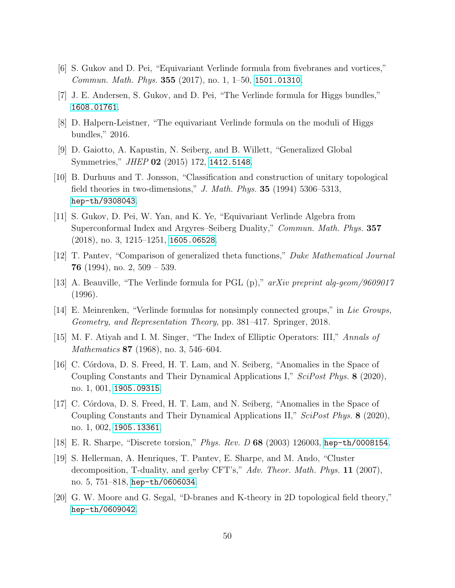- <span id="page-50-0"></span>[6] S. Gukov and D. Pei, "Equivariant Verlinde formula from fivebranes and vortices," Commun. Math. Phys. 355 (2017), no. 1, 1–50, [1501.01310](http://www.arXiv.org/abs/1501.01310).
- <span id="page-50-5"></span>[7] J. E. Andersen, S. Gukov, and D. Pei, "The Verlinde formula for Higgs bundles," [1608.01761](http://www.arXiv.org/abs/1608.01761).
- <span id="page-50-1"></span>[8] D. Halpern-Leistner, "The equivariant Verlinde formula on the moduli of Higgs bundles," 2016.
- <span id="page-50-2"></span>[9] D. Gaiotto, A. Kapustin, N. Seiberg, and B. Willett, "Generalized Global Symmetries," *JHEP* **02** (2015) 172, [1412.5148](http://www.arXiv.org/abs/1412.5148).
- <span id="page-50-3"></span>[10] B. Durhuus and T. Jonsson, "Classification and construction of unitary topological field theories in two-dimensions," J. Math. Phys.  $35$  (1994) 5306–5313, [hep-th/9308043](http://www.arXiv.org/abs/hep-th/9308043).
- <span id="page-50-4"></span>[11] S. Gukov, D. Pei, W. Yan, and K. Ye, "Equivariant Verlinde Algebra from Superconformal Index and Argyres–Seiberg Duality," Commun. Math. Phys. 357 (2018), no. 3, 1215–1251, [1605.06528](http://www.arXiv.org/abs/1605.06528).
- <span id="page-50-6"></span>[12] T. Pantev, "Comparison of generalized theta functions," Duke Mathematical Journal **76** (1994), no. 2,  $509 - 539$ .
- <span id="page-50-14"></span>[13] A. Beauville, "The Verlinde formula for PGL (p)," arXiv preprint alg-geom/9609017 (1996).
- <span id="page-50-7"></span>[14] E. Meinrenken, "Verlinde formulas for nonsimply connected groups," in Lie Groups, Geometry, and Representation Theory, pp. 381–417. Springer, 2018.
- <span id="page-50-8"></span>[15] M. F. Atiyah and I. M. Singer, "The Index of Elliptic Operators: III," Annals of Mathematics **87** (1968), no. 3, 546–604.
- <span id="page-50-9"></span>[16] C. Córdova, D. S. Freed, H. T. Lam, and N. Seiberg, "Anomalies in the Space of Coupling Constants and Their Dynamical Applications I," SciPost Phys. 8 (2020), no. 1, 001, [1905.09315](http://www.arXiv.org/abs/1905.09315).
- <span id="page-50-10"></span>[17] C. Córdova, D. S. Freed, H. T. Lam, and N. Seiberg, "Anomalies in the Space of Coupling Constants and Their Dynamical Applications II," SciPost Phys. 8 (2020), no. 1, 002, [1905.13361](http://www.arXiv.org/abs/1905.13361).
- <span id="page-50-11"></span>[18] E. R. Sharpe, "Discrete torsion," Phys. Rev. D 68 (2003) 126003, [hep-th/0008154](http://www.arXiv.org/abs/hep-th/0008154).
- <span id="page-50-12"></span>[19] S. Hellerman, A. Henriques, T. Pantev, E. Sharpe, and M. Ando, "Cluster decomposition, T-duality, and gerby CFT's,"  $Adv.$  Theor. Math. Phys. 11 (2007), no. 5, 751–818, [hep-th/0606034](http://www.arXiv.org/abs/hep-th/0606034).
- <span id="page-50-13"></span>[20] G. W. Moore and G. Segal, "D-branes and K-theory in 2D topological field theory," [hep-th/0609042](http://www.arXiv.org/abs/hep-th/0609042).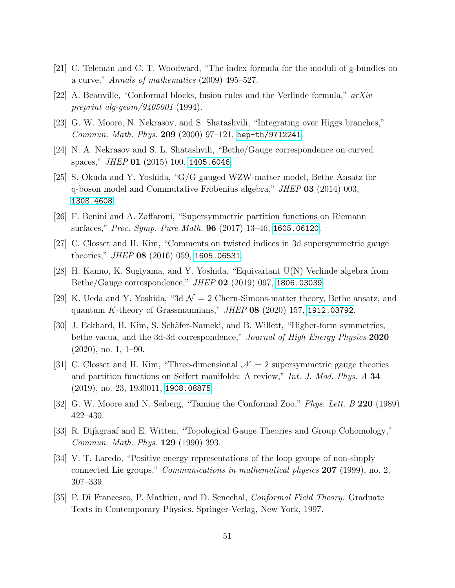- <span id="page-51-0"></span>[21] C. Teleman and C. T. Woodward, "The index formula for the moduli of g-bundles on a curve," Annals of mathematics (2009) 495–527.
- <span id="page-51-1"></span>[22] A. Beauville, "Conformal blocks, fusion rules and the Verlinde formula," arXiv preprint alg-geom/9405001 (1994).
- <span id="page-51-2"></span>[23] G. W. Moore, N. Nekrasov, and S. Shatashvili, "Integrating over Higgs branches," Commun. Math. Phys. 209 (2000) 97–121, [hep-th/9712241](http://www.arXiv.org/abs/hep-th/9712241).
- [24] N. A. Nekrasov and S. L. Shatashvili, "Bethe/Gauge correspondence on curved spaces," JHEP 01  $(2015)$  100, [1405.6046](http://www.arXiv.org/abs/1405.6046).
- [25] S. Okuda and Y. Yoshida, "G/G gauged WZW-matter model, Bethe Ansatz for q-boson model and Commutative Frobenius algebra," JHEP 03 (2014) 003, [1308.4608](http://www.arXiv.org/abs/1308.4608).
- [26] F. Benini and A. Zaffaroni, "Supersymmetric partition functions on Riemann surfaces," Proc. Symp. Pure Math. **96** (2017) 13-46, [1605.06120](http://www.arXiv.org/abs/1605.06120).
- [27] C. Closset and H. Kim, "Comments on twisted indices in 3d supersymmetric gauge theories," JHEP 08  $(2016)$  059, [1605.06531](http://www.arXiv.org/abs/1605.06531).
- [28] H. Kanno, K. Sugiyama, and Y. Yoshida, "Equivariant U(N) Verlinde algebra from Bethe/Gauge correspondence," JHEP 02 (2019) 097, [1806.03039](http://www.arXiv.org/abs/1806.03039).
- [29] K. Ueda and Y. Yoshida, "3d  $\mathcal{N}=2$  Chern-Simons-matter theory, Bethe ansatz, and quantum K-theory of Grassmannians," JHEP 08 (2020) 157, [1912.03792](http://www.arXiv.org/abs/1912.03792).
- <span id="page-51-3"></span>[30] J. Eckhard, H. Kim, S. Schäfer-Nameki, and B. Willett, "Higher-form symmetries, bethe vacua, and the 3d-3d correspondence," *Journal of High Energy Physics* 2020 (2020), no. 1, 1–90.
- <span id="page-51-4"></span>[31] C. Closset and H. Kim, "Three-dimensional  $\mathcal{N}=2$  supersymmetric gauge theories and partition functions on Seifert manifolds: A review," Int. J. Mod. Phys. A 34 (2019), no. 23, 1930011, [1908.08875](http://www.arXiv.org/abs/1908.08875).
- <span id="page-51-5"></span>[32] G. W. Moore and N. Seiberg, "Taming the Conformal Zoo," Phys. Lett. B 220 (1989) 422–430.
- <span id="page-51-6"></span>[33] R. Dijkgraaf and E. Witten, "Topological Gauge Theories and Group Cohomology," Commun. Math. Phys. 129 (1990) 393.
- <span id="page-51-7"></span>[34] V. T. Laredo, "Positive energy representations of the loop groups of non-simply connected Lie groups," *Communications in mathematical physics*  $207$  (1999), no. 2, 307–339.
- <span id="page-51-8"></span>[35] P. Di Francesco, P. Mathieu, and D. Senechal, Conformal Field Theory. Graduate Texts in Contemporary Physics. Springer-Verlag, New York, 1997.